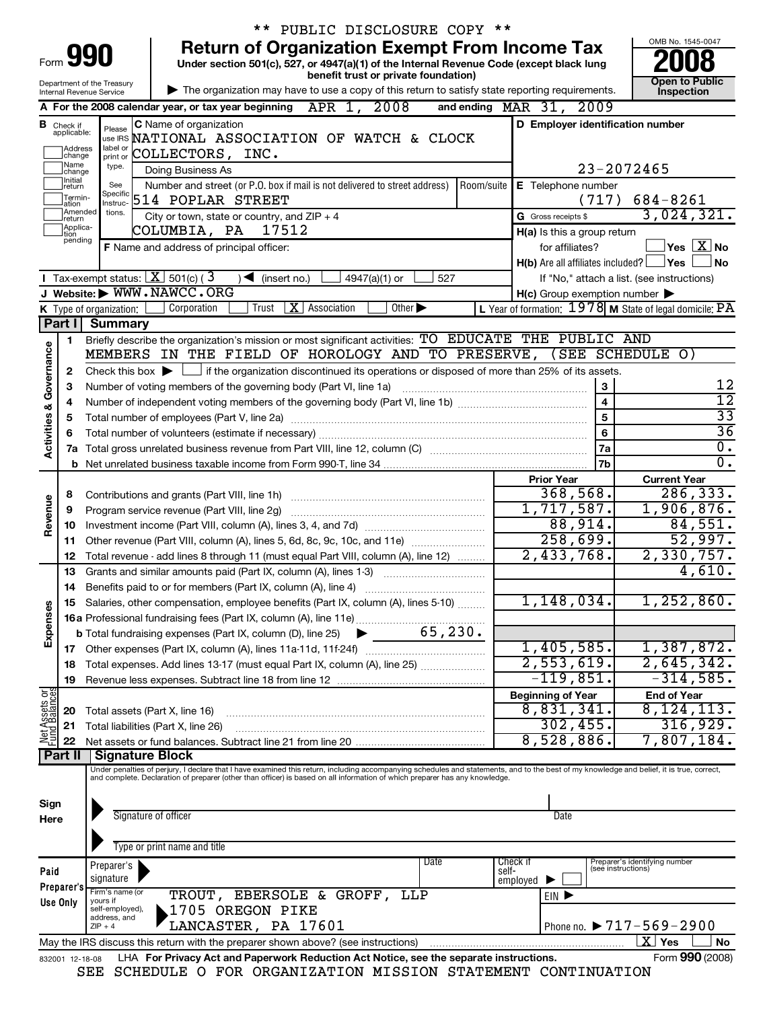|                         |                                  | ** PUBLIC DISCLOSURE COPY **                                                                                                                                                                                        |                   |                                                           |                                                   |
|-------------------------|----------------------------------|---------------------------------------------------------------------------------------------------------------------------------------------------------------------------------------------------------------------|-------------------|-----------------------------------------------------------|---------------------------------------------------|
|                         |                                  | <b>Return of Organization Exempt From Income Tax</b>                                                                                                                                                                |                   |                                                           | OMB No. 1545-0047                                 |
| Form                    |                                  | 990<br>Under section 501(c), 527, or 4947(a)(1) of the Internal Revenue Code (except black lung                                                                                                                     |                   |                                                           |                                                   |
|                         |                                  | benefit trust or private foundation)<br>Department of the Treasury                                                                                                                                                  |                   |                                                           | Open to Public                                    |
|                         |                                  | The organization may have to use a copy of this return to satisfy state reporting requirements.<br>Internal Revenue Service                                                                                         |                   |                                                           | Inspection                                        |
|                         |                                  | A For the 2008 calendar year, or tax year beginning APR 1, 2008                                                                                                                                                     |                   | and ending MAR 31, 2009                                   |                                                   |
|                         | <b>B</b> Check if<br>applicable: | C Name of organization<br>Please                                                                                                                                                                                    |                   | D Employer identification number                          |                                                   |
|                         | Address                          | USE IRS NATIONAL ASSOCIATION OF WATCH & CLOCK<br>label or                                                                                                                                                           |                   |                                                           |                                                   |
|                         | change<br>1Name                  | COLLECTORS, INC.<br>print or<br>type.                                                                                                                                                                               |                   |                                                           |                                                   |
|                         | change<br>Initial                | Doing Business As<br>Number and street (or P.O. box if mail is not delivered to street address)   Room/suite  <br>See                                                                                               |                   |                                                           | 23-2072465                                        |
|                         | return<br>Termin-                | Specific<br>514 POPLAR STREET                                                                                                                                                                                       |                   | E Telephone number<br>(717)                               | $684 - 8261$                                      |
|                         | lation<br>Amended                | Instruc-<br>tions.<br>City or town, state or country, and $ZIP + 4$                                                                                                                                                 |                   | <b>G</b> Gross receipts \$                                | 3,024,321.                                        |
|                         | Ireturn<br>Applica-<br>tion      | COLUMBIA, PA<br>17512                                                                                                                                                                                               |                   | H(a) Is this a group return                               |                                                   |
|                         | pending                          | F Name and address of principal officer:                                                                                                                                                                            |                   | for affiliates?                                           | $ {\mathsf Y}\mathsf{es}\ \boxed{{\mathbf X}}$ No |
|                         |                                  |                                                                                                                                                                                                                     |                   | H(b) Are all affiliates included?                         | ∣Yes<br>No                                        |
|                         |                                  | Tax-exempt status: $X$ 501(c) (3<br>4947(a)(1) or<br>$\sqrt{\frac{1}{1}}$ (insert no.)<br>527                                                                                                                       |                   |                                                           | If "No," attach a list. (see instructions)        |
|                         |                                  | J Website: WWW.NAWCC.ORG                                                                                                                                                                                            |                   | $H(c)$ Group exemption number $\blacktriangleright$       |                                                   |
|                         |                                  | <b>X</b> Association<br>Other $\blacktriangleright$<br>Corporation<br>Trust<br>K Type of organization:                                                                                                              |                   | L Year of formation: $1978$ M State of legal domicile: PA |                                                   |
|                         |                                  | Part I Summary                                                                                                                                                                                                      |                   |                                                           |                                                   |
|                         | 1                                | Briefly describe the organization's mission or most significant activities: TO EDUCATE THE PUBLIC AND                                                                                                               |                   |                                                           |                                                   |
|                         |                                  | MEMBERS IN THE FIELD OF HOROLOGY AND TO PRESERVE, (SEE SCHEDULE O)                                                                                                                                                  |                   |                                                           |                                                   |
|                         | $\mathbf{2}$                     | Check this box $\blacktriangleright$ $\Box$ if the organization discontinued its operations or disposed of more than 25% of its assets.                                                                             |                   |                                                           | 12                                                |
|                         | 3                                | Number of voting members of the governing body (Part VI, line 1a)                                                                                                                                                   |                   | 3<br>$\overline{\mathbf{4}}$                              | $\overline{12}$                                   |
| Activities & Governance | 4<br>5                           |                                                                                                                                                                                                                     |                   | 5                                                         | $\overline{33}$                                   |
|                         | 6                                |                                                                                                                                                                                                                     |                   | 6                                                         | $\overline{36}$                                   |
|                         |                                  |                                                                                                                                                                                                                     |                   |                                                           |                                                   |
|                         |                                  |                                                                                                                                                                                                                     |                   | 7a<br>7b                                                  | 0.<br>$\overline{0}$ .                            |
|                         |                                  |                                                                                                                                                                                                                     | <b>Prior Year</b> | <b>Current Year</b>                                       |                                                   |
|                         | 8                                | Contributions and grants (Part VIII, line 1h)                                                                                                                                                                       |                   | 368,568.                                                  | 286,333.                                          |
| Revenue                 | 9                                | Program service revenue (Part VIII, line 2g)                                                                                                                                                                        |                   | 1,717,587.                                                | 1,906,876.                                        |
|                         | 10                               |                                                                                                                                                                                                                     |                   | 88,914.                                                   | 84,551.                                           |
|                         | 11                               | Other revenue (Part VIII, column (A), lines 5, 6d, 8c, 9c, 10c, and 11e)                                                                                                                                            |                   | 258,699.                                                  | 52,997.                                           |
|                         | 12                               | Total revenue - add lines 8 through 11 (must equal Part VIII, column (A), line 12)                                                                                                                                  |                   | 2,433,768.                                                | 2,330,757.                                        |
|                         | 13                               | Grants and similar amounts paid (Part IX, column (A), lines 1-3)                                                                                                                                                    |                   |                                                           | 4,610.                                            |
|                         | 14                               | Benefits paid to or for members (Part IX, column (A), line 4)                                                                                                                                                       |                   | $1,148,034$ .                                             | $1,252,860$ .                                     |
| Expenses                |                                  | 15 Salaries, other compensation, employee benefits (Part IX, column (A), lines 5-10)                                                                                                                                |                   |                                                           |                                                   |
|                         |                                  |                                                                                                                                                                                                                     |                   |                                                           |                                                   |
|                         |                                  |                                                                                                                                                                                                                     |                   | 1,405,585.                                                | 1,387,872.                                        |
|                         | 18                               | Total expenses. Add lines 13-17 (must equal Part IX, column (A), line 25)                                                                                                                                           |                   | 2,553,619.                                                | 2,645,342.                                        |
|                         | 19                               |                                                                                                                                                                                                                     |                   | $-119,851.$                                               | $-314,585.$                                       |
| Net Assets or           |                                  |                                                                                                                                                                                                                     |                   | <b>Beginning of Year</b>                                  | <b>End of Year</b>                                |
|                         | 20                               | Total assets (Part X, line 16)                                                                                                                                                                                      |                   | 8,831,341.                                                | 8, 124, 113.                                      |
|                         | 21                               | Total liabilities (Part X, line 26)                                                                                                                                                                                 |                   | 302, 455.                                                 | 316,929.                                          |
|                         | 22                               |                                                                                                                                                                                                                     |                   | 8,528,886.                                                | 7,807,184.                                        |
|                         | Part II                          | <b>Signature Block</b><br>Under penalties of perjury, I declare that I have examined this return, including accompanying schedules and statements, and to the best of my knowledge and belief, it is true, correct, |                   |                                                           |                                                   |
|                         |                                  | and complete. Declaration of preparer (other than officer) is based on all information of which preparer has any knowledge.                                                                                         |                   |                                                           |                                                   |
|                         |                                  |                                                                                                                                                                                                                     |                   |                                                           |                                                   |
| Sign<br>Here            |                                  | Signature of officer                                                                                                                                                                                                |                   | Date                                                      |                                                   |
|                         |                                  |                                                                                                                                                                                                                     |                   |                                                           |                                                   |
|                         |                                  | Type or print name and title                                                                                                                                                                                        |                   |                                                           |                                                   |
|                         |                                  | Date<br>Preparer's                                                                                                                                                                                                  |                   | Check if<br>(see instructions)                            | Preparer's identifying number                     |
| Paid                    |                                  | signature                                                                                                                                                                                                           | self-             | employed                                                  |                                                   |
|                         | Preparer's<br>Use Only           | Firm's name (or<br>TROUT, EBERSOLE & GROFF, LLP<br>yours if                                                                                                                                                         |                   | EIN D                                                     |                                                   |
|                         |                                  | 1705 OREGON PIKE<br>self-employed),<br>address, and                                                                                                                                                                 |                   |                                                           |                                                   |
|                         |                                  | LANCASTER, PA 17601<br>$ZIP + 4$                                                                                                                                                                                    |                   |                                                           | Phone no. $\triangleright$ 717-569-2900           |
|                         |                                  | May the IRS discuss this return with the preparer shown above? (see instructions)                                                                                                                                   |                   |                                                           | $\overline{\text{X}}$ Yes<br>No                   |
|                         | 832001 12-18-08                  | LHA For Privacy Act and Paperwork Reduction Act Notice, see the separate instructions.                                                                                                                              |                   |                                                           | Form 990 (2008)                                   |
|                         |                                  | SEE SCHEDULE O FOR ORGANIZATION MISSION STATEMENT CONTINUATION                                                                                                                                                      |                   |                                                           |                                                   |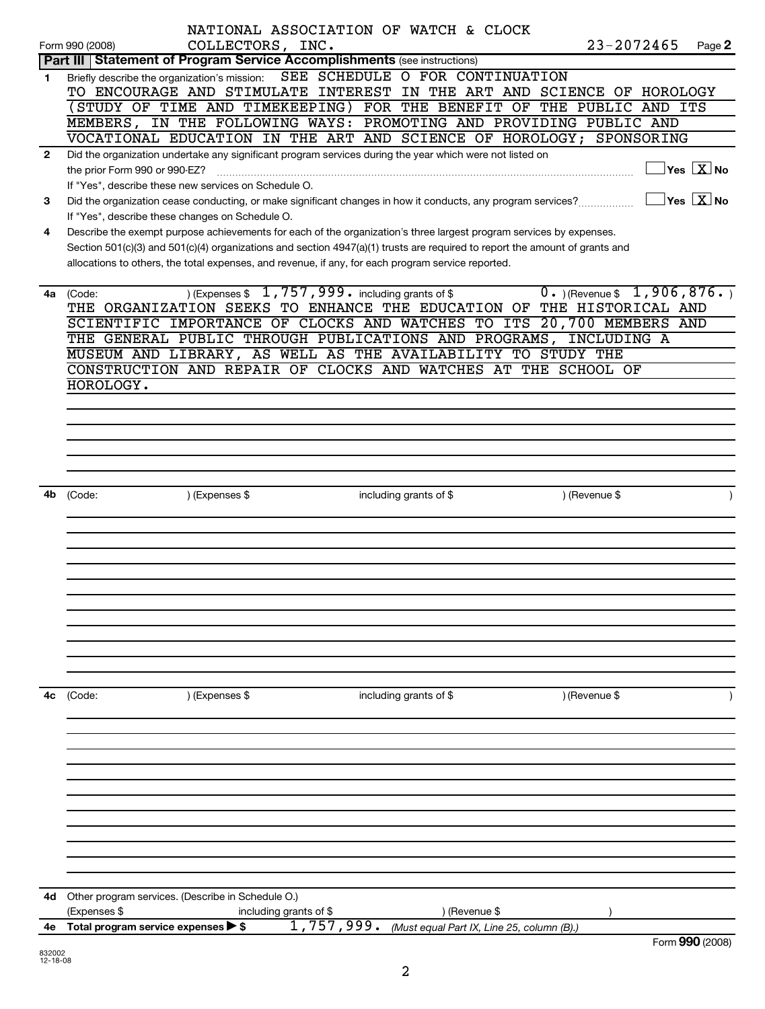|              |                                                                            | NATIONAL ASSOCIATION OF WATCH & CLOCK                                                                                       |                        |                                            |                                                                        |                                        |                                         |
|--------------|----------------------------------------------------------------------------|-----------------------------------------------------------------------------------------------------------------------------|------------------------|--------------------------------------------|------------------------------------------------------------------------|----------------------------------------|-----------------------------------------|
|              | Form 990 (2008)                                                            | COLLECTORS, INC.                                                                                                            |                        |                                            | $23 - 2072465$                                                         |                                        | Page 2                                  |
|              | Part III   Statement of Program Service Accomplishments (see instructions) |                                                                                                                             |                        |                                            |                                                                        |                                        |                                         |
| 1.           | Briefly describe the organization's mission:                               |                                                                                                                             |                        | SEE SCHEDULE O FOR CONTINUATION            |                                                                        |                                        |                                         |
|              |                                                                            |                                                                                                                             |                        |                                            | TO ENCOURAGE AND STIMULATE INTEREST IN THE ART AND SCIENCE OF HOROLOGY |                                        |                                         |
|              |                                                                            |                                                                                                                             |                        |                                            | (STUDY OF TIME AND TIMEKEEPING) FOR THE BENEFIT OF THE PUBLIC AND ITS  |                                        |                                         |
|              |                                                                            |                                                                                                                             |                        |                                            | MEMBERS, IN THE FOLLOWING WAYS: PROMOTING AND PROVIDING PUBLIC AND     |                                        |                                         |
|              |                                                                            |                                                                                                                             |                        |                                            | VOCATIONAL EDUCATION IN THE ART AND SCIENCE OF HOROLOGY; SPONSORING    |                                        |                                         |
|              |                                                                            |                                                                                                                             |                        |                                            |                                                                        |                                        |                                         |
| $\mathbf{2}$ |                                                                            | Did the organization undertake any significant program services during the year which were not listed on                    |                        |                                            |                                                                        |                                        |                                         |
|              | the prior Form 990 or 990-EZ?                                              |                                                                                                                             |                        |                                            |                                                                        |                                        | $\overline{\mathsf{Yes} \mathbb{X}}$ No |
|              |                                                                            | If "Yes", describe these new services on Schedule O.                                                                        |                        |                                            |                                                                        |                                        |                                         |
| 3            |                                                                            | Did the organization cease conducting, or make significant changes in how it conducts, any program services?                |                        |                                            |                                                                        | $\sqrt{}$ Yes $\sqrt{}$ X $\sqrt{}$ No |                                         |
|              | If "Yes", describe these changes on Schedule O.                            |                                                                                                                             |                        |                                            |                                                                        |                                        |                                         |
| 4            |                                                                            | Describe the exempt purpose achievements for each of the organization's three largest program services by expenses.         |                        |                                            |                                                                        |                                        |                                         |
|              |                                                                            | Section 501(c)(3) and 501(c)(4) organizations and section 4947(a)(1) trusts are required to report the amount of grants and |                        |                                            |                                                                        |                                        |                                         |
|              |                                                                            | allocations to others, the total expenses, and revenue, if any, for each program service reported.                          |                        |                                            |                                                                        |                                        |                                         |
|              |                                                                            |                                                                                                                             |                        |                                            |                                                                        |                                        |                                         |
|              | 4a (Code:                                                                  | ) (Expenses $$1,757,999$ including grants of \$                                                                             |                        |                                            | $0.$ (Revenue \$ 1,906,876.)                                           |                                        |                                         |
|              |                                                                            |                                                                                                                             |                        |                                            | THE ORGANIZATION SEEKS TO ENHANCE THE EDUCATION OF THE HISTORICAL AND  |                                        |                                         |
|              |                                                                            |                                                                                                                             |                        |                                            | SCIENTIFIC IMPORTANCE OF CLOCKS AND WATCHES TO ITS 20,700 MEMBERS AND  |                                        |                                         |
|              |                                                                            |                                                                                                                             |                        |                                            |                                                                        |                                        |                                         |
|              |                                                                            |                                                                                                                             |                        |                                            | THE GENERAL PUBLIC THROUGH PUBLICATIONS AND PROGRAMS, INCLUDING A      |                                        |                                         |
|              |                                                                            | MUSEUM AND LIBRARY, AS WELL AS THE AVAILABILITY TO STUDY THE                                                                |                        |                                            |                                                                        |                                        |                                         |
|              |                                                                            |                                                                                                                             |                        |                                            | CONSTRUCTION AND REPAIR OF CLOCKS AND WATCHES AT THE SCHOOL OF         |                                        |                                         |
|              | HOROLOGY.                                                                  |                                                                                                                             |                        |                                            |                                                                        |                                        |                                         |
|              |                                                                            |                                                                                                                             |                        |                                            |                                                                        |                                        |                                         |
|              |                                                                            |                                                                                                                             |                        |                                            |                                                                        |                                        |                                         |
|              |                                                                            |                                                                                                                             |                        |                                            |                                                                        |                                        |                                         |
|              |                                                                            |                                                                                                                             |                        |                                            |                                                                        |                                        |                                         |
|              |                                                                            |                                                                                                                             |                        |                                            |                                                                        |                                        |                                         |
|              |                                                                            |                                                                                                                             |                        |                                            |                                                                        |                                        |                                         |
| 4b           | (Code:                                                                     | ) (Expenses \$                                                                                                              | including grants of \$ |                                            | ) (Revenue \$                                                          |                                        |                                         |
|              |                                                                            |                                                                                                                             |                        |                                            |                                                                        |                                        |                                         |
|              |                                                                            |                                                                                                                             |                        |                                            |                                                                        |                                        |                                         |
|              |                                                                            |                                                                                                                             |                        |                                            |                                                                        |                                        |                                         |
|              |                                                                            |                                                                                                                             |                        |                                            |                                                                        |                                        |                                         |
|              |                                                                            |                                                                                                                             |                        |                                            |                                                                        |                                        |                                         |
|              |                                                                            |                                                                                                                             |                        |                                            |                                                                        |                                        |                                         |
|              |                                                                            |                                                                                                                             |                        |                                            |                                                                        |                                        |                                         |
|              |                                                                            |                                                                                                                             |                        |                                            |                                                                        |                                        |                                         |
|              |                                                                            |                                                                                                                             |                        |                                            |                                                                        |                                        |                                         |
|              |                                                                            |                                                                                                                             |                        |                                            |                                                                        |                                        |                                         |
|              |                                                                            |                                                                                                                             |                        |                                            |                                                                        |                                        |                                         |
|              |                                                                            |                                                                                                                             |                        |                                            |                                                                        |                                        |                                         |
|              |                                                                            |                                                                                                                             |                        |                                            |                                                                        |                                        |                                         |
| 4с           | (Code:                                                                     | ) (Expenses \$                                                                                                              | including grants of \$ |                                            | ) (Revenue \$                                                          |                                        |                                         |
|              |                                                                            |                                                                                                                             |                        |                                            |                                                                        |                                        |                                         |
|              |                                                                            |                                                                                                                             |                        |                                            |                                                                        |                                        |                                         |
|              |                                                                            |                                                                                                                             |                        |                                            |                                                                        |                                        |                                         |
|              |                                                                            |                                                                                                                             |                        |                                            |                                                                        |                                        |                                         |
|              |                                                                            |                                                                                                                             |                        |                                            |                                                                        |                                        |                                         |
|              |                                                                            |                                                                                                                             |                        |                                            |                                                                        |                                        |                                         |
|              |                                                                            |                                                                                                                             |                        |                                            |                                                                        |                                        |                                         |
|              |                                                                            |                                                                                                                             |                        |                                            |                                                                        |                                        |                                         |
|              |                                                                            |                                                                                                                             |                        |                                            |                                                                        |                                        |                                         |
|              |                                                                            |                                                                                                                             |                        |                                            |                                                                        |                                        |                                         |
|              |                                                                            |                                                                                                                             |                        |                                            |                                                                        |                                        |                                         |
|              |                                                                            |                                                                                                                             |                        |                                            |                                                                        |                                        |                                         |
|              |                                                                            |                                                                                                                             |                        |                                            |                                                                        |                                        |                                         |
| 4d           | Other program services. (Describe in Schedule O.)                          |                                                                                                                             |                        |                                            |                                                                        |                                        |                                         |
|              | (Expenses \$                                                               | including grants of \$                                                                                                      |                        | ) (Revenue \$                              |                                                                        |                                        |                                         |
| 4е           | Total program service expenses > \$                                        |                                                                                                                             | 1,757,999.             | (Must equal Part IX, Line 25, column (B).) |                                                                        |                                        |                                         |
|              |                                                                            |                                                                                                                             |                        |                                            |                                                                        | $Form$ QQ $\Omega$ (2008)              |                                         |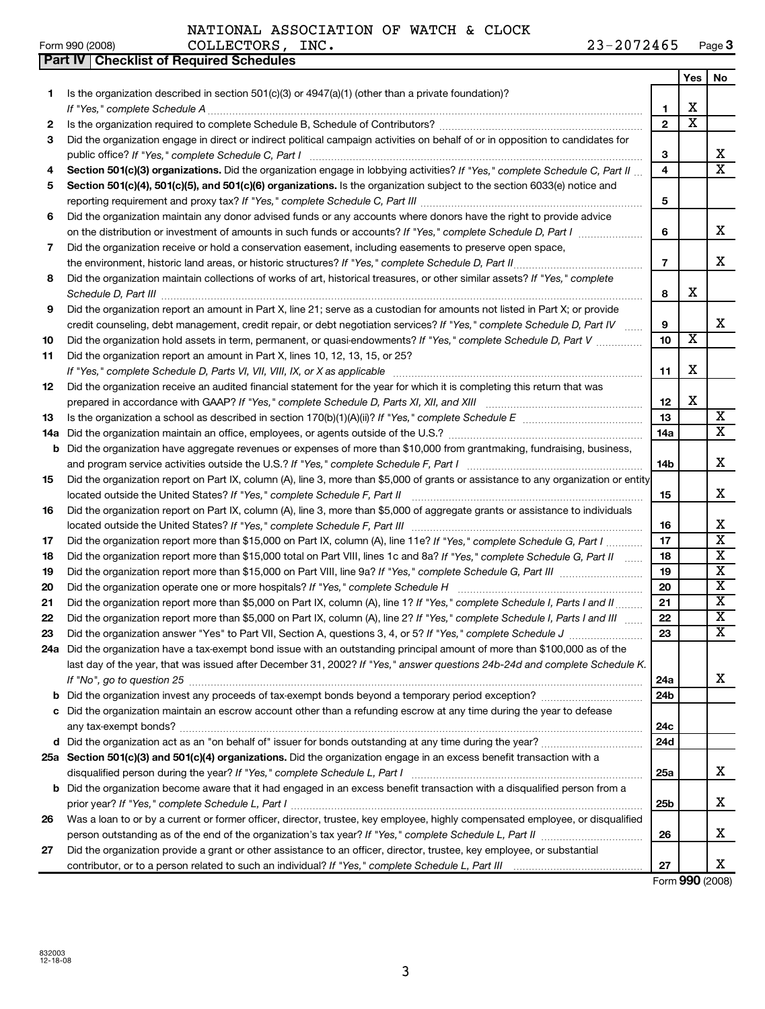|  | Form 990 (2008) |
|--|-----------------|
|  |                 |

**Part IV Checklist of Required Schedules**

NATIONAL ASSOCIATION OF WATCH & CLOCK

|     |                                                                                                                                                                                                                                                                                                                |                         | Yes                     | No                      |
|-----|----------------------------------------------------------------------------------------------------------------------------------------------------------------------------------------------------------------------------------------------------------------------------------------------------------------|-------------------------|-------------------------|-------------------------|
| 1.  | Is the organization described in section 501(c)(3) or $4947(a)(1)$ (other than a private foundation)?                                                                                                                                                                                                          |                         |                         |                         |
|     |                                                                                                                                                                                                                                                                                                                | 1                       | X                       |                         |
| 2   |                                                                                                                                                                                                                                                                                                                | $\overline{2}$          | X                       |                         |
| З   | Did the organization engage in direct or indirect political campaign activities on behalf of or in opposition to candidates for                                                                                                                                                                                |                         |                         |                         |
|     | public office? If "Yes," complete Schedule C, Part I                                                                                                                                                                                                                                                           | 3                       |                         | х                       |
| 4   | Section 501(c)(3) organizations. Did the organization engage in lobbying activities? If "Yes," complete Schedule C, Part II                                                                                                                                                                                    | $\overline{\mathbf{4}}$ |                         | $\overline{\mathbf{x}}$ |
| 5   | Section 501(c)(4), 501(c)(5), and 501(c)(6) organizations. Is the organization subject to the section 6033(e) notice and                                                                                                                                                                                       |                         |                         |                         |
|     |                                                                                                                                                                                                                                                                                                                | 5                       |                         |                         |
| 6   | Did the organization maintain any donor advised funds or any accounts where donors have the right to provide advice                                                                                                                                                                                            |                         |                         |                         |
|     | on the distribution or investment of amounts in such funds or accounts? If "Yes," complete Schedule D, Part I                                                                                                                                                                                                  | 6                       |                         | х                       |
| 7   | Did the organization receive or hold a conservation easement, including easements to preserve open space,                                                                                                                                                                                                      |                         |                         |                         |
|     | the environment, historic land areas, or historic structures? If "Yes," complete Schedule D, Part II                                                                                                                                                                                                           | $\overline{7}$          |                         | х                       |
| 8   | Did the organization maintain collections of works of art, historical treasures, or other similar assets? If "Yes," complete                                                                                                                                                                                   |                         |                         |                         |
|     |                                                                                                                                                                                                                                                                                                                | 8                       | х                       |                         |
| 9   | Did the organization report an amount in Part X, line 21; serve as a custodian for amounts not listed in Part X; or provide                                                                                                                                                                                    |                         |                         |                         |
|     | credit counseling, debt management, credit repair, or debt negotiation services? If "Yes," complete Schedule D, Part IV                                                                                                                                                                                        | 9<br>10                 | $\overline{\mathbf{x}}$ | х                       |
| 10  | Did the organization hold assets in term, permanent, or quasi-endowments? If "Yes," complete Schedule D, Part V                                                                                                                                                                                                |                         |                         |                         |
| 11  | Did the organization report an amount in Part X, lines 10, 12, 13, 15, or 25?                                                                                                                                                                                                                                  |                         | X                       |                         |
|     |                                                                                                                                                                                                                                                                                                                | 11                      |                         |                         |
| 12  | Did the organization receive an audited financial statement for the year for which it is completing this return that was                                                                                                                                                                                       | 12                      | X                       |                         |
| 13  | prepared in accordance with GAAP? If "Yes," complete Schedule D, Parts XI, XII, and XIII [11] [12] prepared in accordance with GAAP? If "Yes," complete Schedule D, Parts XI, XII, and XIII<br>Is the organization a school as described in section $170(b)(1)(A)(ii)?$ If "Yes," complete Schedule E $\ldots$ | 13                      |                         | X                       |
| 14a | Did the organization maintain an office, employees, or agents outside of the U.S.?                                                                                                                                                                                                                             | 14a                     |                         | X                       |
| b   | Did the organization have aggregate revenues or expenses of more than \$10,000 from grantmaking, fundraising, business,                                                                                                                                                                                        |                         |                         |                         |
|     |                                                                                                                                                                                                                                                                                                                | 14b                     |                         | х                       |
| 15  | Did the organization report on Part IX, column (A), line 3, more than \$5,000 of grants or assistance to any organization or entity                                                                                                                                                                            |                         |                         |                         |
|     |                                                                                                                                                                                                                                                                                                                | 15                      |                         | х                       |
| 16  | Did the organization report on Part IX, column (A), line 3, more than \$5,000 of aggregate grants or assistance to individuals                                                                                                                                                                                 |                         |                         |                         |
|     |                                                                                                                                                                                                                                                                                                                | 16                      |                         | х                       |
| 17  | Did the organization report more than \$15,000 on Part IX, column (A), line 11e? If "Yes," complete Schedule G, Part I                                                                                                                                                                                         | 17                      |                         | X                       |
| 18  | Did the organization report more than \$15,000 total on Part VIII, lines 1c and 8a? If "Yes," complete Schedule G, Part II                                                                                                                                                                                     | 18                      |                         | $\overline{\mathbf{X}}$ |
| 19  |                                                                                                                                                                                                                                                                                                                | 19                      |                         | X                       |
| 20  | Did the organization operate one or more hospitals? If "Yes," complete Schedule H                                                                                                                                                                                                                              | 20                      |                         | $\overline{\mathbf{X}}$ |
| 21  | Did the organization report more than \$5,000 on Part IX, column (A), line 1? If "Yes," complete Schedule I, Parts I and II                                                                                                                                                                                    | 21                      |                         | X                       |
| 22  | Did the organization report more than \$5,000 on Part IX, column (A), line 2? If "Yes," complete Schedule I, Parts I and III                                                                                                                                                                                   | 22                      |                         | X                       |
| 23  |                                                                                                                                                                                                                                                                                                                | 23                      |                         | $\overline{\mathbf{X}}$ |
|     | 24a Did the organization have a tax-exempt bond issue with an outstanding principal amount of more than \$100,000 as of the                                                                                                                                                                                    |                         |                         |                         |
|     | last day of the year, that was issued after December 31, 2002? If "Yes," answer questions 24b-24d and complete Schedule K.                                                                                                                                                                                     |                         |                         |                         |
|     |                                                                                                                                                                                                                                                                                                                | 24a                     |                         | x                       |
| b   |                                                                                                                                                                                                                                                                                                                | 24b                     |                         |                         |
|     | Did the organization maintain an escrow account other than a refunding escrow at any time during the year to defease                                                                                                                                                                                           |                         |                         |                         |
|     |                                                                                                                                                                                                                                                                                                                | 24c                     |                         |                         |
|     |                                                                                                                                                                                                                                                                                                                | 24d                     |                         |                         |
|     | 25a Section 501(c)(3) and 501(c)(4) organizations. Did the organization engage in an excess benefit transaction with a                                                                                                                                                                                         |                         |                         |                         |
|     |                                                                                                                                                                                                                                                                                                                | 25a                     |                         | x                       |
|     | b Did the organization become aware that it had engaged in an excess benefit transaction with a disqualified person from a                                                                                                                                                                                     |                         |                         |                         |
|     |                                                                                                                                                                                                                                                                                                                | 25b                     |                         | x                       |
| 26  | Was a loan to or by a current or former officer, director, trustee, key employee, highly compensated employee, or disqualified                                                                                                                                                                                 |                         |                         |                         |
|     |                                                                                                                                                                                                                                                                                                                | 26                      |                         | х                       |
| 27  | Did the organization provide a grant or other assistance to an officer, director, trustee, key employee, or substantial                                                                                                                                                                                        |                         |                         |                         |
|     |                                                                                                                                                                                                                                                                                                                | 27                      |                         | X                       |

Form **990** (2008)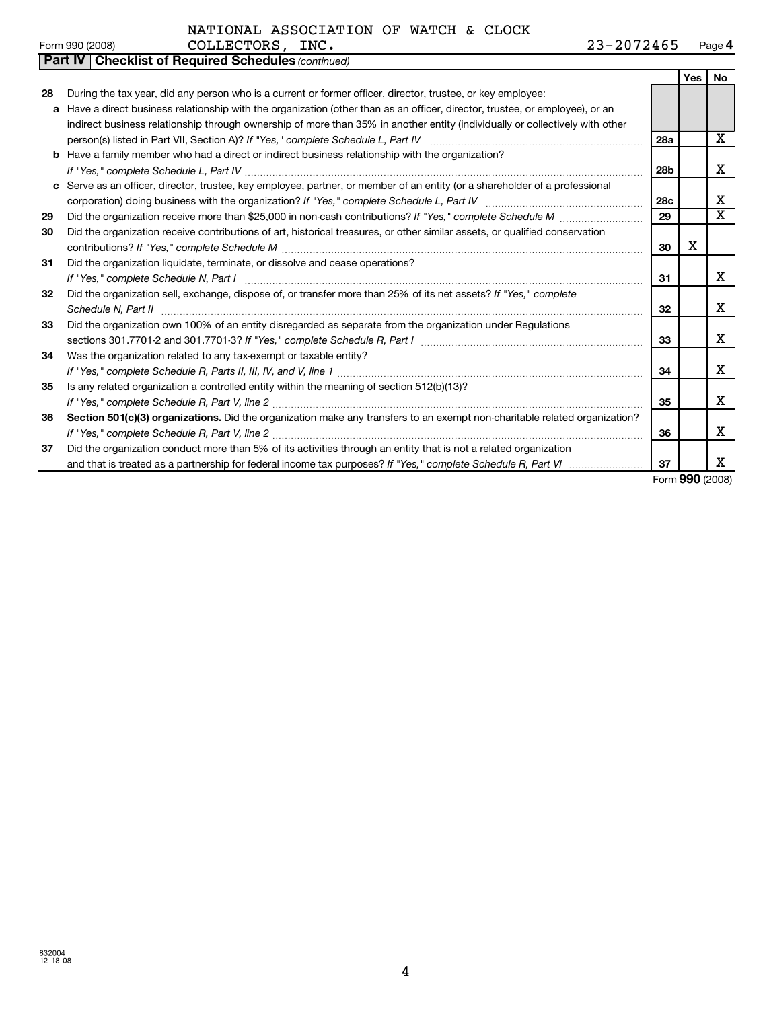### NATIONAL ASSOCIATION OF WATCH & CLOCK

| COLLECTORS,<br>INC.<br>Form 990 (2008) | 23-2072465 | Page 4 |
|----------------------------------------|------------|--------|
|----------------------------------------|------------|--------|

|  | NATIONAL ASSOCIATION OF WATCH & CLOCK |  |  |
|--|---------------------------------------|--|--|
|  |                                       |  |  |

|    | <b>Part IV   Checklist of Required Schedules (continued)</b>                                                                  |                 |            |           |
|----|-------------------------------------------------------------------------------------------------------------------------------|-----------------|------------|-----------|
|    |                                                                                                                               |                 | <b>Yes</b> | <b>No</b> |
| 28 | During the tax year, did any person who is a current or former officer, director, trustee, or key employee:                   |                 |            |           |
|    | a Have a direct business relationship with the organization (other than as an officer, director, trustee, or employee), or an |                 |            |           |
|    | indirect business relationship through ownership of more than 35% in another entity (individually or collectively with other  |                 |            |           |
|    |                                                                                                                               | 28a             |            | X         |
|    | <b>b</b> Have a family member who had a direct or indirect business relationship with the organization?                       |                 |            |           |
|    | If "Yes." complete Schedule L, Part IV                                                                                        | 28b             |            | x         |
|    | c Serve as an officer, director, trustee, key employee, partner, or member of an entity (or a shareholder of a professional   |                 |            |           |
|    |                                                                                                                               | 28 <sub>c</sub> |            | x         |
| 29 | Did the organization receive more than \$25,000 in non-cash contributions? If "Yes," complete Schedule M                      | 29              |            | X         |
| 30 | Did the organization receive contributions of art, historical treasures, or other similar assets, or qualified conservation   |                 |            |           |
|    |                                                                                                                               | 30              | x          |           |
| 31 | Did the organization liquidate, terminate, or dissolve and cease operations?                                                  |                 |            |           |
|    |                                                                                                                               | 31              |            | x         |
| 32 | Did the organization sell, exchange, dispose of, or transfer more than 25% of its net assets? If "Yes," complete              |                 |            |           |
|    |                                                                                                                               | 32              |            | x         |
| 33 | Did the organization own 100% of an entity disregarded as separate from the organization under Regulations                    |                 |            |           |
|    |                                                                                                                               | 33              |            | х         |
| 34 | Was the organization related to any tax-exempt or taxable entity?                                                             |                 |            |           |
|    |                                                                                                                               | 34              |            | х         |
| 35 | Is any related organization a controlled entity within the meaning of section 512(b)(13)?                                     |                 |            |           |
|    |                                                                                                                               | 35              |            | x         |
| 36 | Section 501(c)(3) organizations. Did the organization make any transfers to an exempt non-charitable related organization?    |                 |            |           |
|    |                                                                                                                               | 36              |            | x         |
| 37 | Did the organization conduct more than 5% of its activities through an entity that is not a related organization              |                 |            |           |
|    |                                                                                                                               | 37              |            | x         |

Form **990** (2008)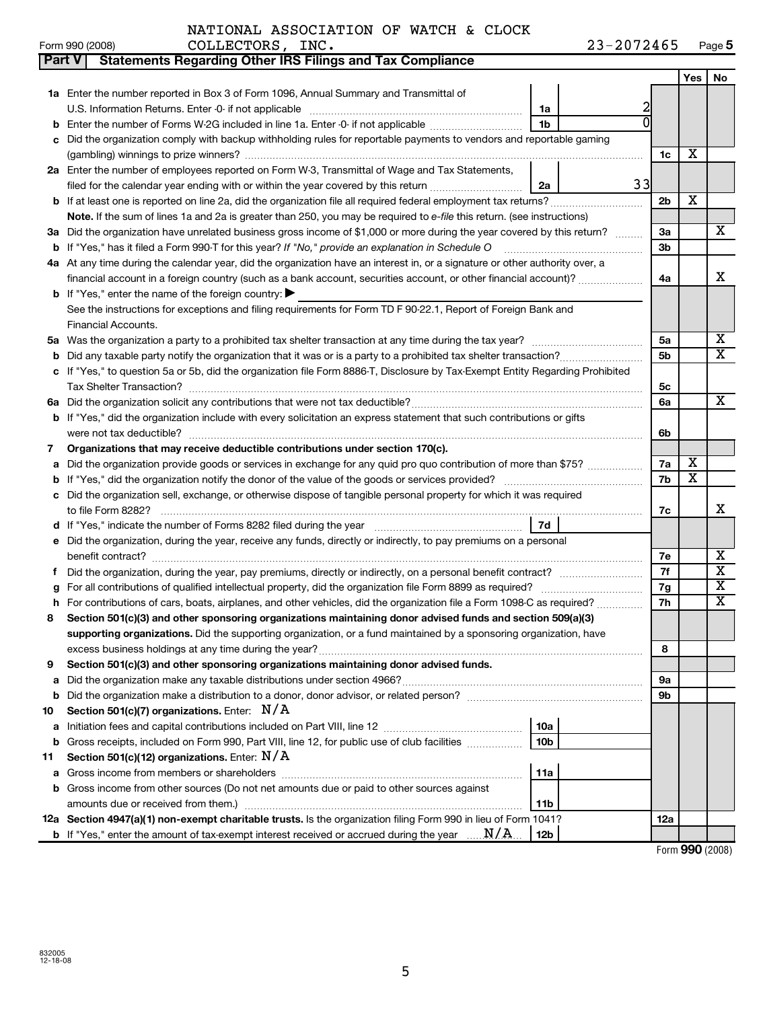| NATIONAL ASSOCIATION OF WATCH & CLOCK |  |  |
|---------------------------------------|--|--|
|---------------------------------------|--|--|

| Form 990 (2008) | <b>COLLECTORS</b> | INC. | 23-2072465 | Page 5 |
|-----------------|-------------------|------|------------|--------|
|                 |                   |      |            |        |

| Part V | <b>Statements Regarding Other IRS Filings and Tax Compliance</b>                                                              |                 |    |                |     |                         |
|--------|-------------------------------------------------------------------------------------------------------------------------------|-----------------|----|----------------|-----|-------------------------|
|        |                                                                                                                               |                 |    |                | Yes | No                      |
|        | 1a Enter the number reported in Box 3 of Form 1096, Annual Summary and Transmittal of                                         |                 |    |                |     |                         |
|        |                                                                                                                               | 1a              | 2  |                |     |                         |
| b      | Enter the number of Forms W-2G included in line 1a. Enter -0- if not applicable                                               | 1 <sub>b</sub>  |    |                |     |                         |
|        | c Did the organization comply with backup withholding rules for reportable payments to vendors and reportable gaming          |                 |    |                |     |                         |
|        |                                                                                                                               |                 |    | 1c             | х   |                         |
|        | 2a Enter the number of employees reported on Form W-3, Transmittal of Wage and Tax Statements,                                |                 |    |                |     |                         |
|        | filed for the calendar year ending with or within the year covered by this return <i>[[[[[[[[[[[[[[]]]]</i> ]]                | 2a              | 33 |                |     |                         |
|        | <b>b</b> If at least one is reported on line 2a, did the organization file all required federal employment tax returns?       |                 |    | 2 <sub>b</sub> | х   |                         |
|        | Note. If the sum of lines 1a and 2a is greater than 250, you may be required to e-file this return. (see instructions)        |                 |    |                |     |                         |
|        | 3a Did the organization have unrelated business gross income of \$1,000 or more during the year covered by this return?       |                 |    | За             |     | х                       |
|        | b If "Yes," has it filed a Form 990-T for this year? If "No," provide an explanation in Schedule O                            |                 |    | 3b             |     |                         |
|        | 4a At any time during the calendar year, did the organization have an interest in, or a signature or other authority over, a  |                 |    |                |     |                         |
|        | financial account in a foreign country (such as a bank account, securities account, or other financial account)?              |                 |    | 4a             |     | x                       |
|        | <b>b</b> If "Yes," enter the name of the foreign country: $\blacktriangleright$                                               |                 |    |                |     |                         |
|        | See the instructions for exceptions and filing requirements for Form TD F 90-22.1, Report of Foreign Bank and                 |                 |    |                |     |                         |
|        | Financial Accounts.                                                                                                           |                 |    |                |     |                         |
|        |                                                                                                                               |                 |    | 5a             |     | х                       |
|        |                                                                                                                               |                 |    | 5b             |     | X                       |
|        | c If "Yes," to question 5a or 5b, did the organization file Form 8886-T, Disclosure by Tax-Exempt Entity Regarding Prohibited |                 |    |                |     |                         |
|        |                                                                                                                               |                 |    | 5с             |     |                         |
|        |                                                                                                                               |                 |    | 6a             |     | X                       |
|        | <b>b</b> If "Yes," did the organization include with every solicitation an express statement that such contributions or gifts |                 |    |                |     |                         |
|        | were not tax deductible?                                                                                                      |                 |    | 6b             |     |                         |
| 7      | Organizations that may receive deductible contributions under section 170(c).                                                 |                 |    | 7a             | X   |                         |
|        | a Did the organization provide goods or services in exchange for any quid pro quo contribution of more than \$75?             |                 |    |                |     |                         |
|        | c Did the organization sell, exchange, or otherwise dispose of tangible personal property for which it was required           |                 |    |                |     |                         |
|        |                                                                                                                               |                 |    | 7c             |     | x                       |
|        |                                                                                                                               | 7d              |    |                |     |                         |
|        | e Did the organization, during the year, receive any funds, directly or indirectly, to pay premiums on a personal             |                 |    |                |     |                         |
|        | benefit contract? www.communication.com/www.communication.com/www.communication.com/www.com/www.com/www.com/ww                |                 |    | 7е             |     | х                       |
| f.     |                                                                                                                               |                 |    | 7f             |     | X                       |
| g      |                                                                                                                               |                 |    | 7g             |     | X                       |
| h      | For contributions of cars, boats, airplanes, and other vehicles, did the organization file a Form 1098-C as required?         |                 |    | 7h             |     | $\overline{\mathbf{x}}$ |
| 8      | Section 501(c)(3) and other sponsoring organizations maintaining donor advised funds and section 509(a)(3)                    |                 |    |                |     |                         |
|        | supporting organizations. Did the supporting organization, or a fund maintained by a sponsoring organization, have            |                 |    |                |     |                         |
|        | excess business holdings at any time during the year?                                                                         |                 |    | 8              |     |                         |
| 9      | Section 501(c)(3) and other sponsoring organizations maintaining donor advised funds.                                         |                 |    |                |     |                         |
| а      |                                                                                                                               |                 |    | 9а             |     |                         |
| b      |                                                                                                                               |                 |    | 9 <sub>b</sub> |     |                         |
| 10     | Section 501(c)(7) organizations. Enter: $N/A$                                                                                 |                 |    |                |     |                         |
| а      |                                                                                                                               | 10a             |    |                |     |                         |
| b      | Gross receipts, included on Form 990, Part VIII, line 12, for public use of club facilities                                   | 10 <sub>b</sub> |    |                |     |                         |
| 11     | Section 501(c)(12) organizations. Enter: $N/A$                                                                                |                 |    |                |     |                         |
| а      | Gross income from members or shareholders                                                                                     | 11a             |    |                |     |                         |
|        | b Gross income from other sources (Do not net amounts due or paid to other sources against                                    |                 |    |                |     |                         |
|        |                                                                                                                               | 11b             |    |                |     |                         |
|        | 12a Section 4947(a)(1) non-exempt charitable trusts. Is the organization filing Form 990 in lieu of Form 1041?                |                 |    | <b>12a</b>     |     |                         |
|        | <b>b</b> If "Yes," enter the amount of tax-exempt interest received or accrued during the year $\ldots$ N/A.                  | 12b             |    |                |     |                         |

Form **990** (2008)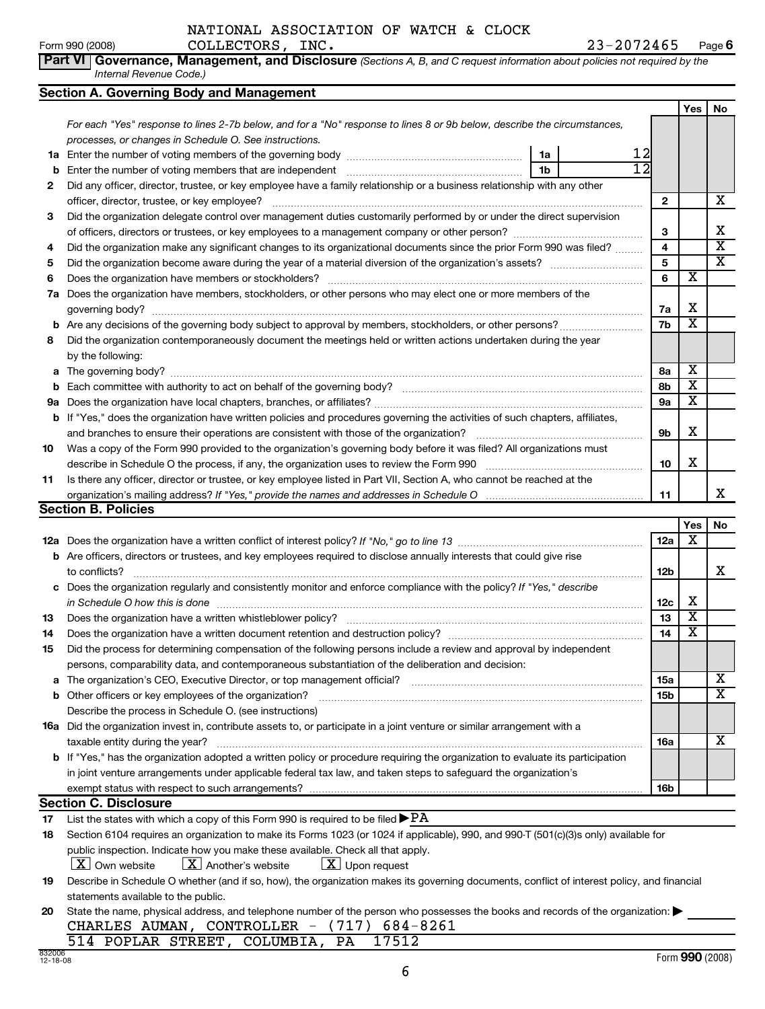#### NATIONAL ASSOCIATION OF WATCH & CLOCK

**Part VI Governance, Management, and Disclosure** *(Sections A, B, and C request information about policies not required by the Internal Revenue Code.)*

#### **Section A. Governing Body and Management**

|    | Secuon A. Governing Body and Management                                                                                          |                 |                         |                         |  |
|----|----------------------------------------------------------------------------------------------------------------------------------|-----------------|-------------------------|-------------------------|--|
|    |                                                                                                                                  |                 | Yes                     | <b>No</b>               |  |
|    | For each "Yes" response to lines 2-7b below, and for a "No" response to lines 8 or 9b below, describe the circumstances,         |                 |                         |                         |  |
|    | processes, or changes in Schedule O. See instructions.                                                                           |                 |                         |                         |  |
| 1a | 12<br>1a                                                                                                                         |                 |                         |                         |  |
| b  | $\overline{12}$<br>1 <sub>b</sub>                                                                                                |                 |                         |                         |  |
| 2  | Did any officer, director, trustee, or key employee have a family relationship or a business relationship with any other         |                 |                         |                         |  |
|    | officer, director, trustee, or key employee?                                                                                     | $\mathbf{2}$    |                         | x                       |  |
| 3  | Did the organization delegate control over management duties customarily performed by or under the direct supervision            |                 |                         |                         |  |
|    |                                                                                                                                  | З               |                         | х                       |  |
| 4  | Did the organization make any significant changes to its organizational documents since the prior Form 990 was filed?            | 4               |                         | $\overline{\mathbf{x}}$ |  |
| 5  |                                                                                                                                  | 5               |                         | $\overline{\textbf{x}}$ |  |
| 6  |                                                                                                                                  |                 |                         |                         |  |
| 7a | Does the organization have members, stockholders, or other persons who may elect one or more members of the                      |                 |                         |                         |  |
|    |                                                                                                                                  | 7a              | х                       |                         |  |
|    |                                                                                                                                  | 7b              | X                       |                         |  |
| 8  | Did the organization contemporaneously document the meetings held or written actions undertaken during the year                  |                 |                         |                         |  |
|    | by the following:                                                                                                                |                 |                         |                         |  |
| a  |                                                                                                                                  | 8a              | X                       |                         |  |
| b  |                                                                                                                                  | 8b              | X                       |                         |  |
|    |                                                                                                                                  |                 |                         |                         |  |
| b  | If "Yes," does the organization have written policies and procedures governing the activities of such chapters, affiliates,      |                 |                         |                         |  |
|    |                                                                                                                                  | 9b              | X                       |                         |  |
| 10 | Was a copy of the Form 990 provided to the organization's governing body before it was filed? All organizations must             |                 |                         |                         |  |
|    |                                                                                                                                  | 10              | x                       |                         |  |
| 11 | Is there any officer, director or trustee, or key employee listed in Part VII, Section A, who cannot be reached at the           |                 |                         |                         |  |
|    |                                                                                                                                  | 11              |                         | x                       |  |
|    | Section B. Policies                                                                                                              |                 |                         |                         |  |
|    |                                                                                                                                  |                 | Yes                     | No                      |  |
|    |                                                                                                                                  | 12a             | x                       |                         |  |
|    | <b>b</b> Are officers, directors or trustees, and key employees required to disclose annually interests that could give rise     |                 |                         |                         |  |
|    | to conflicts?                                                                                                                    | 12 <sub>b</sub> |                         | X                       |  |
|    | c Does the organization regularly and consistently monitor and enforce compliance with the policy? If "Yes," describe            |                 |                         |                         |  |
|    | in Schedule O how this is done                                                                                                   | 12c             | x                       |                         |  |
| 13 | Does the organization have a written whistleblower policy?                                                                       | 13              | $\overline{\mathbf{x}}$ |                         |  |
| 14 |                                                                                                                                  | 14              | $\overline{\mathbf{x}}$ |                         |  |
| 15 | Did the process for determining compensation of the following persons include a review and approval by independent               |                 |                         |                         |  |
|    | persons, comparability data, and contemporaneous substantiation of the deliberation and decision:                                |                 |                         |                         |  |
| a  |                                                                                                                                  |                 |                         | X                       |  |
| b  |                                                                                                                                  | 15b             |                         | X                       |  |
|    | Describe the process in Schedule O. (see instructions)                                                                           |                 |                         |                         |  |
|    | <b>16a</b> Did the organization invest in, contribute assets to, or participate in a joint venture or similar arrangement with a |                 |                         |                         |  |
|    | taxable entity during the year?                                                                                                  | 16a             |                         | х                       |  |

| taxable critity during the year:                                                                                                       | . он            |  |
|----------------------------------------------------------------------------------------------------------------------------------------|-----------------|--|
| <b>b</b> If "Yes," has the organization adopted a written policy or procedure requiring the organization to evaluate its participation |                 |  |
| in joint venture arrangements under applicable federal tax law, and taken steps to safeguard the organization's                        |                 |  |
| exempt status with respect to such arrangements?                                                                                       | 16 <sub>b</sub> |  |
|                                                                                                                                        |                 |  |

#### **Section C. Disclosure**

**17** List the states with which a copy of this Form 990 is required to be filed  ${\blacktriangleright} {\rm PA}$ 

| 18 Section 6104 requires an organization to make its Forms 1023 (or 1024 if applicable), 990, and 990-T (501(c)(3)s only) available for |  |
|-----------------------------------------------------------------------------------------------------------------------------------------|--|
| public inspection. Indicate how you make these available. Check all that apply.                                                         |  |
| $-$<br>$-$<br>.                                                                                                                         |  |

 $\boxed{\textbf{X}}$  Own website  $\boxed{\textbf{X}}$  Another's website  $\boxed{\textbf{X}}$  Upon request

**19** Describe in Schedule O whether (and if so, how), the organization makes its governing documents, conflict of interest policy, and financial statements available to the public.

| 20 State the name, physical address, and telephone number of the person who possesses the books and records of the organization: |
|----------------------------------------------------------------------------------------------------------------------------------|
| CHARLES AUMAN, CONTROLLER - (717) 684-8261                                                                                       |
| 514 POPLAR STREET, COLUMBIA, PA 17512                                                                                            |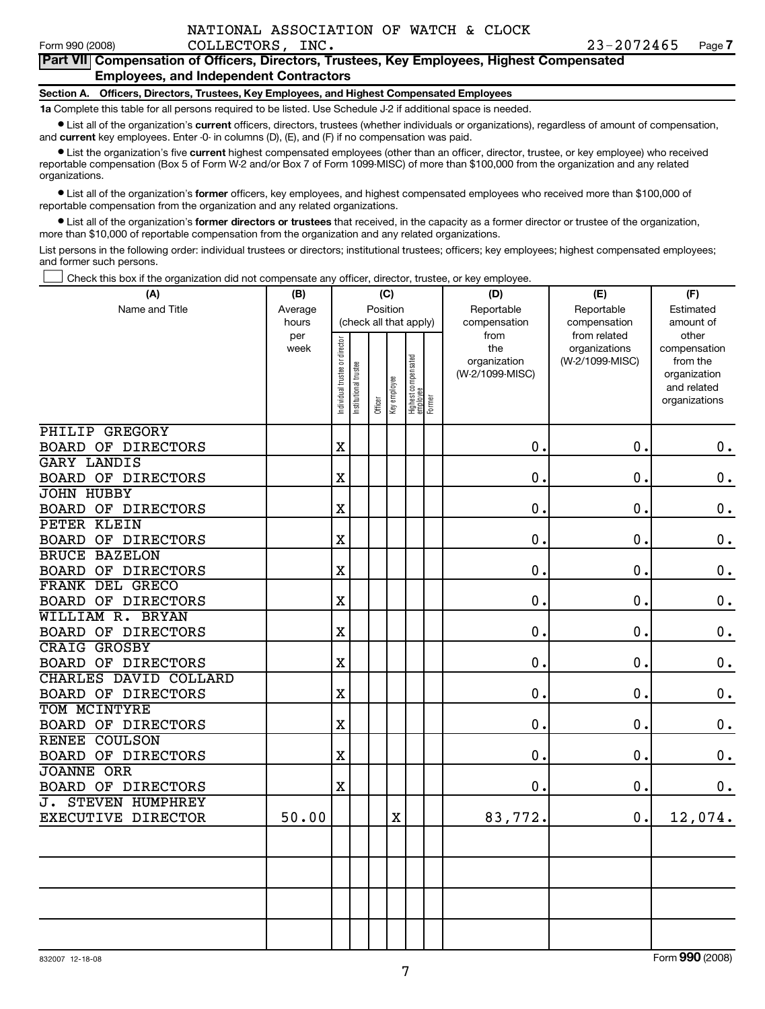#### **Part VII Compensation of Officers, Directors, Trustees, Key Employees, Highest Compensated Employees, and Independent Contractors**

#### **Section A. Officers, Directors, Trustees, Key Employees, and Highest Compensated Employees**

**1a** Complete this table for all persons required to be listed. Use Schedule J-2 if additional space is needed.

• List all of the organization's **current** officers, directors, trustees (whether individuals or organizations), regardless of amount of compensation, and **current** key employees. Enter -0- in columns (D), (E), and (F) if no compensation was paid.

• List the organization's five **current** highest compensated employees (other than an officer, director, trustee, or key employee) who received reportable compensation (Box 5 of Form W-2 and/or Box 7 of Form 1099-MISC) of more than \$100,000 from the organization and any related organizations.

• List all of the organization's **former** officers, key employees, and highest compensated employees who received more than \$100,000 of reportable compensation from the organization and any related organizations.

• List all of the organization's **former directors or trustees** that received, in the capacity as a former director or trustee of the organization, more than \$10,000 of reportable compensation from the organization and any related organizations.

List persons in the following order: individual trustees or directors; institutional trustees; officers; key employees; highest compensated employees; and former such persons.

† Check this box if the organization did not compensate any officer, director, trustee, or key employee.

| (A)                                     | (C)<br>(B)   |                               |                        |                         |             |                                           | (D)                  | (E)                              | (F)                      |  |  |
|-----------------------------------------|--------------|-------------------------------|------------------------|-------------------------|-------------|-------------------------------------------|----------------------|----------------------------------|--------------------------|--|--|
| Name and Title                          | Average      |                               |                        | Position                |             |                                           | Reportable           | Reportable                       | Estimated                |  |  |
|                                         | hours<br>per |                               | (check all that apply) |                         |             |                                           | compensation<br>from | compensation<br>from related     | amount of<br>other       |  |  |
|                                         | week         |                               |                        |                         |             |                                           | the<br>organization  | organizations<br>(W-2/1099-MISC) | compensation<br>from the |  |  |
|                                         |              |                               |                        |                         |             |                                           | (W-2/1099-MISC)      |                                  | organization             |  |  |
|                                         |              |                               |                        |                         |             |                                           |                      |                                  | and related              |  |  |
|                                         |              | ndividual trustee or director | nstitutional trustee   | Officer<br>Key employee |             | Highest compensated<br>employee<br>Former |                      |                                  | organizations            |  |  |
| <b>PHILIP GREGORY</b>                   |              |                               |                        |                         |             |                                           |                      |                                  |                          |  |  |
| BOARD OF DIRECTORS                      |              | $\rm X$                       |                        |                         |             |                                           | 0.                   | $\mathbf 0$ .                    | $0\cdot$                 |  |  |
| <b>GARY LANDIS</b>                      |              |                               |                        |                         |             |                                           |                      |                                  |                          |  |  |
| BOARD OF DIRECTORS                      |              | $\mathbf X$                   |                        |                         |             |                                           | $\mathbf 0$ .        | 0.                               | $\boldsymbol{0}$ .       |  |  |
| <b>JOHN HUBBY</b>                       |              |                               |                        |                         |             |                                           |                      |                                  |                          |  |  |
| <b>BOARD OF DIRECTORS</b>               |              | $\mathbf X$                   |                        |                         |             |                                           | 0.                   | $\mathbf 0$ .                    | $\mathbf 0$ .            |  |  |
| PETER KLEIN                             |              |                               |                        |                         |             |                                           |                      |                                  |                          |  |  |
| BOARD OF DIRECTORS                      |              | $\overline{\text{X}}$         |                        |                         |             |                                           | $\mathbf 0$ .        | $\mathbf 0$ .                    | $\boldsymbol{0}$ .       |  |  |
| <b>BRUCE BAZELON</b>                    |              |                               |                        |                         |             |                                           |                      |                                  |                          |  |  |
| <b>BOARD OF DIRECTORS</b>               |              | $\overline{\text{X}}$         |                        |                         |             |                                           | $\mathbf 0$ .        | $\mathbf 0$ .                    | $\boldsymbol{0}$ .       |  |  |
| FRANK DEL GRECO                         |              |                               |                        |                         |             |                                           |                      |                                  |                          |  |  |
| BOARD OF DIRECTORS                      |              | $\overline{\text{X}}$         |                        |                         |             |                                           | 0.                   | $\mathbf 0$ .                    | $\mathbf 0$ .            |  |  |
| WILLIAM R. BRYAN                        |              |                               |                        |                         |             |                                           |                      |                                  |                          |  |  |
| BOARD OF DIRECTORS                      |              | $\mathbf X$                   |                        |                         |             |                                           | $\mathbf 0$ .        | $\mathbf 0$ .                    | $\mathbf 0$ .            |  |  |
| <b>CRAIG GROSBY</b>                     |              |                               |                        |                         |             |                                           |                      |                                  |                          |  |  |
| <b>BOARD OF DIRECTORS</b>               |              | $\mathbf X$                   |                        |                         |             |                                           | $\mathbf 0$ .        | $\mathbf 0$ .                    | $\mathbf 0$ .            |  |  |
| CHARLES DAVID COLLARD                   |              |                               |                        |                         |             |                                           |                      |                                  |                          |  |  |
| BOARD OF DIRECTORS                      |              | $\mathbf X$                   |                        |                         |             |                                           | 0.                   | $\mathbf 0$ .                    | $\mathbf 0$ .            |  |  |
| TOM MCINTYRE                            |              |                               |                        |                         |             |                                           |                      |                                  |                          |  |  |
| <b>BOARD OF DIRECTORS</b>               |              | $\rm X$                       |                        |                         |             |                                           | 0.                   | $\mathbf 0$ .                    | $\mathbf 0$ .            |  |  |
| <b>RENEE COULSON</b>                    |              |                               |                        |                         |             |                                           |                      |                                  |                          |  |  |
| BOARD OF DIRECTORS<br><b>JOANNE ORR</b> |              | X                             |                        |                         |             |                                           | $\mathbf 0$ .        | $\mathbf 0$ .                    | $\mathbf 0$ .            |  |  |
| BOARD OF DIRECTORS                      |              | $\mathbf X$                   |                        |                         |             |                                           | 0.                   | $\mathbf 0$ .                    | $0\cdot$                 |  |  |
| <b>J. STEVEN HUMPHREY</b>               |              |                               |                        |                         |             |                                           |                      |                                  |                          |  |  |
| EXECUTIVE DIRECTOR                      | 50.00        |                               |                        |                         | $\mathbf X$ |                                           | 83,772.              | 0.                               | 12,074.                  |  |  |
|                                         |              |                               |                        |                         |             |                                           |                      |                                  |                          |  |  |
|                                         |              |                               |                        |                         |             |                                           |                      |                                  |                          |  |  |
|                                         |              |                               |                        |                         |             |                                           |                      |                                  |                          |  |  |
|                                         |              |                               |                        |                         |             |                                           |                      |                                  |                          |  |  |
|                                         |              |                               |                        |                         |             |                                           |                      |                                  |                          |  |  |
|                                         |              |                               |                        |                         |             |                                           |                      |                                  |                          |  |  |
|                                         |              |                               |                        |                         |             |                                           |                      |                                  |                          |  |  |
|                                         |              |                               |                        |                         |             |                                           |                      |                                  |                          |  |  |

832007 12-18-08 Form **990** (2008)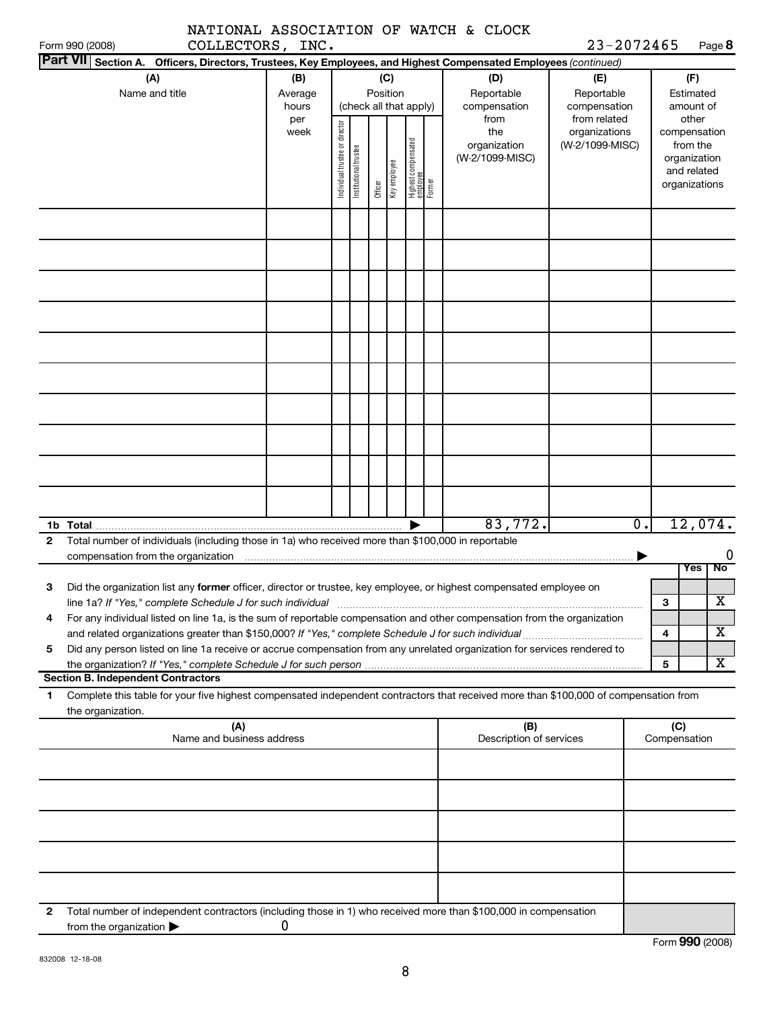| NATIONAL ASSOCIATION OF WATCH & CLOCK |  |  |
|---------------------------------------|--|--|
|                                       |  |  |

Form **990** (2008)

| Form 990 (2008)                                                                                                                                                                                                                 | COLLECTORS, INC.                 |                                |                       |          |              |                                           |                                                |                                                  | 23-2072465       |                                                                                   | Page 8  |
|---------------------------------------------------------------------------------------------------------------------------------------------------------------------------------------------------------------------------------|----------------------------------|--------------------------------|-----------------------|----------|--------------|-------------------------------------------|------------------------------------------------|--------------------------------------------------|------------------|-----------------------------------------------------------------------------------|---------|
| Part VII Section A. Officers, Directors, Trustees, Key Employees, and Highest Compensated Employees (continued)                                                                                                                 |                                  |                                |                       |          |              |                                           |                                                |                                                  |                  |                                                                                   |         |
| (A)<br>Name and title                                                                                                                                                                                                           | (B)<br>Average<br>hours          |                                |                       | Position | (C)          | (check all that apply)                    | (D)<br>Reportable<br>compensation              | (E)<br>Reportable<br>compensation                |                  | (F)<br>Estimated<br>amount of                                                     |         |
|                                                                                                                                                                                                                                 | per<br>week                      | Individual trustee or director | Institutional trustee | Officer  | Key employee | Highest compensated<br>employee<br>Former | from<br>the<br>organization<br>(W-2/1099-MISC) | from related<br>organizations<br>(W-2/1099-MISC) |                  | other<br>compensation<br>from the<br>organization<br>and related<br>organizations |         |
|                                                                                                                                                                                                                                 |                                  |                                |                       |          |              |                                           |                                                |                                                  |                  |                                                                                   |         |
|                                                                                                                                                                                                                                 |                                  |                                |                       |          |              |                                           |                                                |                                                  |                  |                                                                                   |         |
|                                                                                                                                                                                                                                 |                                  |                                |                       |          |              |                                           |                                                |                                                  |                  |                                                                                   |         |
|                                                                                                                                                                                                                                 |                                  |                                |                       |          |              |                                           |                                                |                                                  |                  |                                                                                   |         |
|                                                                                                                                                                                                                                 |                                  |                                |                       |          |              |                                           |                                                |                                                  |                  |                                                                                   |         |
|                                                                                                                                                                                                                                 |                                  |                                |                       |          |              |                                           |                                                |                                                  |                  |                                                                                   |         |
|                                                                                                                                                                                                                                 |                                  |                                |                       |          |              |                                           |                                                |                                                  |                  |                                                                                   |         |
|                                                                                                                                                                                                                                 |                                  |                                |                       |          |              |                                           |                                                |                                                  |                  |                                                                                   |         |
|                                                                                                                                                                                                                                 |                                  |                                |                       |          |              | ▶                                         | 83,772.                                        |                                                  | $\overline{0}$ . | 12,074.                                                                           |         |
| Total number of individuals (including those in 1a) who received more than \$100,000 in reportable<br>$\mathbf{2}$                                                                                                              |                                  |                                |                       |          |              |                                           |                                                |                                                  |                  |                                                                                   | 0       |
| Did the organization list any former officer, director or trustee, key employee, or highest compensated employee on<br>3                                                                                                        |                                  |                                |                       |          |              |                                           |                                                |                                                  | 3                | Yes                                                                               | No<br>X |
| For any individual listed on line 1a, is the sum of reportable compensation and other compensation from the organization<br>and related organizations greater than \$150,000? If "Yes," complete Schedule J for such individual |                                  |                                |                       |          |              |                                           |                                                |                                                  | 4                |                                                                                   | X       |
| Did any person listed on line 1a receive or accrue compensation from any unrelated organization for services rendered to<br>5                                                                                                   |                                  |                                |                       |          |              |                                           |                                                |                                                  | 5                |                                                                                   | X       |
| <b>Section B. Independent Contractors</b><br>Complete this table for your five highest compensated independent contractors that received more than \$100,000 of compensation from<br>1.<br>the organization.                    |                                  |                                |                       |          |              |                                           |                                                |                                                  |                  |                                                                                   |         |
|                                                                                                                                                                                                                                 | (A)<br>Name and business address |                                |                       |          |              |                                           | (B)<br>Description of services                 |                                                  |                  | (C)<br>Compensation                                                               |         |
|                                                                                                                                                                                                                                 |                                  |                                |                       |          |              |                                           |                                                |                                                  |                  |                                                                                   |         |
|                                                                                                                                                                                                                                 |                                  |                                |                       |          |              |                                           |                                                |                                                  |                  |                                                                                   |         |
|                                                                                                                                                                                                                                 |                                  |                                |                       |          |              |                                           |                                                |                                                  |                  |                                                                                   |         |
|                                                                                                                                                                                                                                 |                                  |                                |                       |          |              |                                           |                                                |                                                  |                  |                                                                                   |         |
| Total number of independent contractors (including those in 1) who received more than \$100,000 in compensation<br>2<br>from the organization $\blacktriangleright$                                                             | 0                                |                                |                       |          |              |                                           |                                                |                                                  |                  |                                                                                   |         |

8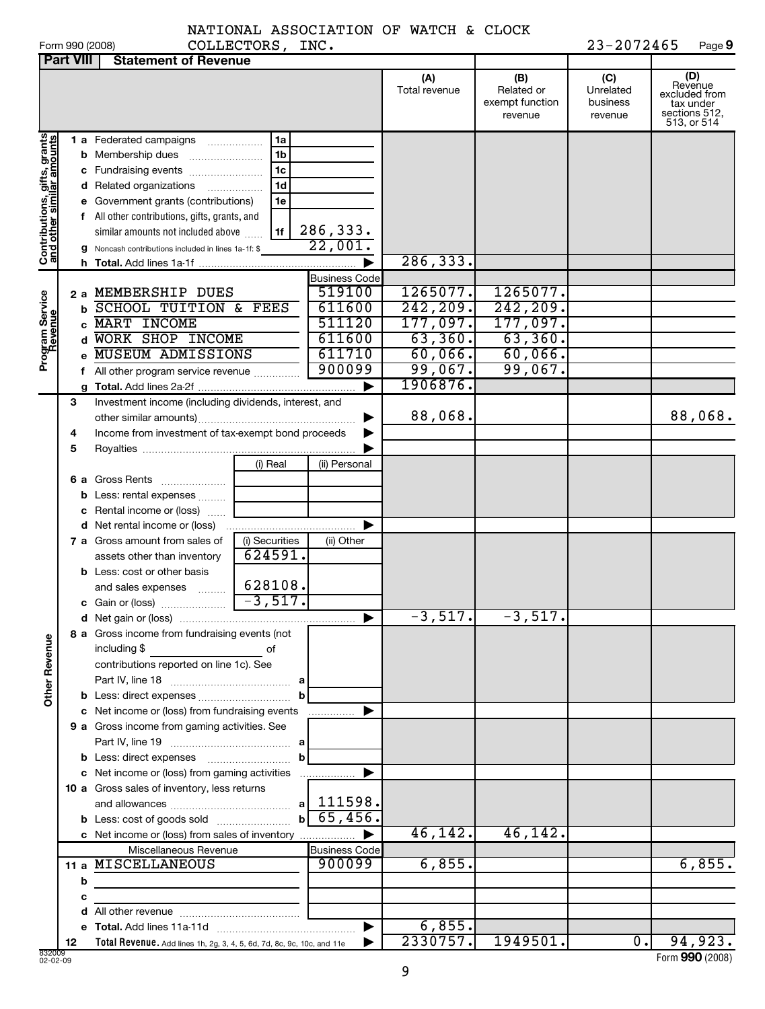|  | Form 990 (2008) |
|--|-----------------|

#### NATIONAL ASSOCIATION OF WATCH & CLOCK COLLECTORS, INC.

Form 23-2072465 Page 9<br>
Form 2008) **Page 9** 

|                                                           | <b>Part VIII</b> | <b>Statement of Revenue</b>                                            |                |                      |                      |                                                 |                                         |                                                                              |
|-----------------------------------------------------------|------------------|------------------------------------------------------------------------|----------------|----------------------|----------------------|-------------------------------------------------|-----------------------------------------|------------------------------------------------------------------------------|
|                                                           |                  |                                                                        |                |                      | (A)<br>Total revenue | (B)<br>Related or<br>exempt function<br>revenue | (C)<br>Unrelated<br>business<br>revenue | (D)<br>Revenue<br>excluded from<br>tax under<br>sections 512.<br>513, or 514 |
|                                                           |                  | 1 a Federated campaigns                                                | 1a             |                      |                      |                                                 |                                         |                                                                              |
|                                                           |                  | <b>b</b> Membership dues                                               | 1 <sub>b</sub> |                      |                      |                                                 |                                         |                                                                              |
|                                                           |                  | c Fundraising events                                                   | 1 <sub>c</sub> |                      |                      |                                                 |                                         |                                                                              |
|                                                           |                  | d Related organizations                                                | 1 <sub>d</sub> |                      |                      |                                                 |                                         |                                                                              |
|                                                           |                  | e Government grants (contributions)                                    | 1e             |                      |                      |                                                 |                                         |                                                                              |
|                                                           |                  | f All other contributions, gifts, grants, and                          |                |                      |                      |                                                 |                                         |                                                                              |
|                                                           |                  | similar amounts not included above                                     | 1f             | 286,333.             |                      |                                                 |                                         |                                                                              |
| Contributions, gifts, grants<br>and other similar amounts |                  | g Noncash contributions included in lines 1a-1f: \$                    |                | 22,001.              |                      |                                                 |                                         |                                                                              |
|                                                           |                  |                                                                        |                |                      | 286,333.             |                                                 |                                         |                                                                              |
|                                                           |                  |                                                                        |                | <b>Business Code</b> |                      |                                                 |                                         |                                                                              |
|                                                           |                  | 2 a MEMBERSHIP DUES                                                    |                | 519100               | 1265077.             | 1265077.                                        |                                         |                                                                              |
|                                                           |                  | <b>b SCHOOL TUITION &amp; FEES</b>                                     |                | 611600               | 242, 209.            | 242, 209.                                       |                                         |                                                                              |
|                                                           |                  | c MART INCOME                                                          |                | 511120               | 177,097.             | 177,097.                                        |                                         |                                                                              |
| Program Service<br>Revenue                                |                  | d WORK SHOP INCOME                                                     |                | 611600               | 63,360.              | 63,360.                                         |                                         |                                                                              |
|                                                           |                  | MUSEUM ADMISSIONS                                                      |                | 611710<br>900099     | 60,066.              | $60,066$ .                                      |                                         |                                                                              |
|                                                           |                  | All other program service revenue                                      |                |                      | 99,067.<br>1906876   | 99,067.                                         |                                         |                                                                              |
|                                                           | 3                | Investment income (including dividends, interest, and                  |                | ▶                    |                      |                                                 |                                         |                                                                              |
|                                                           |                  |                                                                        |                |                      | 88,068.              |                                                 |                                         | 88,068.                                                                      |
|                                                           | 4                | Income from investment of tax-exempt bond proceeds                     |                |                      |                      |                                                 |                                         |                                                                              |
|                                                           | 5                |                                                                        |                |                      |                      |                                                 |                                         |                                                                              |
|                                                           |                  |                                                                        | (i) Real       | (ii) Personal        |                      |                                                 |                                         |                                                                              |
|                                                           |                  | 6 a Gross Rents<br>$\ldots \ldots \ldots \ldots \ldots$                |                |                      |                      |                                                 |                                         |                                                                              |
|                                                           |                  | <b>b</b> Less: rental expenses                                         |                |                      |                      |                                                 |                                         |                                                                              |
|                                                           |                  | c Rental income or (loss)                                              |                |                      |                      |                                                 |                                         |                                                                              |
|                                                           |                  |                                                                        |                |                      |                      |                                                 |                                         |                                                                              |
|                                                           |                  | <b>7 a</b> Gross amount from sales of                                  | (i) Securities | (ii) Other           |                      |                                                 |                                         |                                                                              |
|                                                           |                  | assets other than inventory                                            | 624591.        |                      |                      |                                                 |                                         |                                                                              |
|                                                           |                  | <b>b</b> Less: cost or other basis                                     |                |                      |                      |                                                 |                                         |                                                                              |
|                                                           |                  | and sales expenses                                                     | 628108.        |                      |                      |                                                 |                                         |                                                                              |
|                                                           |                  |                                                                        | $-3,517.$      |                      |                      |                                                 |                                         |                                                                              |
|                                                           |                  |                                                                        |                |                      | $-3,517.$            | $-3,517.$                                       |                                         |                                                                              |
|                                                           |                  | 8 a Gross income from fundraising events (not                          |                |                      |                      |                                                 |                                         |                                                                              |
| <b>Other Revenue</b>                                      |                  | including \$                                                           | οf             |                      |                      |                                                 |                                         |                                                                              |
|                                                           |                  | contributions reported on line 1c). See                                |                |                      |                      |                                                 |                                         |                                                                              |
|                                                           |                  |                                                                        |                |                      |                      |                                                 |                                         |                                                                              |
|                                                           |                  | c Net income or (loss) from fundraising events                         |                |                      |                      |                                                 |                                         |                                                                              |
|                                                           |                  | 9 a Gross income from gaming activities. See                           |                |                      |                      |                                                 |                                         |                                                                              |
|                                                           |                  |                                                                        |                |                      |                      |                                                 |                                         |                                                                              |
|                                                           |                  |                                                                        |                |                      |                      |                                                 |                                         |                                                                              |
|                                                           |                  | c Net income or (loss) from gaming activities                          |                |                      |                      |                                                 |                                         |                                                                              |
|                                                           |                  | 10 a Gross sales of inventory, less returns                            |                |                      |                      |                                                 |                                         |                                                                              |
|                                                           |                  |                                                                        |                | $a$   111598.        |                      |                                                 |                                         |                                                                              |
|                                                           |                  |                                                                        | bl             | 65,456.              |                      |                                                 |                                         |                                                                              |
|                                                           |                  | c Net income or (loss) from sales of inventory                         |                |                      | 46,142.              | 46, 142.                                        |                                         |                                                                              |
|                                                           |                  | Miscellaneous Revenue                                                  |                | <b>Business Code</b> |                      |                                                 |                                         |                                                                              |
|                                                           |                  | 11 a MISCELLANEOUS                                                     |                | 900099               | 6,855.               |                                                 |                                         | 6,855.                                                                       |
|                                                           | b                |                                                                        |                |                      |                      |                                                 |                                         |                                                                              |
|                                                           | с                |                                                                        |                |                      |                      |                                                 |                                         |                                                                              |
|                                                           | d                |                                                                        |                |                      |                      |                                                 |                                         |                                                                              |
|                                                           |                  |                                                                        |                |                      | 6,855.               |                                                 |                                         |                                                                              |
|                                                           | 12               | Total Revenue. Add lines 1h, 2g, 3, 4, 5, 6d, 7d, 8c, 9c, 10c, and 11e |                |                      | 2330757.             | 1949501.                                        | $\overline{0}$ .                        | 94,923.                                                                      |

02-02-09 Form **990** (2008)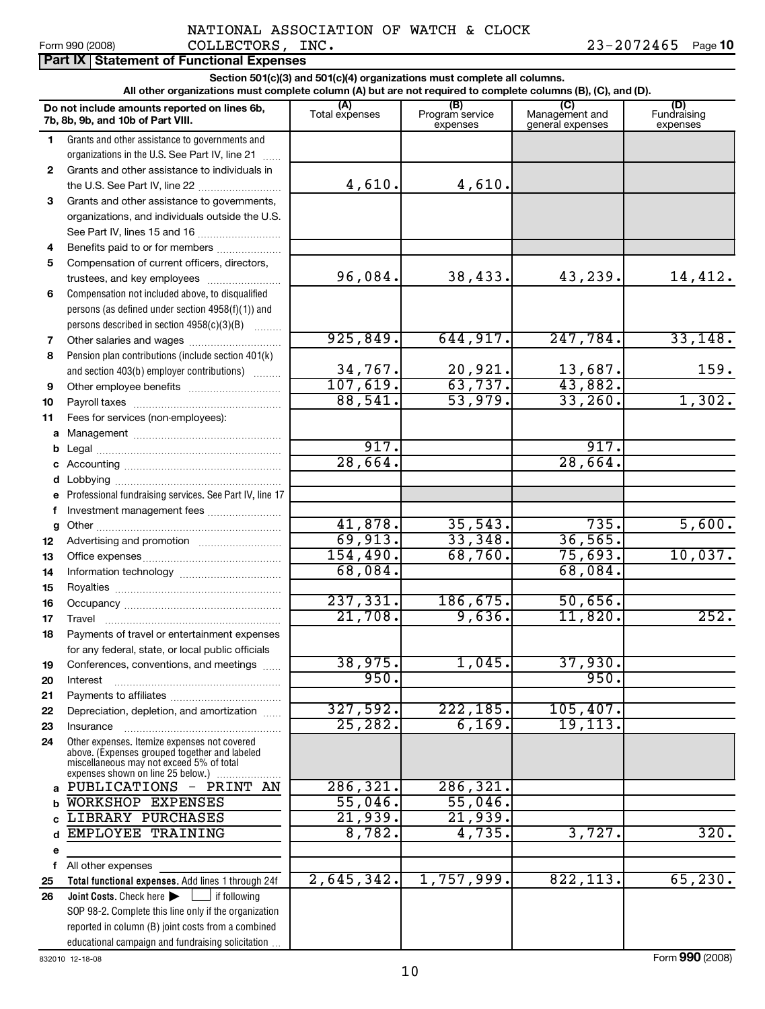|              | Section 501(c)(3) and 501(c)(4) organizations must complete all columns.<br>All other organizations must complete column (A) but are not required to complete columns (B), (C), and (D). |                          |                             |                                    |                                |  |  |  |  |  |
|--------------|------------------------------------------------------------------------------------------------------------------------------------------------------------------------------------------|--------------------------|-----------------------------|------------------------------------|--------------------------------|--|--|--|--|--|
|              |                                                                                                                                                                                          | (A)                      | (B)                         | (C)                                |                                |  |  |  |  |  |
|              | Do not include amounts reported on lines 6b,<br>7b, 8b, 9b, and 10b of Part VIII.                                                                                                        | Total expenses           | Program service<br>expenses | Management and<br>general expenses | (D)<br>Fundraising<br>expenses |  |  |  |  |  |
| 1            | Grants and other assistance to governments and                                                                                                                                           |                          |                             |                                    |                                |  |  |  |  |  |
|              | organizations in the U.S. See Part IV, line 21                                                                                                                                           |                          |                             |                                    |                                |  |  |  |  |  |
| $\mathbf{2}$ | Grants and other assistance to individuals in                                                                                                                                            |                          |                             |                                    |                                |  |  |  |  |  |
|              | the U.S. See Part IV, line 22                                                                                                                                                            | 4,610.                   | 4,610.                      |                                    |                                |  |  |  |  |  |
| 3            | Grants and other assistance to governments,                                                                                                                                              |                          |                             |                                    |                                |  |  |  |  |  |
|              | organizations, and individuals outside the U.S.                                                                                                                                          |                          |                             |                                    |                                |  |  |  |  |  |
|              |                                                                                                                                                                                          |                          |                             |                                    |                                |  |  |  |  |  |
| 4            | Benefits paid to or for members                                                                                                                                                          |                          |                             |                                    |                                |  |  |  |  |  |
| 5            | Compensation of current officers, directors,                                                                                                                                             |                          |                             |                                    |                                |  |  |  |  |  |
|              | trustees, and key employees                                                                                                                                                              | 96,084.                  | 38,433.                     | 43,239.                            | 14,412.                        |  |  |  |  |  |
| 6            | Compensation not included above, to disqualified                                                                                                                                         |                          |                             |                                    |                                |  |  |  |  |  |
|              | persons (as defined under section 4958(f)(1)) and                                                                                                                                        |                          |                             |                                    |                                |  |  |  |  |  |
|              | persons described in section 4958(c)(3)(B)                                                                                                                                               |                          |                             |                                    |                                |  |  |  |  |  |
| 7            | Other salaries and wages                                                                                                                                                                 | 925,849.                 | 644,917.                    | 247,784.                           | 33,148.                        |  |  |  |  |  |
| 8            | Pension plan contributions (include section 401(k)                                                                                                                                       |                          |                             |                                    |                                |  |  |  |  |  |
|              | and section 403(b) employer contributions)                                                                                                                                               | $\frac{34,767}{107,619}$ | $\frac{20,921}{63,737}$     | $\frac{13,687}{43,882}$            | 159.                           |  |  |  |  |  |
| 9            |                                                                                                                                                                                          |                          |                             |                                    |                                |  |  |  |  |  |
| 10           |                                                                                                                                                                                          | 88,541.                  | $\overline{53,979.}$        | 33,260.                            | 1,302.                         |  |  |  |  |  |
| 11           | Fees for services (non-employees):                                                                                                                                                       |                          |                             |                                    |                                |  |  |  |  |  |
|              |                                                                                                                                                                                          |                          |                             |                                    |                                |  |  |  |  |  |
| b            |                                                                                                                                                                                          | 917.                     |                             | 917.                               |                                |  |  |  |  |  |
| c            |                                                                                                                                                                                          | 28,664.                  |                             | 28,664.                            |                                |  |  |  |  |  |
| d            |                                                                                                                                                                                          |                          |                             |                                    |                                |  |  |  |  |  |
| е            | Professional fundraising services. See Part IV, line 17                                                                                                                                  |                          |                             |                                    |                                |  |  |  |  |  |
| f            | Investment management fees                                                                                                                                                               |                          |                             |                                    |                                |  |  |  |  |  |
| g            |                                                                                                                                                                                          | 41,878.                  | 35,543.                     | 735.                               | 5,600.                         |  |  |  |  |  |
| 12           | Advertising and promotion                                                                                                                                                                | 69,913.                  | 33,348.                     | 36,565.                            |                                |  |  |  |  |  |
| 13           |                                                                                                                                                                                          | 154,490.                 | 68,760.                     | 75,693.                            | 10,037.                        |  |  |  |  |  |
| 14           |                                                                                                                                                                                          | 68,084.                  |                             | 68,084.                            |                                |  |  |  |  |  |
| 15           |                                                                                                                                                                                          |                          |                             |                                    |                                |  |  |  |  |  |
| 16           |                                                                                                                                                                                          | 237,331.                 | 186,675.                    | 50,656.                            |                                |  |  |  |  |  |
| 17           |                                                                                                                                                                                          | 21,708.                  | 9,636.                      | 11,820.                            | 252.                           |  |  |  |  |  |
| 18           | Payments of travel or entertainment expenses                                                                                                                                             |                          |                             |                                    |                                |  |  |  |  |  |
|              | for any federal, state, or local public officials                                                                                                                                        |                          | 1,045.                      | 37,930.                            |                                |  |  |  |  |  |
| 19           | Conferences, conventions, and meetings                                                                                                                                                   | 38,975.<br>950.          |                             | 950.                               |                                |  |  |  |  |  |
| 20           | Interest                                                                                                                                                                                 |                          |                             |                                    |                                |  |  |  |  |  |
| 21           |                                                                                                                                                                                          | 327,592.                 | 222, 185.                   | 105,407.                           |                                |  |  |  |  |  |
| 22           | Depreciation, depletion, and amortization                                                                                                                                                | 25, 282.                 | 6,169.                      | 19, 113.                           |                                |  |  |  |  |  |
| 23<br>24     | Insurance<br>Other expenses. Itemize expenses not covered                                                                                                                                |                          |                             |                                    |                                |  |  |  |  |  |
|              | above. (Expenses grouped together and labeled<br>miscellaneous may not exceed 5% of total<br>expenses shown on line 25 below.)                                                           |                          |                             |                                    |                                |  |  |  |  |  |
| a            | PUBLICATIONS - PRINT AN                                                                                                                                                                  | 286, 321.                | 286, 321.                   |                                    |                                |  |  |  |  |  |
|              | WORKSHOP EXPENSES                                                                                                                                                                        | 55,046.                  | 55,046.                     |                                    |                                |  |  |  |  |  |
|              | LIBRARY PURCHASES                                                                                                                                                                        | 21,939.                  | 21,939.                     |                                    |                                |  |  |  |  |  |
|              | EMPLOYEE TRAINING                                                                                                                                                                        | 8,782.                   | 4,735.                      | 3,727.                             | 320.                           |  |  |  |  |  |
| е            |                                                                                                                                                                                          |                          |                             |                                    |                                |  |  |  |  |  |
| f            | All other expenses                                                                                                                                                                       |                          |                             |                                    |                                |  |  |  |  |  |
| 25           | Total functional expenses. Add lines 1 through 24f                                                                                                                                       | 2,645,342.               | 1,757,999.                  | 822, 113.                          | 65, 230.                       |  |  |  |  |  |
| 26           | $\overline{\phantom{a}}$ if following<br>Joint Costs. Check here                                                                                                                         |                          |                             |                                    |                                |  |  |  |  |  |
|              | SOP 98-2. Complete this line only if the organization                                                                                                                                    |                          |                             |                                    |                                |  |  |  |  |  |
|              | reported in column (B) joint costs from a combined                                                                                                                                       |                          |                             |                                    |                                |  |  |  |  |  |
|              | educational campaign and fundraising solicitation.                                                                                                                                       |                          |                             |                                    |                                |  |  |  |  |  |

832010 12-18-08 Form **990** (2008)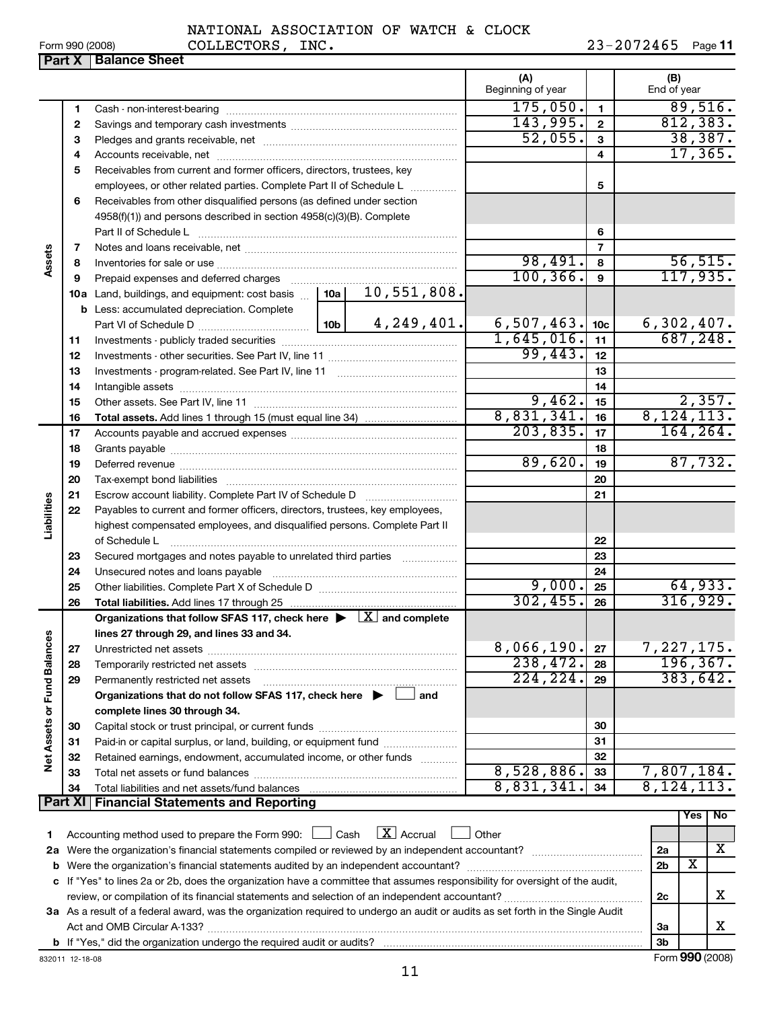|  | NATIONAL ASSOCIATION OF WATCH & CLOCK |  |  |  |  |
|--|---------------------------------------|--|--|--|--|
|--|---------------------------------------|--|--|--|--|

Form 990 (2008) Page **11** COLLECTORS, INC. 23-2072465

|                          |                |                                                                                                                                 | (A)<br>Beginning of year |                  | (B)<br>End of year                        |
|--------------------------|----------------|---------------------------------------------------------------------------------------------------------------------------------|--------------------------|------------------|-------------------------------------------|
|                          | 1              |                                                                                                                                 | 175,050.                 | $\mathbf{1}$     | 89,516.                                   |
|                          | 2              |                                                                                                                                 | 143,995.                 | $\mathbf{2}$     | 812, 383.                                 |
|                          | 3              |                                                                                                                                 | 52,055.                  | 3                | 38,387.                                   |
|                          | 4              |                                                                                                                                 |                          | 4                | 17, 365.                                  |
|                          | 5              | Receivables from current and former officers, directors, trustees, key                                                          |                          |                  |                                           |
|                          |                | employees, or other related parties. Complete Part II of Schedule L                                                             |                          | 5                |                                           |
|                          | 6              | Receivables from other disqualified persons (as defined under section                                                           |                          |                  |                                           |
|                          |                | 4958(f)(1)) and persons described in section 4958(c)(3)(B). Complete                                                            |                          |                  |                                           |
|                          |                | Part II of Schedule L                                                                                                           |                          | 6                |                                           |
|                          | 7              |                                                                                                                                 |                          | $\overline{7}$   |                                           |
| Assets                   | 8              |                                                                                                                                 | 98,491.                  | 8                | 56, 515.                                  |
|                          | 9              | Prepaid expenses and deferred charges [11] [11] Prepaid expenses and deferred charges [11] [11] American materials              | 100, 366.                | $\boldsymbol{9}$ | 117,935.                                  |
|                          |                | 10,551,808.<br>10a Land, buildings, and equipment: cost basis [10a]                                                             |                          |                  |                                           |
|                          |                | <b>b</b> Less: accumulated depreciation. Complete                                                                               |                          |                  |                                           |
|                          |                |                                                                                                                                 | 6,507,463.               | 10 <sub>c</sub>  |                                           |
|                          | 11             |                                                                                                                                 | 1,645,016.               | 11               | $\frac{6,302,407.}{687,248.}$             |
|                          | 12             |                                                                                                                                 | 99,443.                  | 12               |                                           |
|                          | 13             |                                                                                                                                 |                          | 13               |                                           |
|                          | 14             |                                                                                                                                 |                          | 14               |                                           |
|                          | 15             |                                                                                                                                 | 9,462.                   | 15               | 2,357.                                    |
|                          | 16             |                                                                                                                                 | 8,831,341.               | 16               | 8, 124, 113.                              |
|                          | 17             |                                                                                                                                 | 203,835.                 | 17               | 164, 264.                                 |
|                          | 18             |                                                                                                                                 |                          | 18               |                                           |
|                          | 19             |                                                                                                                                 | 89,620.                  | 19               | 87,732.                                   |
|                          | 20             |                                                                                                                                 |                          | 20               |                                           |
|                          | 21             |                                                                                                                                 |                          | 21               |                                           |
| Liabilities              | 22             | Payables to current and former officers, directors, trustees, key employees,                                                    |                          |                  |                                           |
|                          |                | highest compensated employees, and disqualified persons. Complete Part II                                                       |                          |                  |                                           |
|                          |                | of Schedule L                                                                                                                   |                          | 22               |                                           |
|                          | 23             | Secured mortgages and notes payable to unrelated third parties                                                                  |                          | 23               |                                           |
|                          | 24             |                                                                                                                                 |                          | 24               |                                           |
|                          | 25             |                                                                                                                                 | 9,000.                   | 25               | 64,933.                                   |
|                          | 26             |                                                                                                                                 | 302, 455.                | 26               | 316,929.                                  |
|                          |                | Organizations that follow SFAS 117, check here $\blacktriangleright \lfloor X \rfloor$ and complete                             |                          |                  |                                           |
| <b>ces</b>               |                | lines 27 through 29, and lines 33 and 34.                                                                                       |                          |                  |                                           |
|                          |                |                                                                                                                                 | 8,066,190.               | 27               | 7,227,175.                                |
|                          | 28             |                                                                                                                                 | 238,472.<br>224, 224.    | 28               | 196, 367.<br>383,642.                     |
|                          | 29             | Permanently restricted net assets<br>and                                                                                        |                          | 29               |                                           |
|                          |                | Organizations that do not follow SFAS 117, check here $\blacktriangleright$                                                     |                          |                  |                                           |
| Net Assets or Fund Balan | 30             | complete lines 30 through 34.                                                                                                   |                          | 30               |                                           |
|                          | 31             | Paid-in or capital surplus, or land, building, or equipment fund                                                                |                          | 31               |                                           |
|                          | 32             | Retained earnings, endowment, accumulated income, or other funds                                                                |                          | 32               |                                           |
|                          | 33             |                                                                                                                                 | 8,528,886.               | 33               | 7,807,184.                                |
|                          | 34             |                                                                                                                                 | 8,831,341.               | 34               | 8, 124, 113.                              |
|                          | <b>Part XI</b> | <b>Financial Statements and Reporting</b>                                                                                       |                          |                  |                                           |
|                          |                |                                                                                                                                 |                          |                  | No<br>Yes                                 |
| 1                        |                | $\lfloor x \rfloor$ Accrual<br>Accounting method used to prepare the Form 990: <u>I</u> Cash                                    | Other                    |                  |                                           |
|                          |                |                                                                                                                                 |                          |                  | х<br>2a                                   |
|                          |                |                                                                                                                                 |                          |                  | $\overline{\mathbf{X}}$<br>2 <sub>b</sub> |
|                          |                | c If "Yes" to lines 2a or 2b, does the organization have a committee that assumes responsibility for oversight of the audit,    |                          |                  |                                           |
|                          |                | x<br>2c                                                                                                                         |                          |                  |                                           |
|                          |                | 3a As a result of a federal award, was the organization required to undergo an audit or audits as set forth in the Single Audit |                          |                  |                                           |
|                          |                |                                                                                                                                 |                          |                  | x<br>За                                   |
|                          |                |                                                                                                                                 |                          |                  | 3b                                        |

**Part X Balance Sheet**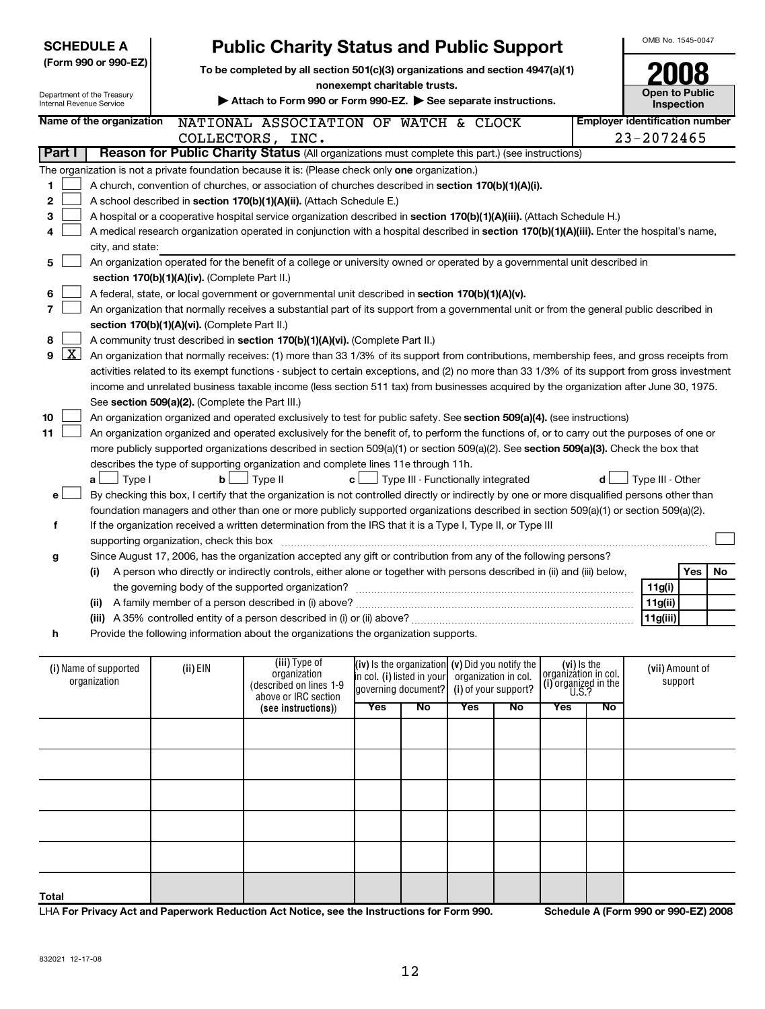| <b>SCHEDULE A</b> |                    |                                                                                                                         |                                                                                                                                               | <b>Public Charity Status and Public Support</b>                                                                                               |                                    |                                                     |                      |                      |                                     |    | OMB No. 1545-0047                     |         |     |  |
|-------------------|--------------------|-------------------------------------------------------------------------------------------------------------------------|-----------------------------------------------------------------------------------------------------------------------------------------------|-----------------------------------------------------------------------------------------------------------------------------------------------|------------------------------------|-----------------------------------------------------|----------------------|----------------------|-------------------------------------|----|---------------------------------------|---------|-----|--|
|                   |                    | (Form 990 or 990-EZ)                                                                                                    | To be completed by all section 501(c)(3) organizations and section 4947(a)(1)                                                                 |                                                                                                                                               |                                    |                                                     |                      |                      |                                     |    |                                       |         |     |  |
|                   |                    |                                                                                                                         | nonexempt charitable trusts.                                                                                                                  |                                                                                                                                               |                                    |                                                     |                      |                      |                                     |    |                                       |         |     |  |
|                   |                    | Department of the Treasury<br><b>Internal Revenue Service</b>                                                           |                                                                                                                                               | Attach to Form 990 or Form 990-EZ. See separate instructions.                                                                                 |                                    |                                                     |                      |                      |                                     |    | <b>Open to Public</b><br>Inspection   |         |     |  |
|                   |                    | Name of the organization                                                                                                |                                                                                                                                               | NATIONAL ASSOCIATION OF WATCH & CLOCK                                                                                                         |                                    |                                                     |                      |                      |                                     |    | <b>Employer identification number</b> |         |     |  |
|                   |                    |                                                                                                                         |                                                                                                                                               | COLLECTORS, INC.                                                                                                                              |                                    |                                                     |                      |                      |                                     |    | 23-2072465                            |         |     |  |
|                   | Part I             |                                                                                                                         |                                                                                                                                               | Reason for Public Charity Status (All organizations must complete this part.) (see instructions)                                              |                                    |                                                     |                      |                      |                                     |    |                                       |         |     |  |
|                   |                    |                                                                                                                         |                                                                                                                                               | The organization is not a private foundation because it is: (Please check only one organization.)                                             |                                    |                                                     |                      |                      |                                     |    |                                       |         |     |  |
| 1                 |                    |                                                                                                                         |                                                                                                                                               | A church, convention of churches, or association of churches described in section 170(b)(1)(A)(i).                                            |                                    |                                                     |                      |                      |                                     |    |                                       |         |     |  |
| 2                 |                    |                                                                                                                         |                                                                                                                                               | A school described in section 170(b)(1)(A)(ii). (Attach Schedule E.)                                                                          |                                    |                                                     |                      |                      |                                     |    |                                       |         |     |  |
| 3                 |                    |                                                                                                                         |                                                                                                                                               | A hospital or a cooperative hospital service organization described in section 170(b)(1)(A)(iii). (Attach Schedule H.)                        |                                    |                                                     |                      |                      |                                     |    |                                       |         |     |  |
| 4                 |                    |                                                                                                                         |                                                                                                                                               | A medical research organization operated in conjunction with a hospital described in section 170(b)(1)(A)(iii). Enter the hospital's name,    |                                    |                                                     |                      |                      |                                     |    |                                       |         |     |  |
|                   |                    | city, and state:                                                                                                        |                                                                                                                                               |                                                                                                                                               |                                    |                                                     |                      |                      |                                     |    |                                       |         |     |  |
| 5                 |                    |                                                                                                                         |                                                                                                                                               | An organization operated for the benefit of a college or university owned or operated by a governmental unit described in                     |                                    |                                                     |                      |                      |                                     |    |                                       |         |     |  |
|                   |                    |                                                                                                                         | section 170(b)(1)(A)(iv). (Complete Part II.)                                                                                                 |                                                                                                                                               |                                    |                                                     |                      |                      |                                     |    |                                       |         |     |  |
| 6                 |                    |                                                                                                                         |                                                                                                                                               | A federal, state, or local government or governmental unit described in section 170(b)(1)(A)(v).                                              |                                    |                                                     |                      |                      |                                     |    |                                       |         |     |  |
| 7                 |                    |                                                                                                                         |                                                                                                                                               | An organization that normally receives a substantial part of its support from a governmental unit or from the general public described in     |                                    |                                                     |                      |                      |                                     |    |                                       |         |     |  |
|                   |                    |                                                                                                                         | section 170(b)(1)(A)(vi). (Complete Part II.)                                                                                                 |                                                                                                                                               |                                    |                                                     |                      |                      |                                     |    |                                       |         |     |  |
| 8                 |                    |                                                                                                                         |                                                                                                                                               | A community trust described in section 170(b)(1)(A)(vi). (Complete Part II.)                                                                  |                                    |                                                     |                      |                      |                                     |    |                                       |         |     |  |
| 9                 | $\boxed{\text{X}}$ |                                                                                                                         |                                                                                                                                               | An organization that normally receives: (1) more than 33 1/3% of its support from contributions, membership fees, and gross receipts from     |                                    |                                                     |                      |                      |                                     |    |                                       |         |     |  |
|                   |                    |                                                                                                                         |                                                                                                                                               | activities related to its exempt functions - subject to certain exceptions, and (2) no more than 33 1/3% of its support from gross investment |                                    |                                                     |                      |                      |                                     |    |                                       |         |     |  |
|                   |                    |                                                                                                                         |                                                                                                                                               | income and unrelated business taxable income (less section 511 tax) from businesses acquired by the organization after June 30, 1975.         |                                    |                                                     |                      |                      |                                     |    |                                       |         |     |  |
|                   |                    |                                                                                                                         | See section 509(a)(2). (Complete the Part III.)                                                                                               |                                                                                                                                               |                                    |                                                     |                      |                      |                                     |    |                                       |         |     |  |
| 10                |                    | An organization organized and operated exclusively to test for public safety. See section 509(a)(4). (see instructions) |                                                                                                                                               |                                                                                                                                               |                                    |                                                     |                      |                      |                                     |    |                                       |         |     |  |
| 11                |                    |                                                                                                                         |                                                                                                                                               | An organization organized and operated exclusively for the benefit of, to perform the functions of, or to carry out the purposes of one or    |                                    |                                                     |                      |                      |                                     |    |                                       |         |     |  |
|                   |                    |                                                                                                                         |                                                                                                                                               | more publicly supported organizations described in section 509(a)(1) or section 509(a)(2). See section 509(a)(3). Check the box that          |                                    |                                                     |                      |                      |                                     |    |                                       |         |     |  |
|                   |                    |                                                                                                                         |                                                                                                                                               | describes the type of supporting organization and complete lines 11e through 11h.                                                             |                                    |                                                     |                      |                      |                                     |    |                                       |         |     |  |
|                   |                    | $\Box$ Type I<br>a l                                                                                                    | $\mathbf{c}$ $\Box$ Type III - Functionally integrated<br>$\Box$ Type II<br>$\mathbf{b}$<br>Type III - Other<br>d                             |                                                                                                                                               |                                    |                                                     |                      |                      |                                     |    |                                       |         |     |  |
| e l               |                    |                                                                                                                         | By checking this box, I certify that the organization is not controlled directly or indirectly by one or more disqualified persons other than |                                                                                                                                               |                                    |                                                     |                      |                      |                                     |    |                                       |         |     |  |
|                   |                    |                                                                                                                         |                                                                                                                                               | foundation managers and other than one or more publicly supported organizations described in section 509(a)(1) or section 509(a)(2).          |                                    |                                                     |                      |                      |                                     |    |                                       |         |     |  |
| f                 |                    |                                                                                                                         | If the organization received a written determination from the IRS that it is a Type I, Type II, or Type III                                   |                                                                                                                                               |                                    |                                                     |                      |                      |                                     |    |                                       |         |     |  |
|                   |                    |                                                                                                                         | supporting organization, check this box                                                                                                       |                                                                                                                                               |                                    |                                                     |                      |                      |                                     |    |                                       |         |     |  |
| g                 |                    |                                                                                                                         |                                                                                                                                               | Since August 17, 2006, has the organization accepted any gift or contribution from any of the following persons?                              |                                    |                                                     |                      |                      |                                     |    |                                       |         |     |  |
|                   |                    | (i)                                                                                                                     |                                                                                                                                               | A person who directly or indirectly controls, either alone or together with persons described in (ii) and (iii) below,                        |                                    |                                                     |                      |                      |                                     |    |                                       | Yes     | No. |  |
|                   |                    |                                                                                                                         |                                                                                                                                               |                                                                                                                                               |                                    |                                                     |                      |                      |                                     |    | 11g(i)                                |         |     |  |
|                   |                    |                                                                                                                         |                                                                                                                                               |                                                                                                                                               |                                    |                                                     |                      |                      |                                     |    | 11g(ii)                               |         |     |  |
|                   |                    |                                                                                                                         |                                                                                                                                               |                                                                                                                                               |                                    |                                                     |                      |                      |                                     |    | 11g(iii)                              |         |     |  |
| h                 |                    |                                                                                                                         |                                                                                                                                               | Provide the following information about the organizations the organization supports.                                                          |                                    |                                                     |                      |                      |                                     |    |                                       |         |     |  |
|                   |                    |                                                                                                                         |                                                                                                                                               | (iii) Type of                                                                                                                                 |                                    | $(iv)$ is the organization $(v)$ Did you notify the |                      |                      |                                     |    |                                       |         |     |  |
|                   |                    | (i) Name of supported                                                                                                   | (ii) EIN                                                                                                                                      | organization                                                                                                                                  | <b>i</b> n col. (i) listed in your |                                                     | organization in col. |                      | (vi) Is the<br>organization in col. |    | (vii) Amount of                       |         |     |  |
| organization      |                    |                                                                                                                         |                                                                                                                                               | (described on lines 1-9<br>above or IRC section                                                                                               |                                    | governing document?                                 |                      | (i) of your support? | (i) organized in the<br>U.S.?       |    |                                       | support |     |  |
|                   |                    |                                                                                                                         |                                                                                                                                               | (see instructions))                                                                                                                           | Yes                                | <b>No</b>                                           | Yes                  | No                   | Yes                                 | No |                                       |         |     |  |
|                   |                    |                                                                                                                         |                                                                                                                                               |                                                                                                                                               |                                    |                                                     |                      |                      |                                     |    |                                       |         |     |  |
|                   |                    |                                                                                                                         |                                                                                                                                               |                                                                                                                                               |                                    |                                                     |                      |                      |                                     |    |                                       |         |     |  |
|                   |                    |                                                                                                                         |                                                                                                                                               |                                                                                                                                               |                                    |                                                     |                      |                      |                                     |    |                                       |         |     |  |
|                   |                    |                                                                                                                         |                                                                                                                                               |                                                                                                                                               |                                    |                                                     |                      |                      |                                     |    |                                       |         |     |  |
|                   |                    |                                                                                                                         |                                                                                                                                               |                                                                                                                                               |                                    |                                                     |                      |                      |                                     |    |                                       |         |     |  |
|                   |                    |                                                                                                                         |                                                                                                                                               |                                                                                                                                               |                                    |                                                     |                      |                      |                                     |    |                                       |         |     |  |

|              |  | above or IRC section |     | $\left[ \text{governing document} \right]$ (i) or your support? $\left[ \text{`` } \text{`` } 0.8.2 \right]$ |            |    |     |           |  |  |
|--------------|--|----------------------|-----|--------------------------------------------------------------------------------------------------------------|------------|----|-----|-----------|--|--|
|              |  | (see instructions))  | Yes | No                                                                                                           | <b>Yes</b> | No | Yes | <b>No</b> |  |  |
|              |  |                      |     |                                                                                                              |            |    |     |           |  |  |
|              |  |                      |     |                                                                                                              |            |    |     |           |  |  |
|              |  |                      |     |                                                                                                              |            |    |     |           |  |  |
|              |  |                      |     |                                                                                                              |            |    |     |           |  |  |
|              |  |                      |     |                                                                                                              |            |    |     |           |  |  |
| <b>Total</b> |  |                      |     |                                                                                                              |            |    |     |           |  |  |

LHA **For Privacy Act and Paperwork Reduction Act Notice, see the Instructions for Form 990. Schedule A (Form 990 or 990-EZ) 2008**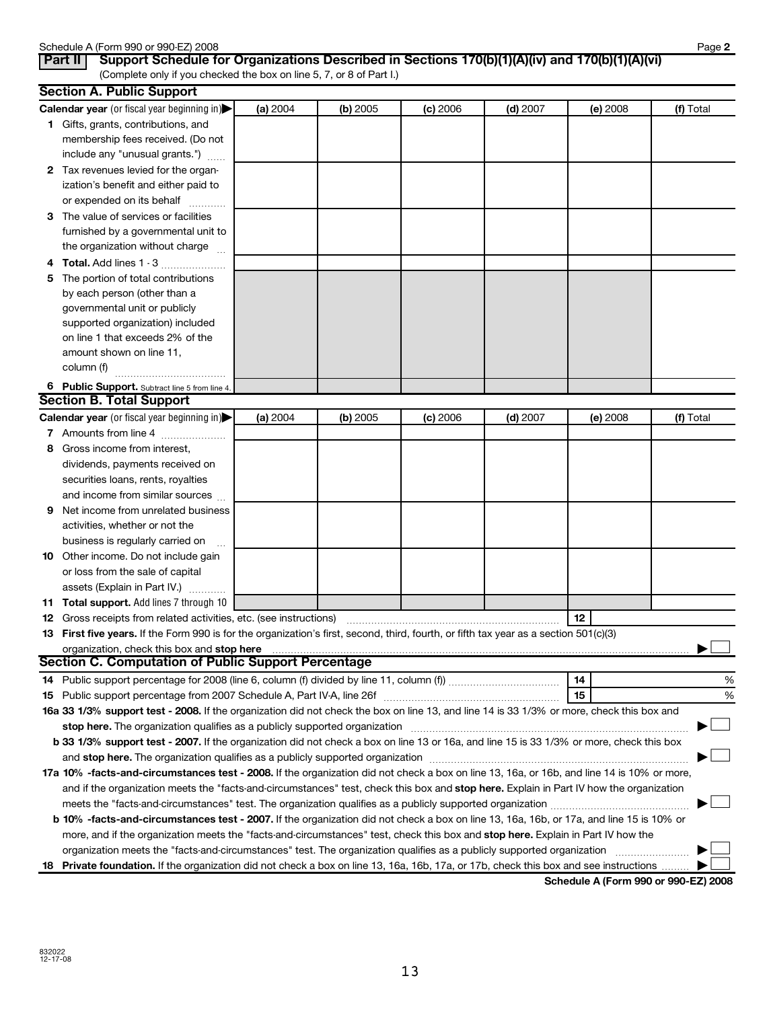|    | Schedule A (Form 990 or 990-EZ) 2008                                                                                                                                                                                                |          |          |            |            |            | Page 2    |
|----|-------------------------------------------------------------------------------------------------------------------------------------------------------------------------------------------------------------------------------------|----------|----------|------------|------------|------------|-----------|
|    | Support Schedule for Organizations Described in Sections 170(b)(1)(A)(iv) and 170(b)(1)(A)(vi)<br>Part II                                                                                                                           |          |          |            |            |            |           |
|    | (Complete only if you checked the box on line 5, 7, or 8 of Part I.)                                                                                                                                                                |          |          |            |            |            |           |
|    | <b>Section A. Public Support</b>                                                                                                                                                                                                    |          |          |            |            |            |           |
|    | Calendar year (or fiscal year beginning in)                                                                                                                                                                                         | (a) 2004 | (b) 2005 | (c) 2006   | $(d)$ 2007 | (e) 2008   | (f) Total |
|    | 1 Gifts, grants, contributions, and                                                                                                                                                                                                 |          |          |            |            |            |           |
|    | membership fees received. (Do not                                                                                                                                                                                                   |          |          |            |            |            |           |
|    | include any "unusual grants.")                                                                                                                                                                                                      |          |          |            |            |            |           |
|    | 2 Tax revenues levied for the organ-                                                                                                                                                                                                |          |          |            |            |            |           |
|    | ization's benefit and either paid to                                                                                                                                                                                                |          |          |            |            |            |           |
|    | or expended on its behalf                                                                                                                                                                                                           |          |          |            |            |            |           |
| З. | The value of services or facilities                                                                                                                                                                                                 |          |          |            |            |            |           |
|    | furnished by a governmental unit to                                                                                                                                                                                                 |          |          |            |            |            |           |
|    | the organization without charge                                                                                                                                                                                                     |          |          |            |            |            |           |
| 4  | <b>Total.</b> Add lines 1 - 3                                                                                                                                                                                                       |          |          |            |            |            |           |
| 5  | The portion of total contributions                                                                                                                                                                                                  |          |          |            |            |            |           |
|    | by each person (other than a                                                                                                                                                                                                        |          |          |            |            |            |           |
|    | governmental unit or publicly                                                                                                                                                                                                       |          |          |            |            |            |           |
|    | supported organization) included                                                                                                                                                                                                    |          |          |            |            |            |           |
|    | on line 1 that exceeds 2% of the                                                                                                                                                                                                    |          |          |            |            |            |           |
|    | amount shown on line 11,                                                                                                                                                                                                            |          |          |            |            |            |           |
|    | column (f)                                                                                                                                                                                                                          |          |          |            |            |            |           |
|    | 6 Public Support. Subtract line 5 from line 4.                                                                                                                                                                                      |          |          |            |            |            |           |
|    | <b>Section B. Total Support</b>                                                                                                                                                                                                     |          |          |            |            |            |           |
|    | Calendar year (or fiscal year beginning in)                                                                                                                                                                                         | (a) 2004 | (b) 2005 | $(c)$ 2006 | $(d)$ 2007 | $(e)$ 2008 | (f) Total |
|    | 7 Amounts from line 4                                                                                                                                                                                                               |          |          |            |            |            |           |
| 8  | Gross income from interest,                                                                                                                                                                                                         |          |          |            |            |            |           |
|    | dividends, payments received on                                                                                                                                                                                                     |          |          |            |            |            |           |
|    | securities loans, rents, royalties                                                                                                                                                                                                  |          |          |            |            |            |           |
|    | and income from similar sources                                                                                                                                                                                                     |          |          |            |            |            |           |
| 9  | Net income from unrelated business                                                                                                                                                                                                  |          |          |            |            |            |           |
|    | activities, whether or not the                                                                                                                                                                                                      |          |          |            |            |            |           |
|    | business is regularly carried on<br>$\ddotsc$                                                                                                                                                                                       |          |          |            |            |            |           |
|    | 10 Other income. Do not include gain                                                                                                                                                                                                |          |          |            |            |            |           |
|    | or loss from the sale of capital                                                                                                                                                                                                    |          |          |            |            |            |           |
|    | assets (Explain in Part IV.)                                                                                                                                                                                                        |          |          |            |            |            |           |
|    | <b>11 Total support.</b> Add lines 7 through 10                                                                                                                                                                                     |          |          |            |            |            |           |
|    |                                                                                                                                                                                                                                     |          |          |            |            |            |           |
|    | 13 First five years. If the Form 990 is for the organization's first, second, third, fourth, or fifth tax year as a section 501(c)(3)                                                                                               |          |          |            |            |            |           |
|    | organization, check this box and stop here <b>construction and construction</b> or an analyzing construction of the store of the state of the state of the state of the state of the state of the state of the state of the state o |          |          |            |            |            |           |
|    | <b>Section C. Computation of Public Support Percentage</b>                                                                                                                                                                          |          |          |            |            |            |           |
|    |                                                                                                                                                                                                                                     |          |          |            |            | 14         | %         |
| 15 |                                                                                                                                                                                                                                     |          |          |            |            | 15         | %         |
|    | 16a 33 1/3% support test - 2008. If the organization did not check the box on line 13, and line 14 is 33 1/3% or more, check this box and                                                                                           |          |          |            |            |            |           |
|    |                                                                                                                                                                                                                                     |          |          |            |            |            |           |
|    | b 33 1/3% support test - 2007. If the organization did not check a box on line 13 or 16a, and line 15 is 33 1/3% or more, check this box                                                                                            |          |          |            |            |            |           |
|    |                                                                                                                                                                                                                                     |          |          |            |            |            |           |
|    | 17a 10% -facts-and-circumstances test - 2008. If the organization did not check a box on line 13, 16a, or 16b, and line 14 is 10% or more,                                                                                          |          |          |            |            |            |           |
|    | and if the organization meets the "facts-and-circumstances" test, check this box and stop here. Explain in Part IV how the organization                                                                                             |          |          |            |            |            |           |
|    |                                                                                                                                                                                                                                     |          |          |            |            |            |           |
|    | b 10% -facts-and-circumstances test - 2007. If the organization did not check a box on line 13, 16a, 16b, or 17a, and line 15 is 10% or                                                                                             |          |          |            |            |            |           |
|    | more, and if the organization meets the "facts-and-circumstances" test, check this box and stop here. Explain in Part IV how the                                                                                                    |          |          |            |            |            |           |
|    | organization meets the "facts-and-circumstances" test. The organization qualifies as a publicly supported organization                                                                                                              |          |          |            |            |            |           |
|    | 18 Private foundation. If the organization did not check a box on line 13, 16a, 16b, 17a, or 17b, check this box and see instructions                                                                                               |          |          |            |            |            |           |

**Schedule A (Form 990 or 990-EZ) 2008**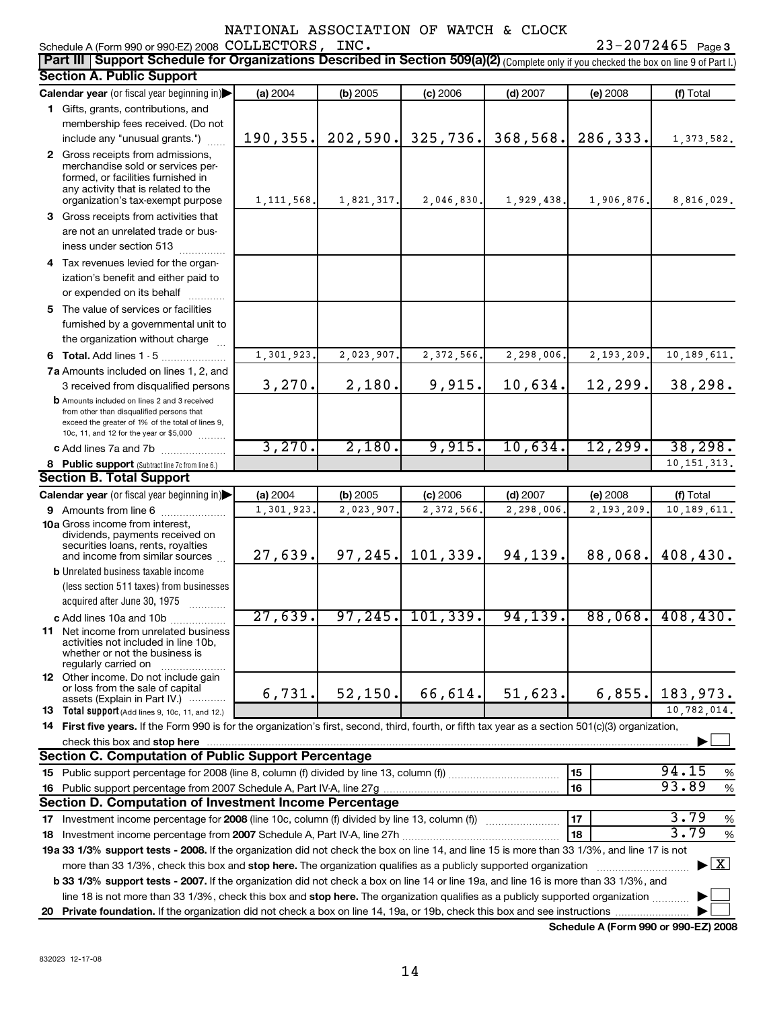#### NATIONAL ASSOCIATION OF WATCH & CLOCK

| <b>Part III   Support Schedule for Organizations Described in Section 509(a)(2)</b> (Complete only if you checked the box on line 9 of Part I.)                                                                                                           |              |            |                      |            |            |                                          |
|-----------------------------------------------------------------------------------------------------------------------------------------------------------------------------------------------------------------------------------------------------------|--------------|------------|----------------------|------------|------------|------------------------------------------|
| <b>Section A. Public Support</b>                                                                                                                                                                                                                          |              |            |                      |            |            |                                          |
| Calendar year (or fiscal year beginning in)                                                                                                                                                                                                               | (a) 2004     | (b) 2005   | (c) 2006             | $(d)$ 2007 | $(e)$ 2008 | (f) Total                                |
| 1 Gifts, grants, contributions, and                                                                                                                                                                                                                       |              |            |                      |            |            |                                          |
| membership fees received. (Do not                                                                                                                                                                                                                         |              |            |                      |            |            |                                          |
| include any "unusual grants.")                                                                                                                                                                                                                            | 190,355.     | 202,590.   | 325,736.             | 368,568.   | 286,333.   | 1,373,582.                               |
| 2 Gross receipts from admissions,<br>merchandise sold or services per-<br>formed, or facilities furnished in<br>any activity that is related to the<br>organization's tax-exempt purpose                                                                  | 1, 111, 568. | 1,821,317. | 2,046,830.           | 1,929,438. | 1,906,876. | 8,816,029.                               |
| 3 Gross receipts from activities that                                                                                                                                                                                                                     |              |            |                      |            |            |                                          |
| are not an unrelated trade or bus-<br>iness under section 513                                                                                                                                                                                             |              |            |                      |            |            |                                          |
| 4 Tax revenues levied for the organ-                                                                                                                                                                                                                      |              |            |                      |            |            |                                          |
| ization's benefit and either paid to<br>or expended on its behalf                                                                                                                                                                                         |              |            |                      |            |            |                                          |
| 5 The value of services or facilities                                                                                                                                                                                                                     |              |            |                      |            |            |                                          |
| furnished by a governmental unit to                                                                                                                                                                                                                       |              |            |                      |            |            |                                          |
| the organization without charge                                                                                                                                                                                                                           |              |            |                      |            |            |                                          |
| 6 Total. Add lines 1 - 5                                                                                                                                                                                                                                  | 1,301,923    | 2,023,907. | 2,372,566.           | 2,298,006. | 2,193,209. | 10, 189, 611.                            |
| 7a Amounts included on lines 1, 2, and                                                                                                                                                                                                                    |              |            |                      |            |            |                                          |
| 3 received from disqualified persons                                                                                                                                                                                                                      | 3,270.       | 2,180.     | 9,915.               | 10,634.    | 12,299.    | 38,298.                                  |
| <b>b</b> Amounts included on lines 2 and 3 received<br>from other than disqualified persons that<br>exceed the greater of 1% of the total of lines 9,<br>10c, 11, and 12 for the year or \$5,000                                                          |              |            |                      |            |            |                                          |
| c Add lines 7a and 7b                                                                                                                                                                                                                                     | 3,270.       | 2,180.     | 9,915.               | 10,634.    | 12,299.    | 38, 298.                                 |
| 8 Public support (Subtract line 7c from line 6.)                                                                                                                                                                                                          |              |            |                      |            |            | 10, 151, 313.                            |
| <b>Section B. Total Support</b>                                                                                                                                                                                                                           |              |            |                      |            |            |                                          |
| Calendar year (or fiscal year beginning in)                                                                                                                                                                                                               | (a) 2004     | (b) 2005   | (c) 2006             | $(d)$ 2007 | (e) 2008   | (f) Total                                |
| 9 Amounts from line 6                                                                                                                                                                                                                                     | 1,301,923    | 2,023,907  | 2,372,566            | 2,298,006. | 2,193,209. | 10, 189, 611.                            |
| <b>10a</b> Gross income from interest,<br>dividends, payments received on<br>securities loans, rents, royalties<br>and income from similar sources                                                                                                        | 27,639.      | 97, 245.   | 101, 339.            | 94,139.    | 88,068.    | 408,430.                                 |
| <b>b</b> Unrelated business taxable income<br>(less section 511 taxes) from businesses<br>acquired after June 30, 1975<br>$\overline{\phantom{a}}$                                                                                                        |              |            |                      |            |            |                                          |
| c Add lines 10a and 10b                                                                                                                                                                                                                                   | 27,639.      |            | $97, 245.$ 101, 339. | 94, 139.   | 88,068.    | 408, 430.                                |
| 11 Net income from unrelated business<br>activities not included in line 10b,<br>whether or not the business is<br>regularly carried on                                                                                                                   |              |            |                      |            |            |                                          |
| 12 Other income. Do not include gain<br>or loss from the sale of capital<br>assets (Explain in Part IV.)                                                                                                                                                  | 6,731.       | 52, 150.   | 66,614.              | 51,623.    | 6,855.     | 183,973.                                 |
| <b>13</b> Total support (Add lines 9, 10c, 11, and 12.)                                                                                                                                                                                                   |              |            |                      |            |            | 10,782,014.                              |
| 14 First five years. If the Form 990 is for the organization's first, second, third, fourth, or fifth tax year as a section 501(c)(3) organization,                                                                                                       |              |            |                      |            |            |                                          |
| check this box and stop here <b>construction and construction</b> and construction of the change of the change of the change of the change of the change of the change of the change of the change of the change of the change of t                       |              |            |                      |            |            |                                          |
| <b>Section C. Computation of Public Support Percentage</b>                                                                                                                                                                                                |              |            |                      |            |            |                                          |
|                                                                                                                                                                                                                                                           |              |            |                      |            | 15         | 94.15<br>%                               |
|                                                                                                                                                                                                                                                           |              |            |                      |            | 16         | 93.89<br>$\%$                            |
| Section D. Computation of Investment Income Percentage                                                                                                                                                                                                    |              |            |                      |            |            |                                          |
| 17 Investment income percentage for 2008 (line 10c, column (f) divided by line 13, column (f))                                                                                                                                                            |              |            |                      |            | 17         | 3.79<br>%                                |
|                                                                                                                                                                                                                                                           |              |            |                      |            | 18         | 3.79<br>%                                |
| 19a 33 1/3% support tests - 2008. If the organization did not check the box on line 14, and line 15 is more than 33 1/3%, and line 17 is not                                                                                                              |              |            |                      |            |            |                                          |
| more than 33 1/3%, check this box and stop here. The organization qualifies as a publicly supported organization<br>b 33 1/3% support tests - 2007. If the organization did not check a box on line 14 or line 19a, and line 16 is more than 33 1/3%, and |              |            |                      |            |            | $\blacktriangleright$ $\boxed{\text{X}}$ |
| line 18 is not more than 33 1/3%, check this box and stop here. The organization qualifies as a publicly supported organization                                                                                                                           |              |            |                      |            |            |                                          |
|                                                                                                                                                                                                                                                           |              |            |                      |            |            |                                          |

**Schedule A (Form 990 or 990-EZ) 2008**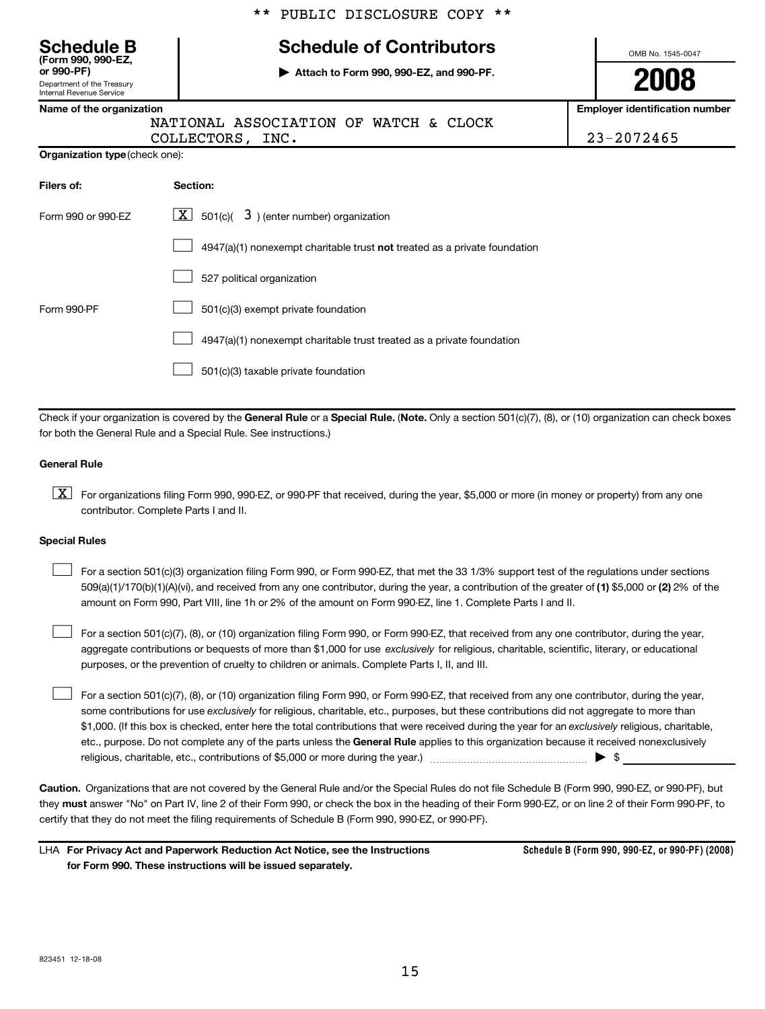|                                                                                                                 | LOBTIC DISCHOSOKE COLI                                                    |                                                     |  |  |  |
|-----------------------------------------------------------------------------------------------------------------|---------------------------------------------------------------------------|-----------------------------------------------------|--|--|--|
| <b>Schedule B</b><br>(Form 990, 990-EZ,<br>or 990-PF)<br>Department of the Treasury<br>Internal Revenue Service | OMB No. 1545-0047<br>2008                                                 |                                                     |  |  |  |
| Name of the organization                                                                                        | NATIONAL ASSOCIATION OF WATCH & CLOCK<br>COLLECTORS, INC.                 | <b>Employer identification number</b><br>23-2072465 |  |  |  |
| <b>Organization type (check one):</b>                                                                           |                                                                           |                                                     |  |  |  |
| Filers of:                                                                                                      | Section:                                                                  |                                                     |  |  |  |
| Form 990 or 990-EZ                                                                                              | $\mathbf{X}$<br>501(c)( $3$ ) (enter number) organization                 |                                                     |  |  |  |
|                                                                                                                 | 4947(a)(1) nonexempt charitable trust not treated as a private foundation |                                                     |  |  |  |
|                                                                                                                 | 527 political organization                                                |                                                     |  |  |  |
| 501(c)(3) exempt private foundation<br>Form 990-PF                                                              |                                                                           |                                                     |  |  |  |
|                                                                                                                 | 4947(a)(1) nonexempt charitable trust treated as a private foundation     |                                                     |  |  |  |
| 501(c)(3) taxable private foundation                                                                            |                                                                           |                                                     |  |  |  |

 $\mathbf{r}$   $\mathbf{r}$   $\mathbf{r}$   $\mathbf{r}$   $\mathbf{r}$   $\mathbf{r}$   $\mathbf{r}$   $\mathbf{r}$   $\mathbf{r}$   $\mathbf{r}$   $\mathbf{r}$   $\mathbf{r}$   $\mathbf{r}$   $\mathbf{r}$   $\mathbf{r}$   $\mathbf{r}$   $\mathbf{r}$   $\mathbf{r}$   $\mathbf{r}$   $\mathbf{r}$   $\mathbf{r}$   $\mathbf{r}$   $\mathbf{r}$   $\mathbf{r}$   $\mathbf{$ 

Check if your organization is covered by the **General Rule** or a **Special Rule.** (**Note.** Only a section 501(c)(7), (8), or (10) organization can check boxes for both the General Rule and a Special Rule. See instructions.)

#### **General Rule**

 $\boxed{\textbf{X}}$  For organizations filing Form 990, 990-EZ, or 990-PF that received, during the year, \$5,000 or more (in money or property) from any one contributor. Complete Parts I and II.

#### **Special Rules**

 $\Box$ For a section 501(c)(3) organization filing Form 990, or Form 990-EZ, that met the 33 1/3% support test of the regulations under sections 509(a)(1)/170(b)(1)(A)(vi), and received from any one contributor, during the year, a contribution of the greater of **(1)** \$5,000 or **(2)** 2% of the amount on Form 990, Part VIII, line 1h or 2% of the amount on Form 990-EZ, line 1. Complete Parts I and II.

 $\Box$ For a section 501(c)(7), (8), or (10) organization filing Form 990, or Form 990-EZ, that received from any one contributor, during the year, aggregate contributions or bequests of more than \$1,000 for use *exclusively* for religious, charitable, scientific, literary, or educational purposes, or the prevention of cruelty to children or animals. Complete Parts I, II, and III.

For a section 501(c)(7), (8), or (10) organization filing Form 990, or Form 990-EZ, that received from any one contributor, during the year, some contributions for use *exclusively* for religious, charitable, etc., purposes, but these contributions did not aggregate to more than \$1,000. (If this box is checked, enter here the total contributions that were received during the year for an *exclusively* religious, charitable, etc., purpose. Do not complete any of the parts unless the **General Rule** applies to this organization because it received nonexclusively religious, charitable, etc., contributions of \$5,000 or more during the year.)  $\ldots$   $\ldots$   $\ldots$   $\ldots$   $\ldots$   $\ldots$   $\ldots$   $\ldots$ 

**Caution.** Organizations that are not covered by the General Rule and/or the Special Rules do not file Schedule B (Form 990, 990-EZ, or 990-PF), but they **must** answer "No" on Part IV, line 2 of their Form 990, or check the box in the heading of their Form 990-EZ, or on line 2 of their Form 990-PF, to certify that they do not meet the filing requirements of Schedule B (Form 990, 990-EZ, or 990-PF).

LHA **For Privacy Act and Paperwork Reduction Act Notice, see the Instructions for Form 990. These instructions will be issued separately.**

**Schedule B (Form 990, 990-EZ, or 990-PF) (2008)**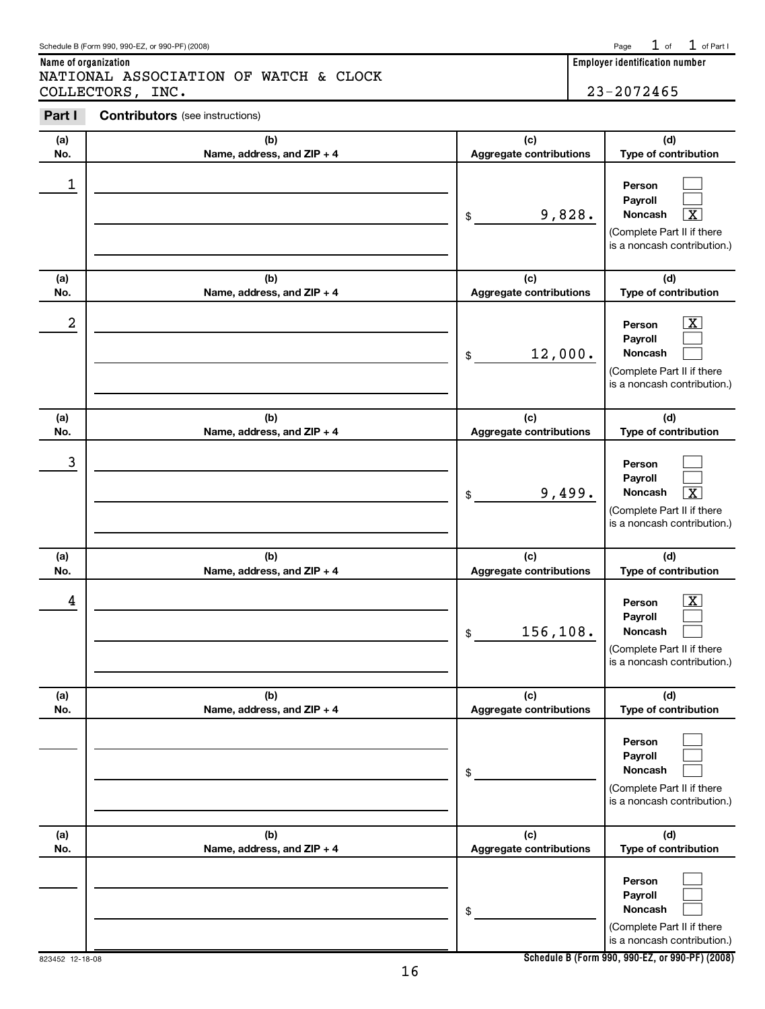|                 |  | noncasn                                                     |
|-----------------|--|-------------------------------------------------------------|
|                 |  | I (Complete Part II if there<br>is a noncash contribution.) |
| 823452 12-18-08 |  | Schedule B (Form 990, 990-EZ, or 990-PF) (2008)             |
|                 |  |                                                             |

| (a)              | (b)                               | (c)                                   | (d)                                                                                                                  |
|------------------|-----------------------------------|---------------------------------------|----------------------------------------------------------------------------------------------------------------------|
| No.              | Name, address, and ZIP + 4        | <b>Aggregate contributions</b>        | Type of contribution                                                                                                 |
| $\mathbf 1$      |                                   | 9,828.<br>\$                          | Person<br>Payroll<br>$\overline{\textbf{X}}$<br>Noncash<br>(Complete Part II if there<br>is a noncash contribution.) |
| (a)<br>No.       | (b)<br>Name, address, and ZIP + 4 | (c)<br><b>Aggregate contributions</b> | (d)<br>Type of contribution                                                                                          |
| $\boldsymbol{2}$ |                                   | 12,000.<br>$\$$                       | $\mathbf{X}$<br>Person<br>Payroll<br>Noncash<br>(Complete Part II if there<br>is a noncash contribution.)            |
| (a)<br>No.       | (b)<br>Name, address, and ZIP + 4 | (c)<br><b>Aggregate contributions</b> | (d)<br>Type of contribution                                                                                          |
| $\mathbf{3}$     |                                   | 9,499.<br>\$                          | Person<br>Payroll<br>$\overline{\mathbf{X}}$<br>Noncash<br>(Complete Part II if there<br>is a noncash contribution.) |
| (a)<br>No.       | (b)<br>Name, address, and ZIP + 4 | (c)<br><b>Aggregate contributions</b> | (d)<br>Type of contribution                                                                                          |
| 4                |                                   | 156,108.<br>\$                        | $\overline{\mathbf{X}}$<br>Person<br>Payroll<br>Noncash<br>(Complete Part II if there<br>is a noncash contribution.) |
| (a)<br>No.       | (b)<br>Name, address, and ZIP + 4 | (c)<br><b>Aggregate contributions</b> | (d)<br>Type of contribution                                                                                          |
|                  |                                   | \$                                    | Person<br>Payroll<br>Noncash<br>(Complete Part II if there<br>is a noncash contribution.)                            |
| (a)<br>No.       | (b)<br>Name, address, and ZIP + 4 | (c)<br><b>Aggregate contributions</b> | (d)<br>Type of contribution                                                                                          |
|                  |                                   | \$                                    | Person<br>Payroll<br>Noncash<br>(Complete Part II if there<br>is a noncash contribution.)                            |

## **Part I Contributors** (see instructions)

NATIONAL ASSOCIATION OF WATCH & CLOCK

┱

**Name of organization Employer identification number**

COLLECTORS, INC. 23-2072465

 $1$  of  $1$  of Part I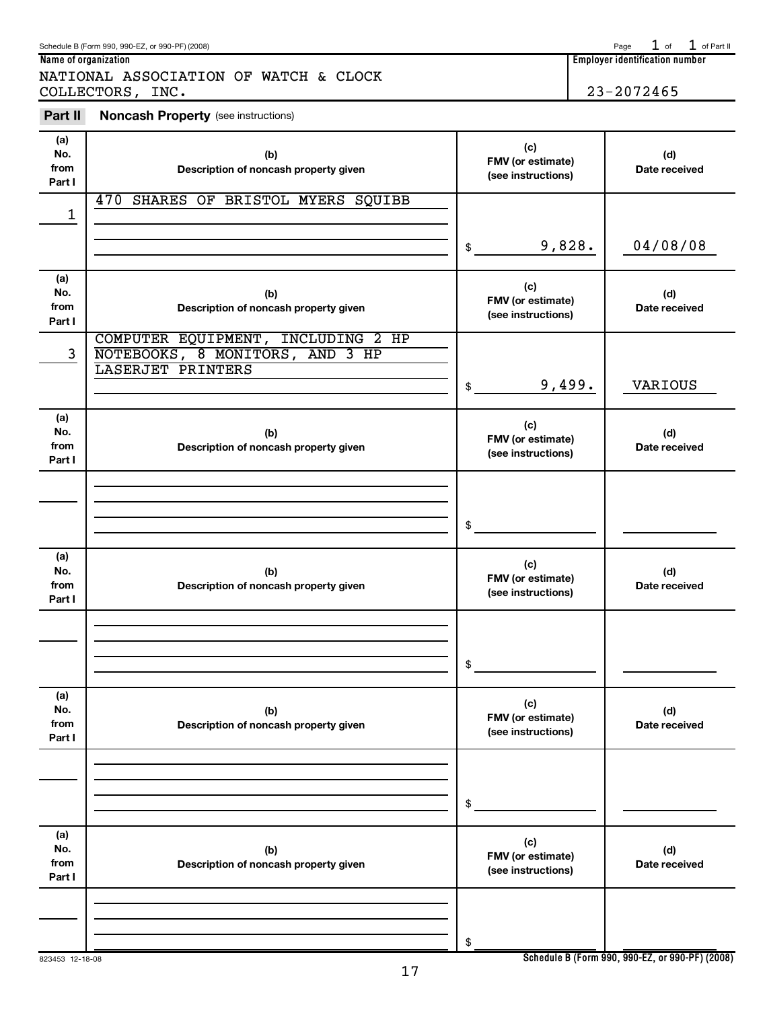**(a) No. from Part I**

**(d) Date received**

**(c) FMV (or estimate) (see instructions)**

| ۰.<br>. . |
|-----------|
|           |

\$

**(b) Description of noncash property given**

|                              | COLLECTORS, INC.                                                                           |                                                | $23 - 2072465$       |
|------------------------------|--------------------------------------------------------------------------------------------|------------------------------------------------|----------------------|
| Part II                      | <b>Noncash Property (see instructions)</b>                                                 |                                                |                      |
| (a)<br>No.<br>from<br>Part I | (b)<br>Description of noncash property given                                               | (c)<br>FMV (or estimate)<br>(see instructions) | (d)<br>Date received |
| 1                            | 470 SHARES OF BRISTOL MYERS SQUIBB                                                         |                                                |                      |
|                              |                                                                                            | 9,828.<br>\$                                   | 04/08/08             |
| (a)<br>No.<br>from<br>Part I | (b)<br>Description of noncash property given                                               | (c)<br>FMV (or estimate)<br>(see instructions) | (d)<br>Date received |
| 3                            | COMPUTER EQUIPMENT, INCLUDING 2 HP<br>NOTEBOOKS, 8 MONITORS, AND 3 HP<br>LASERJET PRINTERS |                                                |                      |
|                              |                                                                                            | 9,499.<br>\$                                   | VARIOUS              |
| (a)<br>No.<br>from<br>Part I | (b)<br>Description of noncash property given                                               | (c)<br>FMV (or estimate)<br>(see instructions) | (d)<br>Date received |
|                              |                                                                                            |                                                |                      |
|                              |                                                                                            | \$                                             |                      |
| (a)<br>No.<br>from<br>Part I | (b)<br>Description of noncash property given                                               | (c)<br>FMV (or estimate)<br>(see instructions) | (d)<br>Date received |
|                              |                                                                                            |                                                |                      |
|                              |                                                                                            | \$                                             |                      |
| (a)<br>No.<br>from<br>Part I | (b)<br>Description of noncash property given                                               | (c)<br>FMV (or estimate)<br>(see instructions) | (d)<br>Date received |
|                              |                                                                                            |                                                |                      |
|                              |                                                                                            | \$                                             |                      |

NATIONAL ASSOCIATION OF WATCH & CLOCK

#### Schedule B (Form 990, 990-EZ, or 990-PF) (2008) Page of of Part II **Employer identification number**

 $1$  of  $1$  of Part II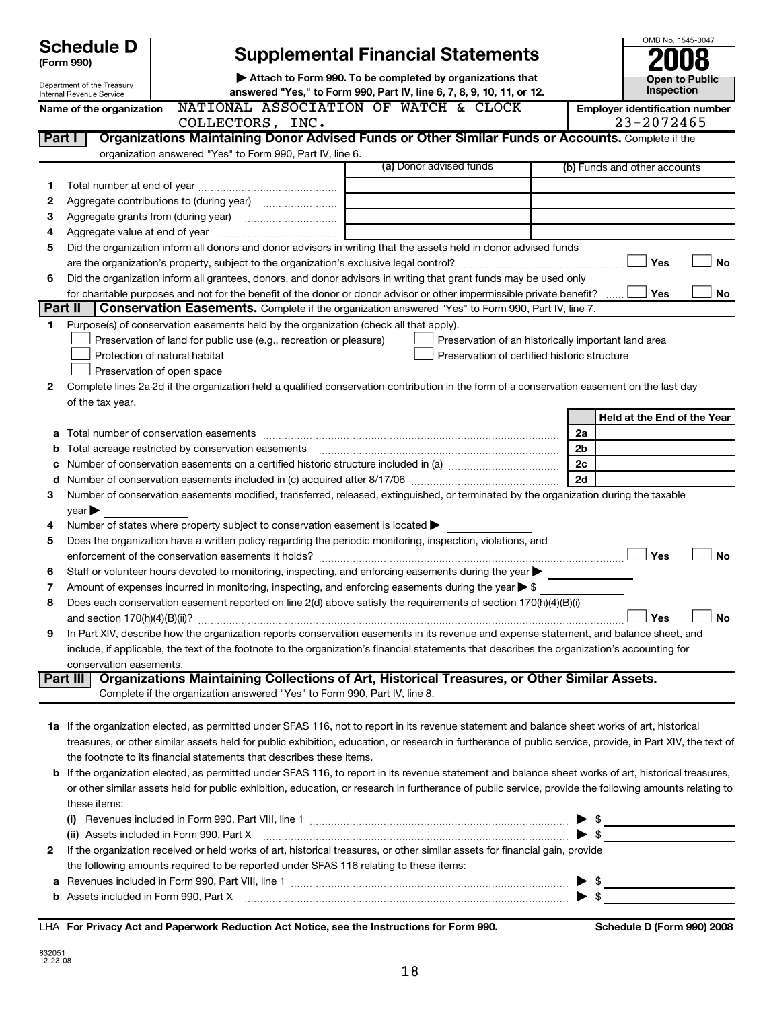|                | <b>Schedule D</b><br>(Form 990)                           | <b>Supplemental Financial Statements</b>                                                                                                                  |  |                                                     |                |                                                     | OMB No. 1545-0047 |
|----------------|-----------------------------------------------------------|-----------------------------------------------------------------------------------------------------------------------------------------------------------|--|-----------------------------------------------------|----------------|-----------------------------------------------------|-------------------|
|                | Attach to Form 990. To be completed by organizations that |                                                                                                                                                           |  |                                                     |                |                                                     | Open to Public    |
|                | Department of the Treasury<br>Internal Revenue Service    | answered "Yes," to Form 990, Part IV, line 6, 7, 8, 9, 10, 11, or 12.                                                                                     |  |                                                     |                |                                                     | Inspection        |
|                | Name of the organization                                  | NATIONAL ASSOCIATION OF WATCH & CLOCK<br>COLLECTORS, INC.                                                                                                 |  |                                                     |                | <b>Employer identification number</b><br>23-2072465 |                   |
| Part I         |                                                           | Organizations Maintaining Donor Advised Funds or Other Similar Funds or Accounts. Complete if the                                                         |  |                                                     |                |                                                     |                   |
|                |                                                           | organization answered "Yes" to Form 990, Part IV, line 6.                                                                                                 |  |                                                     |                |                                                     |                   |
|                |                                                           |                                                                                                                                                           |  | (a) Donor advised funds                             |                | (b) Funds and other accounts                        |                   |
| 1              |                                                           |                                                                                                                                                           |  |                                                     |                |                                                     |                   |
| 2              |                                                           |                                                                                                                                                           |  |                                                     |                |                                                     |                   |
| 3              |                                                           | Aggregate grants from (during year) [10] [10] Aggregate grants from (during year)                                                                         |  |                                                     |                |                                                     |                   |
| 4              |                                                           |                                                                                                                                                           |  |                                                     |                |                                                     |                   |
| 5              |                                                           | Did the organization inform all donors and donor advisors in writing that the assets held in donor advised funds                                          |  |                                                     |                |                                                     |                   |
|                |                                                           |                                                                                                                                                           |  |                                                     |                | Yes                                                 | No                |
| 6              |                                                           | Did the organization inform all grantees, donors, and donor advisors in writing that grant funds may be used only                                         |  |                                                     |                |                                                     |                   |
|                |                                                           | for charitable purposes and not for the benefit of the donor or donor advisor or other impermissible private benefit?                                     |  |                                                     |                | Yes                                                 | No                |
| <b>Part II</b> |                                                           | <b>Conservation Easements.</b> Complete if the organization answered "Yes" to Form 990, Part IV, line 7.                                                  |  |                                                     |                |                                                     |                   |
| 1.             |                                                           | Purpose(s) of conservation easements held by the organization (check all that apply).                                                                     |  |                                                     |                |                                                     |                   |
|                |                                                           | Preservation of land for public use (e.g., recreation or pleasure)                                                                                        |  | Preservation of an historically important land area |                |                                                     |                   |
|                |                                                           | Protection of natural habitat                                                                                                                             |  | Preservation of certified historic structure        |                |                                                     |                   |
|                |                                                           | Preservation of open space                                                                                                                                |  |                                                     |                |                                                     |                   |
| 2              |                                                           | Complete lines 2a-2d if the organization held a qualified conservation contribution in the form of a conservation easement on the last day                |  |                                                     |                |                                                     |                   |
|                | of the tax year.                                          |                                                                                                                                                           |  |                                                     |                | Held at the End of the Year                         |                   |
| а              |                                                           |                                                                                                                                                           |  |                                                     | 2a             |                                                     |                   |
| b              |                                                           | Total acreage restricted by conservation easements                                                                                                        |  |                                                     | 2 <sub>b</sub> |                                                     |                   |
| c              |                                                           |                                                                                                                                                           |  |                                                     | 2c             |                                                     |                   |
| d              |                                                           |                                                                                                                                                           |  |                                                     | 2d             |                                                     |                   |
| З              |                                                           | Number of conservation easements modified, transferred, released, extinguished, or terminated by the organization during the taxable                      |  |                                                     |                |                                                     |                   |
|                | $\vee$ ear $\blacktriangleright$                          |                                                                                                                                                           |  |                                                     |                |                                                     |                   |
| 4              |                                                           | Number of states where property subject to conservation easement is located                                                                               |  |                                                     |                |                                                     |                   |
| 5              |                                                           | Does the organization have a written policy regarding the periodic monitoring, inspection, violations, and                                                |  |                                                     |                |                                                     |                   |
|                |                                                           |                                                                                                                                                           |  |                                                     |                | Yes                                                 | No                |
| 6              |                                                           | Staff or volunteer hours devoted to monitoring, inspecting, and enforcing easements during the year >                                                     |  |                                                     |                |                                                     |                   |
| 7              |                                                           | Amount of expenses incurred in monitoring, inspecting, and enforcing easements during the year $\triangleright$ \$                                        |  |                                                     |                |                                                     |                   |
| 8              |                                                           | Does each conservation easement reported on line 2(d) above satisfy the requirements of section 170(h)(4)(B)(i)                                           |  |                                                     |                |                                                     |                   |
|                |                                                           |                                                                                                                                                           |  |                                                     |                | Yes                                                 | No                |
| 9              |                                                           | In Part XIV, describe how the organization reports conservation easements in its revenue and expense statement, and balance sheet, and                    |  |                                                     |                |                                                     |                   |
|                |                                                           | include, if applicable, the text of the footnote to the organization's financial statements that describes the organization's accounting for              |  |                                                     |                |                                                     |                   |
|                | conservation easements.                                   |                                                                                                                                                           |  |                                                     |                |                                                     |                   |
|                | Part III                                                  | Organizations Maintaining Collections of Art, Historical Treasures, or Other Similar Assets.                                                              |  |                                                     |                |                                                     |                   |
|                |                                                           | Complete if the organization answered "Yes" to Form 990, Part IV, line 8.                                                                                 |  |                                                     |                |                                                     |                   |
|                |                                                           |                                                                                                                                                           |  |                                                     |                |                                                     |                   |
|                |                                                           | 1a If the organization elected, as permitted under SFAS 116, not to report in its revenue statement and balance sheet works of art, historical            |  |                                                     |                |                                                     |                   |
|                |                                                           | treasures, or other similar assets held for public exhibition, education, or research in furtherance of public service, provide, in Part XIV, the text of |  |                                                     |                |                                                     |                   |
|                |                                                           | the footnote to its financial statements that describes these items.                                                                                      |  |                                                     |                |                                                     |                   |
|                |                                                           | b If the organization elected, as permitted under SFAS 116, to report in its revenue statement and balance sheet works of art, historical treasures,      |  |                                                     |                |                                                     |                   |
|                |                                                           | or other similar assets held for public exhibition, education, or research in furtherance of public service, provide the following amounts relating to    |  |                                                     |                |                                                     |                   |
|                | these items:                                              |                                                                                                                                                           |  |                                                     |                |                                                     |                   |
|                |                                                           |                                                                                                                                                           |  |                                                     |                | \$                                                  |                   |
|                |                                                           | (ii) Assets included in Form 990, Part X                                                                                                                  |  |                                                     |                | - \$                                                |                   |
| 2              |                                                           | If the organization received or held works of art, historical treasures, or other similar assets for financial gain, provide                              |  |                                                     |                |                                                     |                   |
|                |                                                           | the following amounts required to be reported under SFAS 116 relating to these items:                                                                     |  |                                                     |                |                                                     |                   |
|                |                                                           |                                                                                                                                                           |  |                                                     |                | \$                                                  |                   |
|                |                                                           | <b>b</b> Assets included in Form 990, Part X                                                                                                              |  |                                                     |                | - \$                                                |                   |

LHA **For Privacy Act and Paperwork Reduction Act Notice, see the Instructions for Form 990. Schedule D (Form 990) 2008**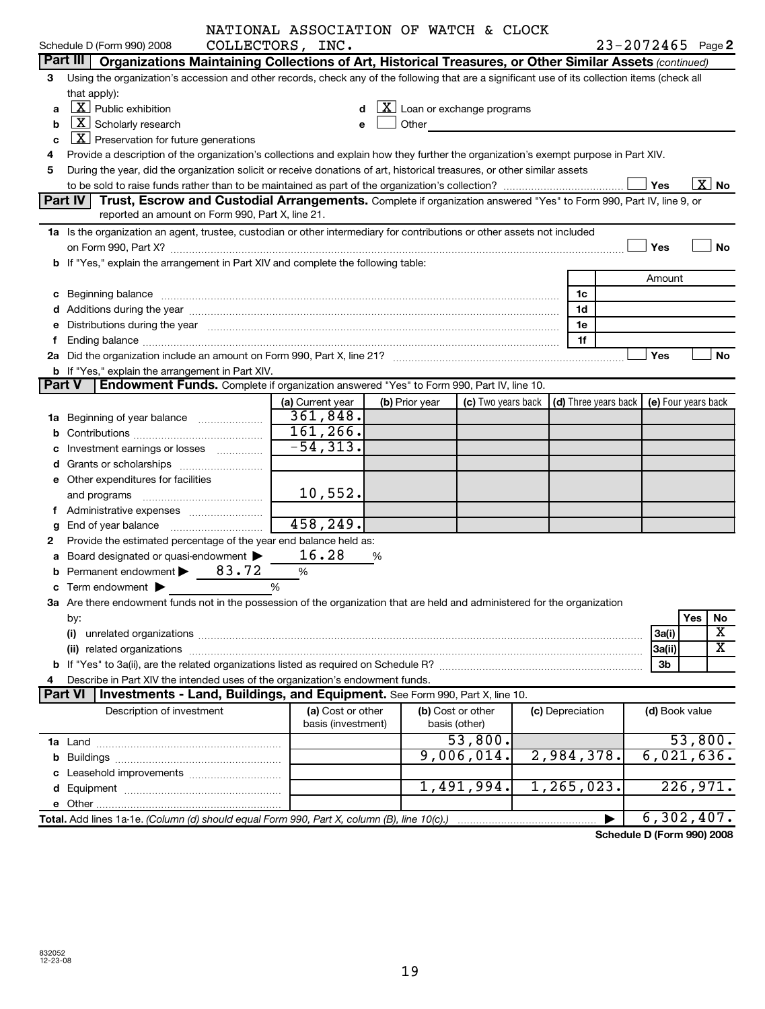|   |                                                                                                                                                                                                                                | NATIONAL ASSOCIATION OF WATCH & CLOCK |                |                                                                                                                                                                                                                                 |                  |                      |                            |                       |
|---|--------------------------------------------------------------------------------------------------------------------------------------------------------------------------------------------------------------------------------|---------------------------------------|----------------|---------------------------------------------------------------------------------------------------------------------------------------------------------------------------------------------------------------------------------|------------------|----------------------|----------------------------|-----------------------|
|   | Schedule D (Form 990) 2008                                                                                                                                                                                                     | COLLECTORS, INC.                      |                |                                                                                                                                                                                                                                 |                  |                      | $23 - 2072465$ Page 2      |                       |
|   | Part III   Organizations Maintaining Collections of Art, Historical Treasures, or Other Similar Assets (continued)                                                                                                             |                                       |                |                                                                                                                                                                                                                                 |                  |                      |                            |                       |
| 3 | Using the organization's accession and other records, check any of the following that are a significant use of its collection items (check all                                                                                 |                                       |                |                                                                                                                                                                                                                                 |                  |                      |                            |                       |
|   | that apply):                                                                                                                                                                                                                   |                                       |                |                                                                                                                                                                                                                                 |                  |                      |                            |                       |
| a | $\lfloor x \rfloor$ Public exhibition<br>$\lfloor \underline{X} \rfloor$ Loan or exchange programs                                                                                                                             |                                       |                |                                                                                                                                                                                                                                 |                  |                      |                            |                       |
| b | $X$ Scholarly research                                                                                                                                                                                                         |                                       |                | Other and the contract of the contract of the contract of the contract of the contract of the contract of the contract of the contract of the contract of the contract of the contract of the contract of the contract of the c |                  |                      |                            |                       |
| c | $X$ Preservation for future generations                                                                                                                                                                                        |                                       |                |                                                                                                                                                                                                                                 |                  |                      |                            |                       |
|   | Provide a description of the organization's collections and explain how they further the organization's exempt purpose in Part XIV.                                                                                            |                                       |                |                                                                                                                                                                                                                                 |                  |                      |                            |                       |
| 5 | During the year, did the organization solicit or receive donations of art, historical treasures, or other similar assets                                                                                                       |                                       |                |                                                                                                                                                                                                                                 |                  |                      |                            |                       |
|   |                                                                                                                                                                                                                                |                                       |                |                                                                                                                                                                                                                                 |                  |                      | Yes                        | $\boxed{\text{X}}$ No |
|   | Part IV<br>Trust, Escrow and Custodial Arrangements. Complete if organization answered "Yes" to Form 990, Part IV, line 9, or                                                                                                  |                                       |                |                                                                                                                                                                                                                                 |                  |                      |                            |                       |
|   | reported an amount on Form 990, Part X, line 21.                                                                                                                                                                               |                                       |                |                                                                                                                                                                                                                                 |                  |                      |                            |                       |
|   | 1a Is the organization an agent, trustee, custodian or other intermediary for contributions or other assets not included                                                                                                       |                                       |                |                                                                                                                                                                                                                                 |                  |                      |                            |                       |
|   |                                                                                                                                                                                                                                |                                       |                |                                                                                                                                                                                                                                 |                  |                      | Yes                        | No                    |
|   | b If "Yes," explain the arrangement in Part XIV and complete the following table:                                                                                                                                              |                                       |                |                                                                                                                                                                                                                                 |                  |                      |                            |                       |
|   |                                                                                                                                                                                                                                |                                       |                |                                                                                                                                                                                                                                 |                  |                      | Amount                     |                       |
|   | c Beginning balance Manual Communication and the contract of the contract of the contract of the contract of the contract of the contract of the contract of the contract of the contract of the contract of the contract of t |                                       |                |                                                                                                                                                                                                                                 |                  | 1c                   |                            |                       |
|   | d Additions during the year manufactured and an intervention of the state of Additions during the year manufactured and a state of the state of Additions during the year manufactured and a state of the state of the state o |                                       |                |                                                                                                                                                                                                                                 |                  | 1d                   |                            |                       |
|   | e Distributions during the year www.communication.communications.com/                                                                                                                                                          |                                       |                |                                                                                                                                                                                                                                 |                  | 1e                   |                            |                       |
|   |                                                                                                                                                                                                                                |                                       |                |                                                                                                                                                                                                                                 |                  | 1f                   |                            |                       |
|   |                                                                                                                                                                                                                                |                                       |                |                                                                                                                                                                                                                                 |                  |                      | Yes                        | No                    |
|   | <b>b</b> If "Yes," explain the arrangement in Part XIV.                                                                                                                                                                        |                                       |                |                                                                                                                                                                                                                                 |                  |                      |                            |                       |
|   | Endowment Funds. Complete if organization answered "Yes" to Form 990, Part IV, line 10.<br><b>Part V</b>                                                                                                                       |                                       |                |                                                                                                                                                                                                                                 |                  |                      |                            |                       |
|   |                                                                                                                                                                                                                                | (a) Current year                      | (b) Prior year | (c) Two years back                                                                                                                                                                                                              |                  | (d) Three years back | (e) Four years back        |                       |
|   | 1a Beginning of year balance                                                                                                                                                                                                   | 361,848.                              |                |                                                                                                                                                                                                                                 |                  |                      |                            |                       |
|   |                                                                                                                                                                                                                                | 161, 266.<br>$-54, 313.$              |                |                                                                                                                                                                                                                                 |                  |                      |                            |                       |
|   | c Investment earnings or losses                                                                                                                                                                                                |                                       |                |                                                                                                                                                                                                                                 |                  |                      |                            |                       |
|   |                                                                                                                                                                                                                                |                                       |                |                                                                                                                                                                                                                                 |                  |                      |                            |                       |
|   | e Other expenditures for facilities                                                                                                                                                                                            | 10,552.                               |                |                                                                                                                                                                                                                                 |                  |                      |                            |                       |
|   |                                                                                                                                                                                                                                |                                       |                |                                                                                                                                                                                                                                 |                  |                      |                            |                       |
|   | f Administrative expenses                                                                                                                                                                                                      | 458, 249.                             |                |                                                                                                                                                                                                                                 |                  |                      |                            |                       |
|   | g End of year balance                                                                                                                                                                                                          |                                       |                |                                                                                                                                                                                                                                 |                  |                      |                            |                       |
| 2 | Provide the estimated percentage of the year end balance held as:<br>a Board designated or quasi-endowment >                                                                                                                   | 16.28                                 | %              |                                                                                                                                                                                                                                 |                  |                      |                            |                       |
|   | <b>b</b> Permanent endowment $\triangleright$ 83.72                                                                                                                                                                            | %                                     |                |                                                                                                                                                                                                                                 |                  |                      |                            |                       |
|   | c Term endowment $\blacktriangleright$                                                                                                                                                                                         | %                                     |                |                                                                                                                                                                                                                                 |                  |                      |                            |                       |
|   | 3a Are there endowment funds not in the possession of the organization that are held and administered for the organization                                                                                                     |                                       |                |                                                                                                                                                                                                                                 |                  |                      |                            |                       |
|   | by:                                                                                                                                                                                                                            |                                       |                |                                                                                                                                                                                                                                 |                  |                      |                            | Yes<br>No             |
|   |                                                                                                                                                                                                                                |                                       |                |                                                                                                                                                                                                                                 |                  |                      | 3a(i)                      | х                     |
|   | (ii) related organizations contract to the contract of the contract of the contract of the contract of the contract of the contract of the contract of the contract of the contract of the contract of the contract of the con |                                       |                |                                                                                                                                                                                                                                 |                  |                      | 3a(ii)                     | X                     |
|   |                                                                                                                                                                                                                                |                                       |                |                                                                                                                                                                                                                                 |                  |                      | 3b                         |                       |
|   | Describe in Part XIV the intended uses of the organization's endowment funds.                                                                                                                                                  |                                       |                |                                                                                                                                                                                                                                 |                  |                      |                            |                       |
|   | <b>Part VI</b><br><b>Investments - Land, Buildings, and Equipment.</b> See Form 990, Part X, line 10.                                                                                                                          |                                       |                |                                                                                                                                                                                                                                 |                  |                      |                            |                       |
|   | Description of investment                                                                                                                                                                                                      | (a) Cost or other                     |                | (b) Cost or other                                                                                                                                                                                                               | (c) Depreciation |                      | (d) Book value             |                       |
|   |                                                                                                                                                                                                                                | basis (investment)                    |                | basis (other)                                                                                                                                                                                                                   |                  |                      |                            |                       |
|   |                                                                                                                                                                                                                                |                                       |                | 53,800.                                                                                                                                                                                                                         |                  |                      |                            | 53,800.               |
|   |                                                                                                                                                                                                                                |                                       |                | 9,006,014.                                                                                                                                                                                                                      |                  | 2,984,378.           | 6,021,636.                 |                       |
|   |                                                                                                                                                                                                                                |                                       |                |                                                                                                                                                                                                                                 |                  |                      |                            |                       |
|   |                                                                                                                                                                                                                                |                                       |                | 1,491,994.                                                                                                                                                                                                                      |                  | 1, 265, 023.         |                            | 226,971.              |
|   |                                                                                                                                                                                                                                |                                       |                |                                                                                                                                                                                                                                 |                  |                      |                            |                       |
|   | Total. Add lines 1a-1e. (Column (d) should equal Form 990, Part X, column (B), line 10(c).)                                                                                                                                    |                                       |                |                                                                                                                                                                                                                                 |                  |                      | 6, 302, 407.               |                       |
|   |                                                                                                                                                                                                                                |                                       |                |                                                                                                                                                                                                                                 |                  |                      | Schedule D (Form 990) 2008 |                       |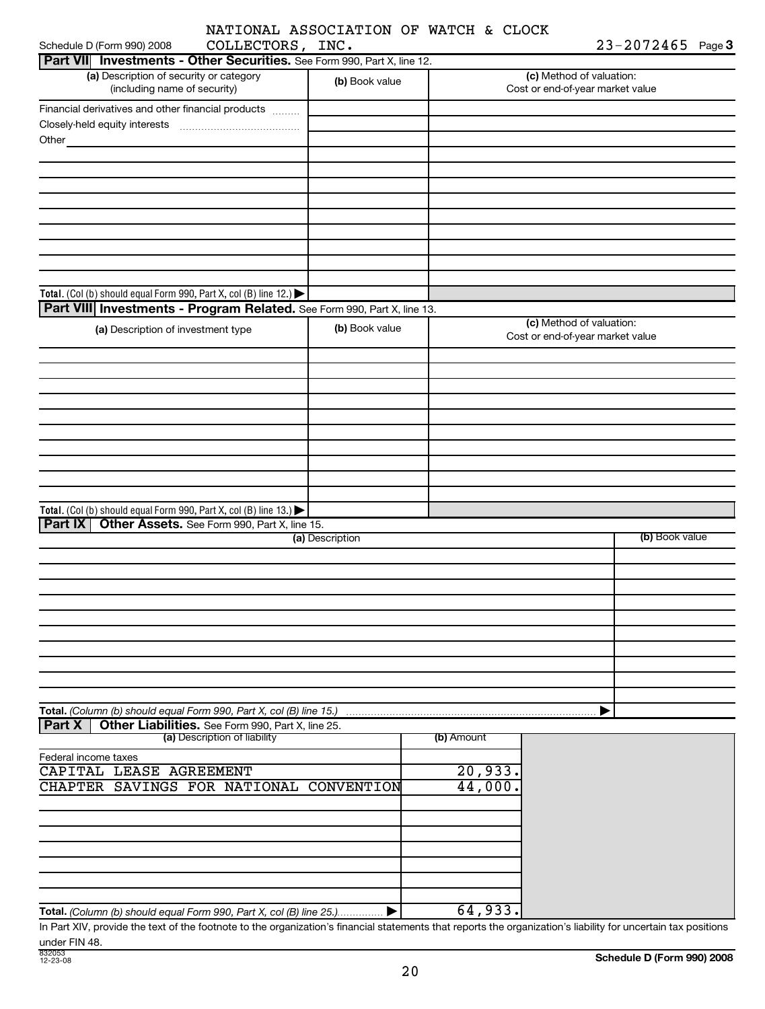|                  | NATIONAL ASSOCIATION OF WATCH & CLOCK |  |  |
|------------------|---------------------------------------|--|--|
| COLLECTORS, INC. |                                       |  |  |

| $23 - 2072465$ Page 3 |  |
|-----------------------|--|
|-----------------------|--|

| Part VII Investments - Other Securities. See Form 990, Part X, line 12.                                                                                           |                 |            |                                                              |                |
|-------------------------------------------------------------------------------------------------------------------------------------------------------------------|-----------------|------------|--------------------------------------------------------------|----------------|
| (a) Description of security or category<br>(including name of security)                                                                                           | (b) Book value  |            | (c) Method of valuation:<br>Cost or end-of-year market value |                |
| Financial derivatives and other financial products                                                                                                                |                 |            |                                                              |                |
|                                                                                                                                                                   |                 |            |                                                              |                |
| Other                                                                                                                                                             |                 |            |                                                              |                |
|                                                                                                                                                                   |                 |            |                                                              |                |
|                                                                                                                                                                   |                 |            |                                                              |                |
|                                                                                                                                                                   |                 |            |                                                              |                |
|                                                                                                                                                                   |                 |            |                                                              |                |
|                                                                                                                                                                   |                 |            |                                                              |                |
|                                                                                                                                                                   |                 |            |                                                              |                |
|                                                                                                                                                                   |                 |            |                                                              |                |
|                                                                                                                                                                   |                 |            |                                                              |                |
|                                                                                                                                                                   |                 |            |                                                              |                |
| Total. (Col (b) should equal Form 990, Part X, col (B) line 12.) $\blacktriangleright$<br>Part VIII Investments - Program Related. See Form 990, Part X, line 13. |                 |            |                                                              |                |
|                                                                                                                                                                   |                 |            | (c) Method of valuation:                                     |                |
| (a) Description of investment type                                                                                                                                | (b) Book value  |            | Cost or end-of-year market value                             |                |
|                                                                                                                                                                   |                 |            |                                                              |                |
|                                                                                                                                                                   |                 |            |                                                              |                |
|                                                                                                                                                                   |                 |            |                                                              |                |
|                                                                                                                                                                   |                 |            |                                                              |                |
|                                                                                                                                                                   |                 |            |                                                              |                |
|                                                                                                                                                                   |                 |            |                                                              |                |
|                                                                                                                                                                   |                 |            |                                                              |                |
|                                                                                                                                                                   |                 |            |                                                              |                |
|                                                                                                                                                                   |                 |            |                                                              |                |
| Total. (Col (b) should equal Form 990, Part X, col (B) line 13.)                                                                                                  |                 |            |                                                              |                |
| Part IX   Other Assets. See Form 990, Part X, line 15.                                                                                                            |                 |            |                                                              |                |
|                                                                                                                                                                   | (a) Description |            |                                                              | (b) Book value |
|                                                                                                                                                                   |                 |            |                                                              |                |
|                                                                                                                                                                   |                 |            |                                                              |                |
|                                                                                                                                                                   |                 |            |                                                              |                |
|                                                                                                                                                                   |                 |            |                                                              |                |
|                                                                                                                                                                   |                 |            |                                                              |                |
|                                                                                                                                                                   |                 |            |                                                              |                |
|                                                                                                                                                                   |                 |            |                                                              |                |
|                                                                                                                                                                   |                 |            |                                                              |                |
|                                                                                                                                                                   |                 |            |                                                              |                |
|                                                                                                                                                                   |                 |            |                                                              |                |
| Total. (Column (b) should equal Form 990, Part X, col (B) line 15.)<br>Other Liabilities. See Form 990, Part X, line 25.<br><b>Part X</b>                         |                 |            |                                                              |                |
| (a) Description of liability                                                                                                                                      |                 | (b) Amount |                                                              |                |
| Federal income taxes                                                                                                                                              |                 |            |                                                              |                |
| CAPITAL LEASE AGREEMENT                                                                                                                                           |                 | 20,933.    |                                                              |                |
| CHAPTER SAVINGS FOR NATIONAL CONVENTION                                                                                                                           |                 | 44,000.    |                                                              |                |
|                                                                                                                                                                   |                 |            |                                                              |                |
|                                                                                                                                                                   |                 |            |                                                              |                |
|                                                                                                                                                                   |                 |            |                                                              |                |
|                                                                                                                                                                   |                 |            |                                                              |                |
|                                                                                                                                                                   |                 |            |                                                              |                |
|                                                                                                                                                                   |                 |            |                                                              |                |
|                                                                                                                                                                   |                 |            |                                                              |                |
| Total. (Column (b) should equal Form 990, Part X, col (B) line 25▶                                                                                                |                 | 64,933.    |                                                              |                |

In Part XIV, provide the text of the footnote to the organization's financial statements that reports the organization's liability for uncertain tax positions under FIN 48.

Schedule D (Form 990) 2008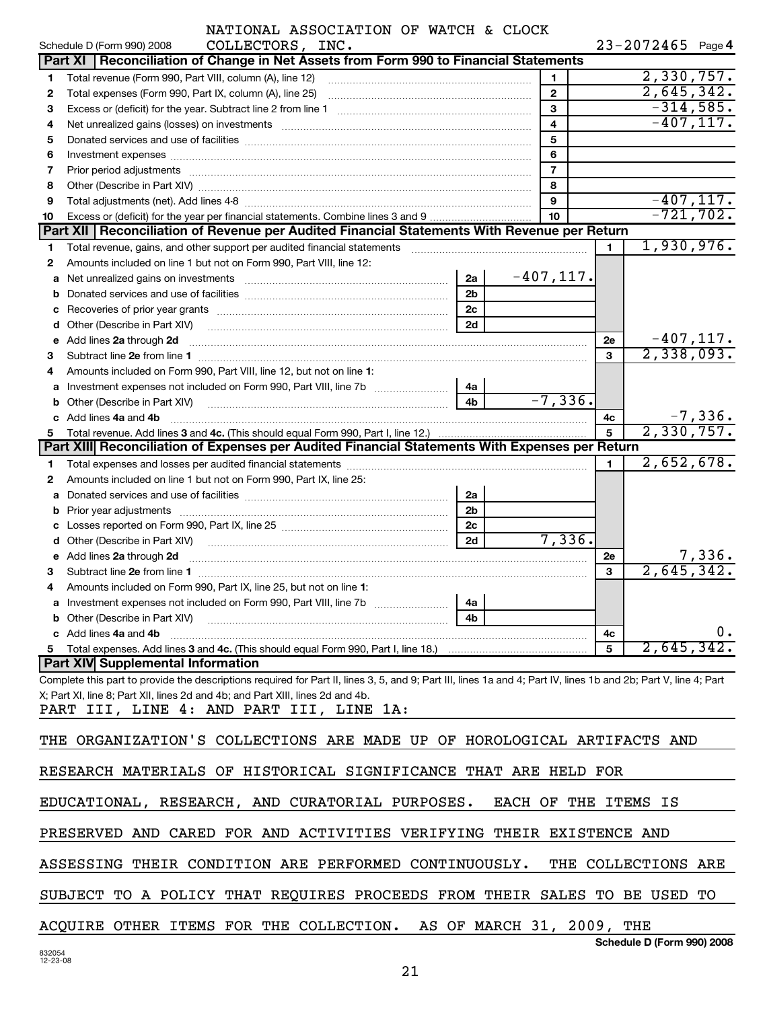|    | NATIONAL ASSOCIATION OF WATCH & CLOCK<br>Schedule D (Form 990) 2008<br>COLLECTORS, INC.                                                                                                                                              |                               |                           |                |    | $23 - 2072465$ Page 4      |              |
|----|--------------------------------------------------------------------------------------------------------------------------------------------------------------------------------------------------------------------------------------|-------------------------------|---------------------------|----------------|----|----------------------------|--------------|
|    | Part XI   Reconciliation of Change in Net Assets from Form 990 to Financial Statements                                                                                                                                               |                               |                           |                |    |                            |              |
| 1  |                                                                                                                                                                                                                                      |                               |                           | 1              |    | 2,330,757.                 |              |
| 2  | Total expenses (Form 990, Part IX, column (A), line 25) [11] [12] manufacture in the system of the system of the system of the system of the system of the system of the system of the system of the system of the system of t       |                               |                           | $\mathbf{2}$   |    | 2,645,342.                 |              |
| З  |                                                                                                                                                                                                                                      |                               |                           | 3              |    |                            | $-314,585.$  |
| 4  | Net unrealized gains (losses) on investments [11] matter continuum matter and all the set of the set of the st                                                                                                                       |                               |                           | 4              |    |                            | $-407, 117.$ |
| 5  |                                                                                                                                                                                                                                      |                               |                           | 5              |    |                            |              |
| 6  |                                                                                                                                                                                                                                      |                               |                           | 6              |    |                            |              |
| 7  | Prior period adjustments [ www.communications and contract to the contract of the contract of the contract of                                                                                                                        |                               |                           | $\overline{7}$ |    |                            |              |
| 8  |                                                                                                                                                                                                                                      |                               |                           | 8              |    |                            |              |
| 9  |                                                                                                                                                                                                                                      |                               |                           | 9              |    |                            | $-407, 117.$ |
| 10 |                                                                                                                                                                                                                                      |                               |                           | 10             |    |                            | $-721, 702.$ |
|    | Part XII   Reconciliation of Revenue per Audited Financial Statements With Revenue per Return                                                                                                                                        |                               |                           |                |    |                            |              |
| 1  | Total revenue, gains, and other support per audited financial statements [11,111] [11] Total revenue, gains, and other support per audited financial statements                                                                      |                               |                           |                | 1. | 1,930,976.                 |              |
| 2  | Amounts included on line 1 but not on Form 990, Part VIII, line 12:                                                                                                                                                                  |                               |                           |                |    |                            |              |
|    |                                                                                                                                                                                                                                      | 2a                            |                           | $-407, 117.$   |    |                            |              |
|    |                                                                                                                                                                                                                                      | 2 <sub>b</sub>                |                           |                |    |                            |              |
|    |                                                                                                                                                                                                                                      | 2c                            |                           |                |    |                            |              |
|    | d Other (Describe in Part XIV)                                                                                                                                                                                                       | 2d                            |                           |                |    |                            |              |
|    | e Add lines 2a through 2d                                                                                                                                                                                                            |                               |                           |                | 2e |                            | $-407, 117.$ |
| 3  |                                                                                                                                                                                                                                      |                               |                           |                | 3  | 2,338,093.                 |              |
| 4  | Amounts included on Form 990, Part VIII, line 12, but not on line 1:                                                                                                                                                                 |                               |                           |                |    |                            |              |
|    |                                                                                                                                                                                                                                      | 4a                            |                           |                |    |                            |              |
|    | <b>b</b> Other (Describe in Part XIV)                                                                                                                                                                                                | 4 <sub>b</sub>                |                           | $-7, 336.$     |    |                            |              |
|    | c Add lines 4a and 4b                                                                                                                                                                                                                |                               |                           |                | 4с |                            | $-7,336.$    |
| 5  |                                                                                                                                                                                                                                      |                               |                           |                | 5  | 2,330,757.                 |              |
|    | Part XIII Reconciliation of Expenses per Audited Financial Statements With Expenses per Return                                                                                                                                       |                               |                           |                |    |                            |              |
| 1. |                                                                                                                                                                                                                                      |                               |                           |                | 1  | 2,652,678.                 |              |
| 2  | Amounts included on line 1 but not on Form 990, Part IX, line 25:                                                                                                                                                                    |                               |                           |                |    |                            |              |
|    |                                                                                                                                                                                                                                      | 2a                            |                           |                |    |                            |              |
|    |                                                                                                                                                                                                                                      | 2 <sub>b</sub>                |                           |                |    |                            |              |
|    |                                                                                                                                                                                                                                      | 2c                            |                           |                |    |                            |              |
|    | d Other (Describe in Part XIV) <b>contract the contract of Contract Contract Contract Contract Contract Contract Contract Contract Contract Contract Contract Contract Contract Contract Contract Contract Contract Contract Con</b> | 2d                            |                           | 7,336.         |    |                            |              |
|    | e Add lines 2a through 2d                                                                                                                                                                                                            |                               |                           |                | 2е |                            | 7,336.       |
| з  |                                                                                                                                                                                                                                      |                               |                           |                | 3  | 2,645,342.                 |              |
| 4  | Amounts included on Form 990, Part IX, line 25, but not on line 1:                                                                                                                                                                   | $\mathbf{1}$ and $\mathbf{1}$ |                           |                |    |                            |              |
|    | a Investment expenses not included on Form 990, Part VIII, line 7b [                                                                                                                                                                 | 4a                            |                           |                |    |                            |              |
|    | <b>b</b> Other (Describe in Part XIV)                                                                                                                                                                                                | 4b                            |                           |                |    |                            |              |
|    | c Add lines 4a and 4b                                                                                                                                                                                                                |                               |                           |                | 4с |                            | $0$ .        |
|    |                                                                                                                                                                                                                                      |                               |                           |                | 5  | 2,645,342.                 |              |
|    | <b>Part XIV Supplemental Information</b>                                                                                                                                                                                             |                               |                           |                |    |                            |              |
|    | Complete this part to provide the descriptions required for Part II, lines 3, 5, and 9; Part III, lines 1a and 4; Part IV, lines 1b and 2b; Part V, line 4; Part                                                                     |                               |                           |                |    |                            |              |
|    | X; Part XI, line 8; Part XII, lines 2d and 4b; and Part XIII, lines 2d and 4b.                                                                                                                                                       |                               |                           |                |    |                            |              |
|    | PART III, LINE 4: AND PART III, LINE 1A:                                                                                                                                                                                             |                               |                           |                |    |                            |              |
|    | THE ORGANIZATION'S COLLECTIONS ARE MADE UP OF HOROLOGICAL ARTIFACTS AND                                                                                                                                                              |                               |                           |                |    |                            |              |
|    | RESEARCH MATERIALS OF HISTORICAL SIGNIFICANCE THAT ARE HELD FOR                                                                                                                                                                      |                               |                           |                |    |                            |              |
|    | EDUCATIONAL, RESEARCH, AND CURATORIAL PURPOSES.                                                                                                                                                                                      |                               |                           |                |    | EACH OF THE ITEMS IS       |              |
|    | PRESERVED AND CARED FOR AND ACTIVITIES VERIFYING THEIR EXISTENCE AND                                                                                                                                                                 |                               |                           |                |    |                            |              |
|    | ASSESSING THEIR CONDITION ARE PERFORMED CONTINUOUSLY.                                                                                                                                                                                |                               |                           |                |    | THE COLLECTIONS ARE        |              |
|    | SUBJECT TO A POLICY THAT REQUIRES PROCEEDS FROM THEIR SALES TO BE USED TO                                                                                                                                                            |                               |                           |                |    |                            |              |
|    | ACQUIRE OTHER ITEMS FOR THE COLLECTION.                                                                                                                                                                                              |                               | AS OF MARCH 31, 2009, THE |                |    |                            |              |
|    |                                                                                                                                                                                                                                      |                               |                           |                |    | Schedule D (Form 990) 2008 |              |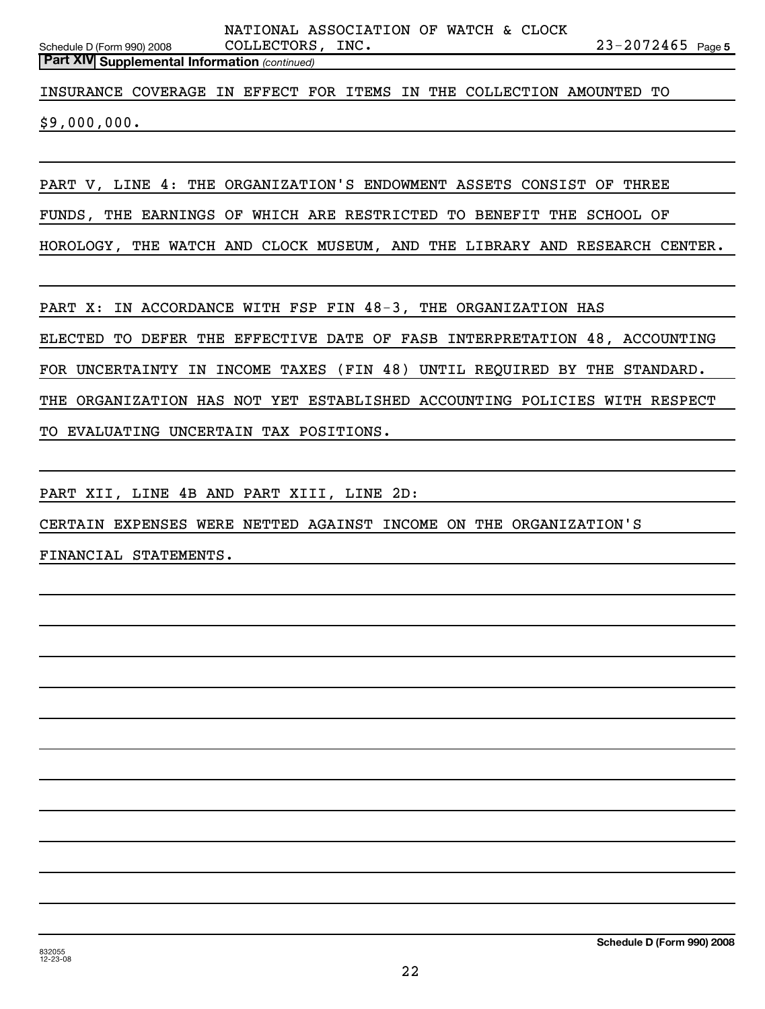Schedule D (Form 990) 2008 COLLECTORS, INC . 2 3-2 0 7 2 4 6 5 Page 5 **Part XIV Supplemental Information** *(continued)* NATIONAL ASSOCIATION OF WATCH & CLOCK INSURANCE COVERAGE IN EFFECT FOR ITEMS IN THE COLLECTION AMOUNTED TO \$9,000,000. PART V, LINE 4: THE ORGANIZATION'S ENDOWMENT ASSETS CONSIST OF THREE FUNDS, THE EARNINGS OF WHICH ARE RESTRICTED TO BENEFIT THE SCHOOL OF HOROLOGY, THE WATCH AND CLOCK MUSEUM, AND THE LIBRARY AND RESEARCH CENTER. PART X: IN ACCORDANCE WITH FSP FIN 48-3, THE ORGANIZATION HAS ELECTED TO DEFER THE EFFECTIVE DATE OF FASB INTERPRETATION 48, ACCOUNTING FOR UNCERTAINTY IN INCOME TAXES (FIN 48) UNTIL REQUIRED BY THE STANDARD.

THE ORGANIZATION HAS NOT YET ESTABLISHED ACCOUNTING POLICIES WITH RESPECT

TO EVALUATING UNCERTAIN TAX POSITIONS.

PART XII, LINE 4B AND PART XIII, LINE 2D:

CERTAIN EXPENSES WERE NETTED AGAINST INCOME ON THE ORGANIZATION'S

FINANCIAL STATEMENTS.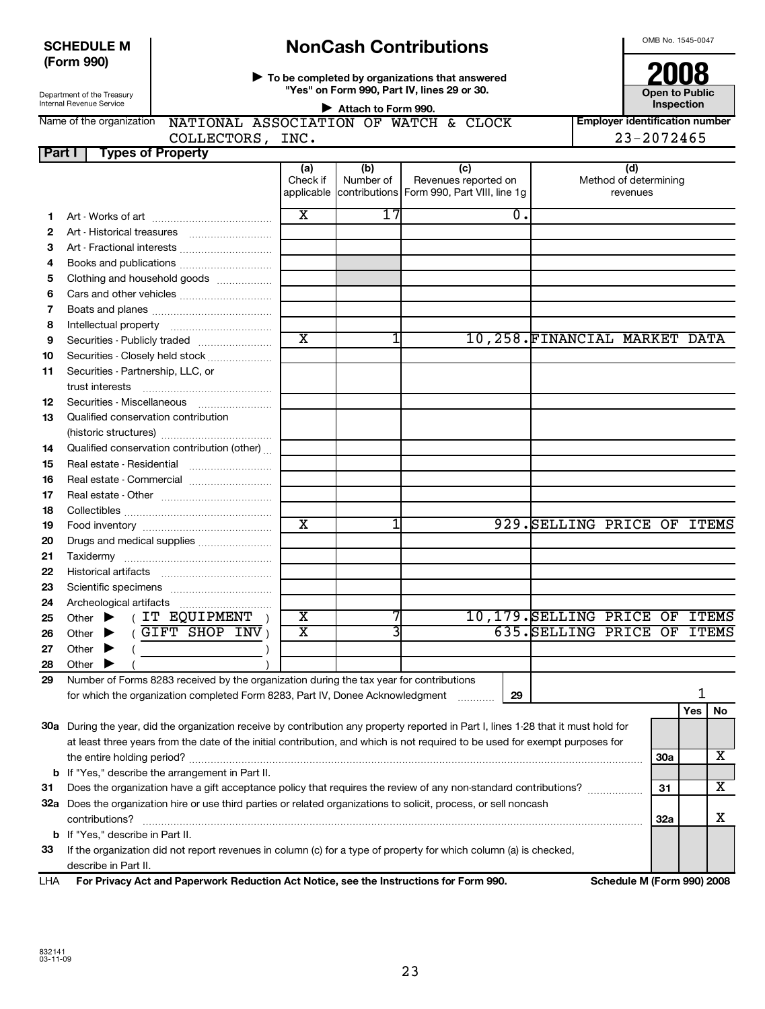# SCHEDULE M **NonCash Contributions**<br>
(Form 990) **Department of the completed by organizations that answered <b>2008**

Department of the Treasury

**To be completed by organizations that answered 2008 "Yes" on Form 990, Part IV, lines 29 or 30.**  $\blacktriangleright$ 

**Open to Public Inspection**

| Internal Revenue Service | Attach to Form 990.                   |      |  |  |  |  | Inspection |                                  |
|--------------------------|---------------------------------------|------|--|--|--|--|------------|----------------------------------|
| Name of the organization | NATIONAL ASSOCIATION OF WATCH & CLOCK |      |  |  |  |  |            | l Emplover identification number |
|                          | <b>COLLECTORS</b>                     | INC. |  |  |  |  |            | $23 - 2072465$                   |
| Part                     | <b>Types of Property</b>              |      |  |  |  |  |            |                                  |
|                          |                                       |      |  |  |  |  |            |                                  |

|     |                                                                                                                                     | (a)<br>Check if         | (b)<br>Number of | (c)<br>Revenues reported on                           |    | (d)<br>Method of determining   |                            |     |     |    |
|-----|-------------------------------------------------------------------------------------------------------------------------------------|-------------------------|------------------|-------------------------------------------------------|----|--------------------------------|----------------------------|-----|-----|----|
|     |                                                                                                                                     |                         |                  | applicable contributions Form 990, Part VIII, line 1g |    |                                | revenues                   |     |     |    |
| 1   |                                                                                                                                     | X                       | 17               |                                                       | о. |                                |                            |     |     |    |
| 2   |                                                                                                                                     |                         |                  |                                                       |    |                                |                            |     |     |    |
| з   | Art - Fractional interests                                                                                                          |                         |                  |                                                       |    |                                |                            |     |     |    |
| 4   | Books and publications                                                                                                              |                         |                  |                                                       |    |                                |                            |     |     |    |
| 5   | Clothing and household goods                                                                                                        |                         |                  |                                                       |    |                                |                            |     |     |    |
| 6   |                                                                                                                                     |                         |                  |                                                       |    |                                |                            |     |     |    |
| 7   |                                                                                                                                     |                         |                  |                                                       |    |                                |                            |     |     |    |
| 8   |                                                                                                                                     |                         |                  |                                                       |    |                                |                            |     |     |    |
| 9   | Securities - Publicly traded                                                                                                        | $\overline{\textbf{x}}$ |                  |                                                       |    | 10,258.FINANCIAL MARKET DATA   |                            |     |     |    |
| 10  | Securities - Closely held stock                                                                                                     |                         |                  |                                                       |    |                                |                            |     |     |    |
| 11  | Securities - Partnership, LLC, or                                                                                                   |                         |                  |                                                       |    |                                |                            |     |     |    |
|     |                                                                                                                                     |                         |                  |                                                       |    |                                |                            |     |     |    |
| 12  | Securities - Miscellaneous                                                                                                          |                         |                  |                                                       |    |                                |                            |     |     |    |
| 13  | Qualified conservation contribution                                                                                                 |                         |                  |                                                       |    |                                |                            |     |     |    |
|     |                                                                                                                                     |                         |                  |                                                       |    |                                |                            |     |     |    |
| 14  | Qualified conservation contribution (other)                                                                                         |                         |                  |                                                       |    |                                |                            |     |     |    |
| 15  |                                                                                                                                     |                         |                  |                                                       |    |                                |                            |     |     |    |
| 16  |                                                                                                                                     |                         |                  |                                                       |    |                                |                            |     |     |    |
| 17  |                                                                                                                                     |                         |                  |                                                       |    |                                |                            |     |     |    |
| 18  |                                                                                                                                     |                         |                  |                                                       |    |                                |                            |     |     |    |
| 19  |                                                                                                                                     | $\overline{\mathbf{x}}$ |                  |                                                       |    | 929. SELLING PRICE OF ITEMS    |                            |     |     |    |
| 20  | Drugs and medical supplies                                                                                                          |                         |                  |                                                       |    |                                |                            |     |     |    |
| 21  |                                                                                                                                     |                         |                  |                                                       |    |                                |                            |     |     |    |
| 22  |                                                                                                                                     |                         |                  |                                                       |    |                                |                            |     |     |    |
| 23  |                                                                                                                                     |                         |                  |                                                       |    |                                |                            |     |     |    |
| 24  |                                                                                                                                     |                         |                  |                                                       |    |                                |                            |     |     |    |
| 25  | Other $\blacktriangleright$ ( IT EQUIPMENT                                                                                          | X                       |                  |                                                       |    | 10,179. SELLING PRICE OF ITEMS |                            |     |     |    |
| 26  | Other $\blacktriangleright$ (GIFT SHOP INV)                                                                                         | х                       |                  |                                                       |    | 635. SELLING PRICE OF ITEMS    |                            |     |     |    |
| 27  | Other $\blacktriangleright$<br>$\overline{a}$                                                                                       |                         |                  |                                                       |    |                                |                            |     |     |    |
| 28  | Other<br>▶                                                                                                                          |                         |                  |                                                       |    |                                |                            |     |     |    |
| 29  | Number of Forms 8283 received by the organization during the tax year for contributions                                             |                         |                  |                                                       |    |                                |                            |     |     |    |
|     | for which the organization completed Form 8283, Part IV, Donee Acknowledgment                                                       |                         |                  | .                                                     | 29 |                                |                            |     | ı   |    |
|     |                                                                                                                                     |                         |                  |                                                       |    |                                |                            |     | Yes | No |
|     | 30a During the year, did the organization receive by contribution any property reported in Part I, lines 1-28 that it must hold for |                         |                  |                                                       |    |                                |                            |     |     |    |
|     | at least three years from the date of the initial contribution, and which is not required to be used for exempt purposes for        |                         |                  |                                                       |    |                                |                            |     |     |    |
|     |                                                                                                                                     |                         |                  |                                                       |    |                                |                            | 30a |     | x  |
|     | <b>b</b> If "Yes," describe the arrangement in Part II.                                                                             |                         |                  |                                                       |    |                                |                            |     |     |    |
| 31  | Does the organization have a gift acceptance policy that requires the review of any non-standard contributions?                     |                         |                  |                                                       |    |                                |                            | 31  |     | X  |
|     | 32a Does the organization hire or use third parties or related organizations to solicit, process, or sell noncash                   |                         |                  |                                                       |    |                                |                            |     |     |    |
|     | contributions?                                                                                                                      |                         |                  |                                                       |    |                                |                            | 32a |     | X  |
|     | <b>b</b> If "Yes," describe in Part II.                                                                                             |                         |                  |                                                       |    |                                |                            |     |     |    |
| 33  | If the organization did not report revenues in column (c) for a type of property for which column (a) is checked,                   |                         |                  |                                                       |    |                                |                            |     |     |    |
|     | describe in Part II.                                                                                                                |                         |                  |                                                       |    |                                |                            |     |     |    |
| LHA | For Privacy Act and Paperwork Reduction Act Notice, see the Instructions for Form 990.                                              |                         |                  |                                                       |    |                                | Schedule M (Form 990) 2008 |     |     |    |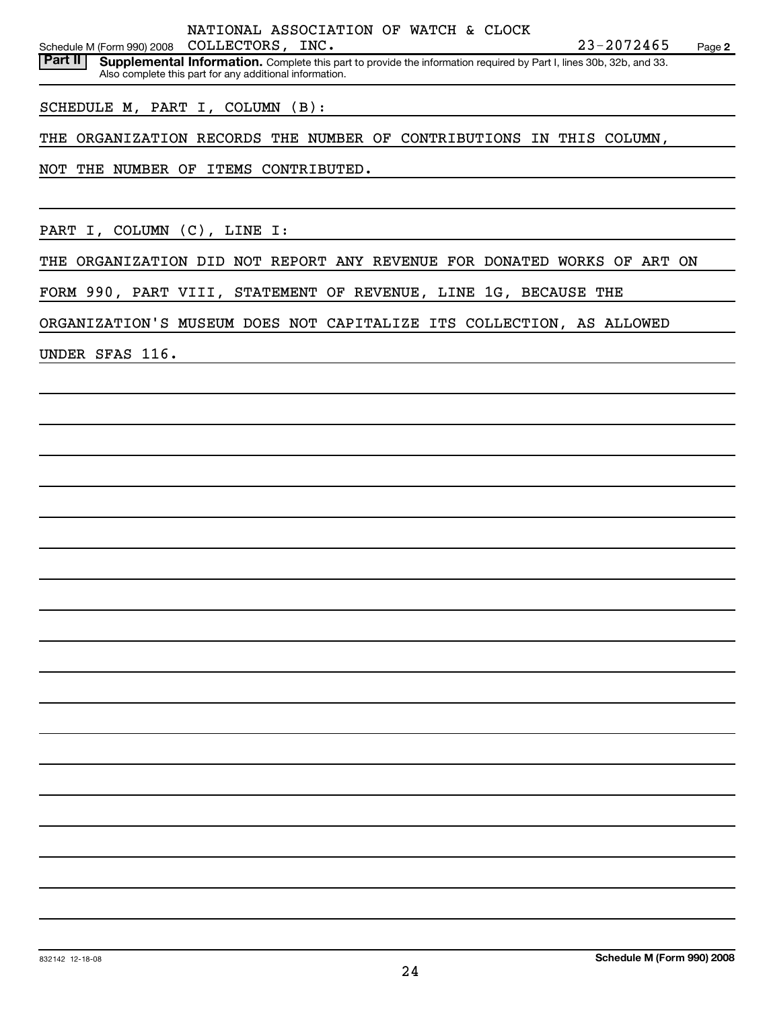NATIONAL ASSOCIATION OF WATCH & CLOCK

Schedule M (Form 990) 2008 Page **2** COLLECTORS, INC. 23-2072465

**Part II** Supplemental Information. Complete this part to provide the information required by Part I, lines 30b, 32b, and 33. Also complete this part for any additional information.

SCHEDULE M, PART I, COLUMN (B):

THE ORGANIZATION RECORDS THE NUMBER OF CONTRIBUTIONS IN THIS COLUMN,

NOT THE NUMBER OF ITEMS CONTRIBUTED.

PART I, COLUMN (C), LINE I:

THE ORGANIZATION DID NOT REPORT ANY REVENUE FOR DONATED WORKS OF ART ON

FORM 990, PART VIII, STATEMENT OF REVENUE, LINE 1G, BECAUSE THE

ORGANIZATION'S MUSEUM DOES NOT CAPITALIZE ITS COLLECTION, AS ALLOWED

UNDER SFAS 116.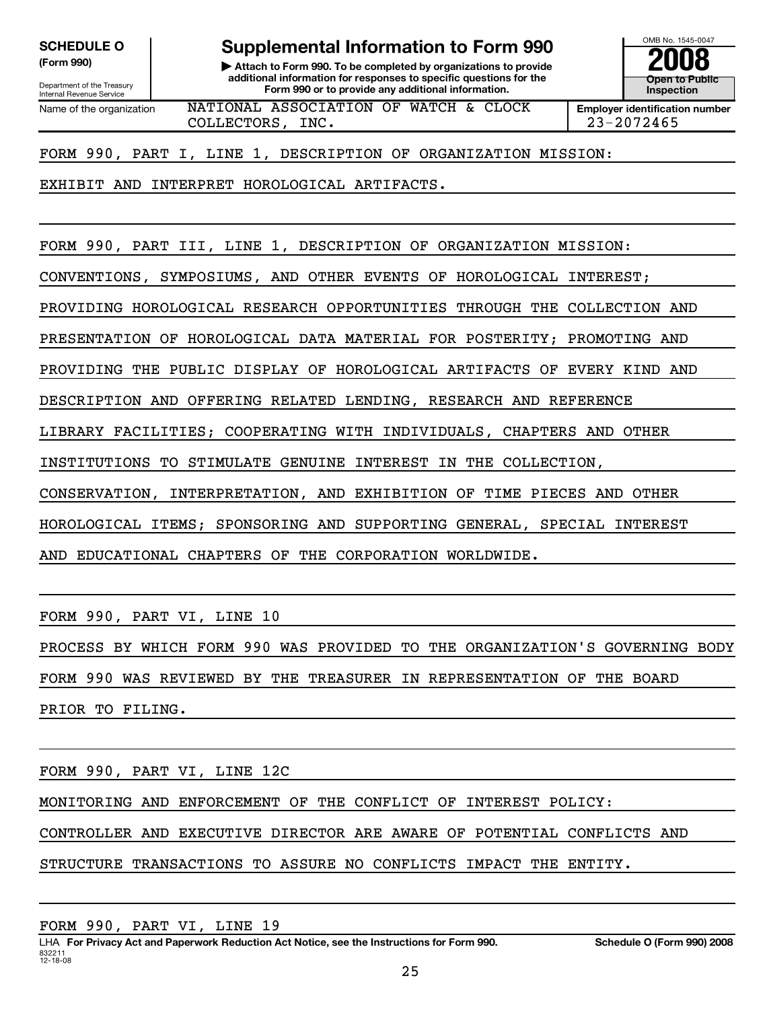Department of the Treasury<br>Internal Revenue Service

SCHEDULE O **Supplemental Information to Form 990** Me. 1545-0047

**(Form 990) | Attach to Form 990. To be completed by organizations to provide 2008 additional information for responses to specific questions for the Form 990 or to provide any additional information.**<br>
Internal Revenue Service **Inspection Inspection Provide any additional information.** 

**Open to Public**

Name of the organization **NATIONAL ASSOCIATION OF WATCH & CLOCK** Fmployer identification number COLLECTORS, INC. 23-2072465

FORM 990, PART I, LINE 1, DESCRIPTION OF ORGANIZATION MISSION:

EXHIBIT AND INTERPRET HOROLOGICAL ARTIFACTS.

FORM 990, PART III, LINE 1, DESCRIPTION OF ORGANIZATION MISSION:

CONVENTIONS, SYMPOSIUMS, AND OTHER EVENTS OF HOROLOGICAL INTEREST;

PROVIDING HOROLOGICAL RESEARCH OPPORTUNITIES THROUGH THE COLLECTION AND

PRESENTATION OF HOROLOGICAL DATA MATERIAL FOR POSTERITY; PROMOTING AND

PROVIDING THE PUBLIC DISPLAY OF HOROLOGICAL ARTIFACTS OF EVERY KIND AND

DESCRIPTION AND OFFERING RELATED LENDING, RESEARCH AND REFERENCE

LIBRARY FACILITIES; COOPERATING WITH INDIVIDUALS, CHAPTERS AND OTHER

INSTITUTIONS TO STIMULATE GENUINE INTEREST IN THE COLLECTION,

CONSERVATION, INTERPRETATION, AND EXHIBITION OF TIME PIECES AND OTHER

HOROLOGICAL ITEMS; SPONSORING AND SUPPORTING GENERAL, SPECIAL INTEREST

AND EDUCATIONAL CHAPTERS OF THE CORPORATION WORLDWIDE.

FORM 990, PART VI, LINE 10

PROCESS BY WHICH FORM 990 WAS PROVIDED TO THE ORGANIZATION'S GOVERNING BODY

FORM 990 WAS REVIEWED BY THE TREASURER IN REPRESENTATION OF THE BOARD

PRIOR TO FILING.

FORM 990, PART VI, LINE 12C

MONITORING AND ENFORCEMENT OF THE CONFLICT OF INTEREST POLICY:

CONTROLLER AND EXECUTIVE DIRECTOR ARE AWARE OF POTENTIAL CONFLICTS AND

STRUCTURE TRANSACTIONS TO ASSURE NO CONFLICTS IMPACT THE ENTITY.

FORM 990, PART VI, LINE 19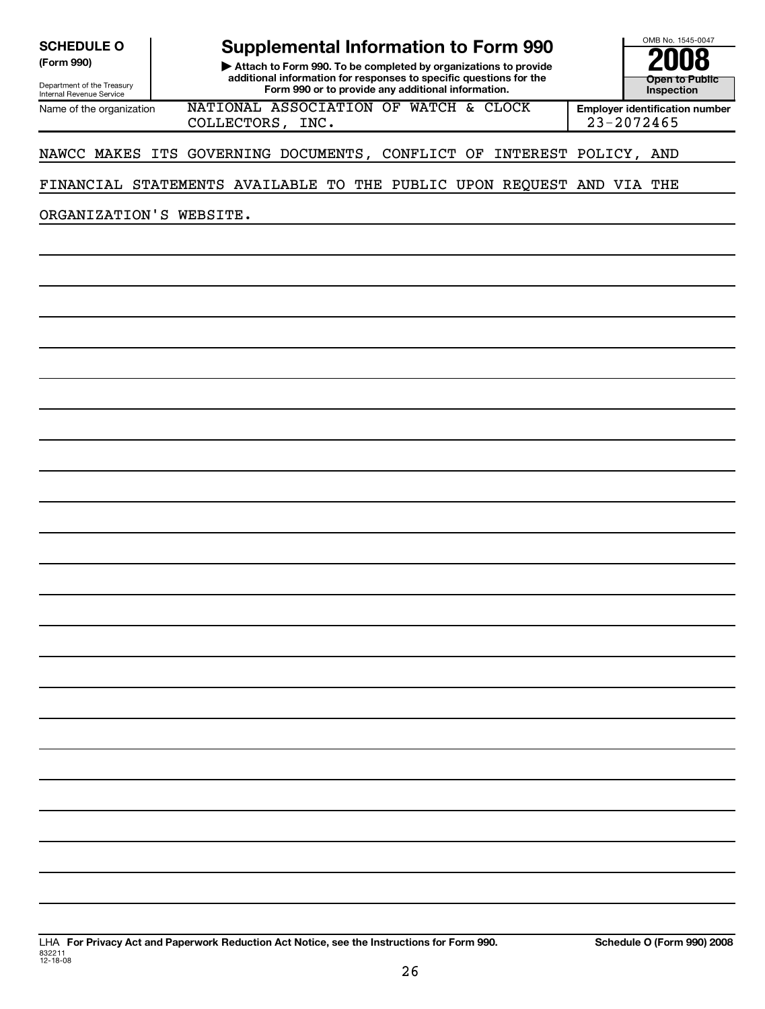Department of the Treasury<br>Internal Revenue Service

## **Supplemental Information to Form 990**<br>Attach to Form 990, To be completed by organizations to provide 2008

**(Form 990) | Attach to Form 990. To be completed by organizations to provide 2008 additional information for responses to specific questions for the Form 990 or to provide any additional information.**<br>
Internal Revenue Service **Inspection Inspection Provide any additional information.** 

**Open to Public**

Name of the organization **NATIONAL ASSOCIATION OF WATCH & CLOCK** Fmployer identification number COLLECTORS, INC. 23-2072465

#### NAWCC MAKES ITS GOVERNING DOCUMENTS, CONFLICT OF INTEREST POLICY, AND

#### FINANCIAL STATEMENTS AVAILABLE TO THE PUBLIC UPON REQUEST AND VIA THE

ORGANIZATION'S WEBSITE.

LHA **For Privacy Act and Paperwork Reduction Act Notice, see the Instructions for Form 990. Schedule O (Form 990) 2008** 832211 12-18-08